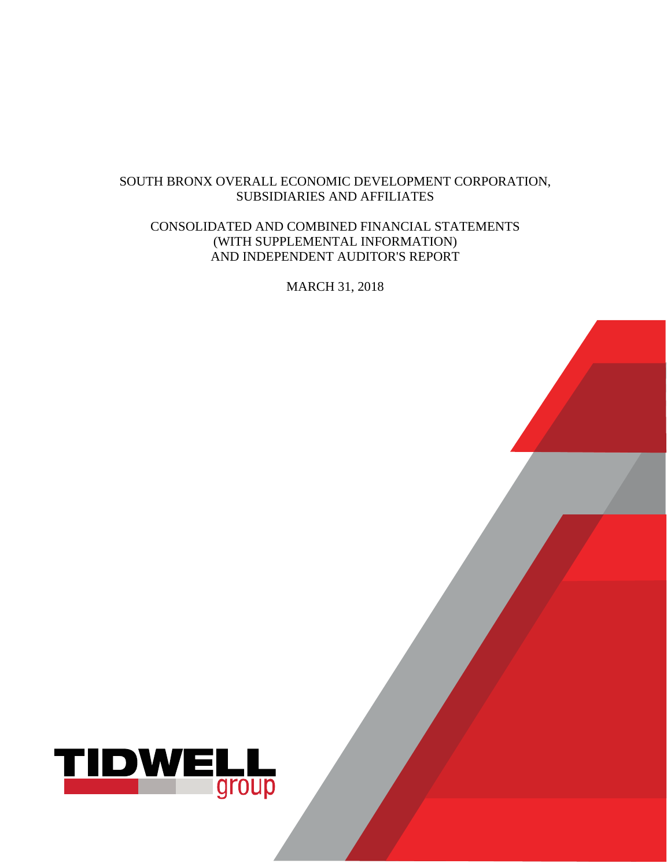## SOUTH BRONX OVERALL ECONOMIC DEVELOPMENT CORPORATION, SUBSIDIARIES AND AFFILIATES

## CONSOLIDATED AND COMBINED FINANCIAL STATEMENTS (WITH SUPPLEMENTAL INFORMATION) AND INDEPENDENT AUDITOR'S REPORT

MARCH 31, 2018

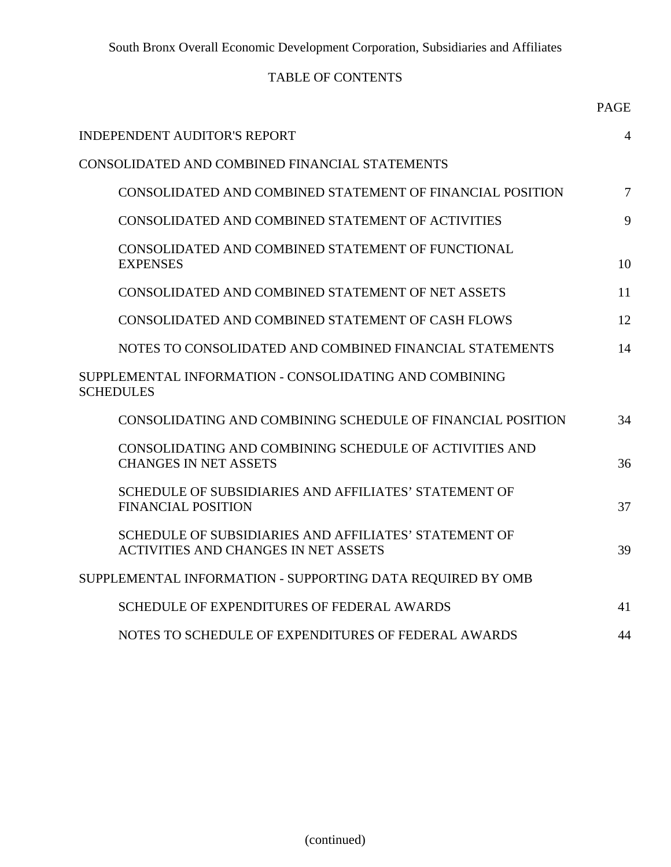# TABLE OF CONTENTS

|                                                                                                      | <b>PAGE</b> |
|------------------------------------------------------------------------------------------------------|-------------|
| <b>INDEPENDENT AUDITOR'S REPORT</b>                                                                  | 4           |
| CONSOLIDATED AND COMBINED FINANCIAL STATEMENTS                                                       |             |
| CONSOLIDATED AND COMBINED STATEMENT OF FINANCIAL POSITION                                            | $\tau$      |
| CONSOLIDATED AND COMBINED STATEMENT OF ACTIVITIES                                                    | 9           |
| CONSOLIDATED AND COMBINED STATEMENT OF FUNCTIONAL<br><b>EXPENSES</b>                                 | 10          |
| CONSOLIDATED AND COMBINED STATEMENT OF NET ASSETS                                                    | 11          |
| CONSOLIDATED AND COMBINED STATEMENT OF CASH FLOWS                                                    | 12          |
| NOTES TO CONSOLIDATED AND COMBINED FINANCIAL STATEMENTS                                              | 14          |
| SUPPLEMENTAL INFORMATION - CONSOLIDATING AND COMBINING<br><b>SCHEDULES</b>                           |             |
| CONSOLIDATING AND COMBINING SCHEDULE OF FINANCIAL POSITION                                           | 34          |
| CONSOLIDATING AND COMBINING SCHEDULE OF ACTIVITIES AND<br><b>CHANGES IN NET ASSETS</b>               | 36          |
| SCHEDULE OF SUBSIDIARIES AND AFFILIATES' STATEMENT OF<br><b>FINANCIAL POSITION</b>                   | 37          |
| SCHEDULE OF SUBSIDIARIES AND AFFILIATES' STATEMENT OF<br><b>ACTIVITIES AND CHANGES IN NET ASSETS</b> | 39          |
| SUPPLEMENTAL INFORMATION - SUPPORTING DATA REQUIRED BY OMB                                           |             |
| SCHEDULE OF EXPENDITURES OF FEDERAL AWARDS                                                           | 41          |
| NOTES TO SCHEDULE OF EXPENDITURES OF FEDERAL AWARDS                                                  | 44          |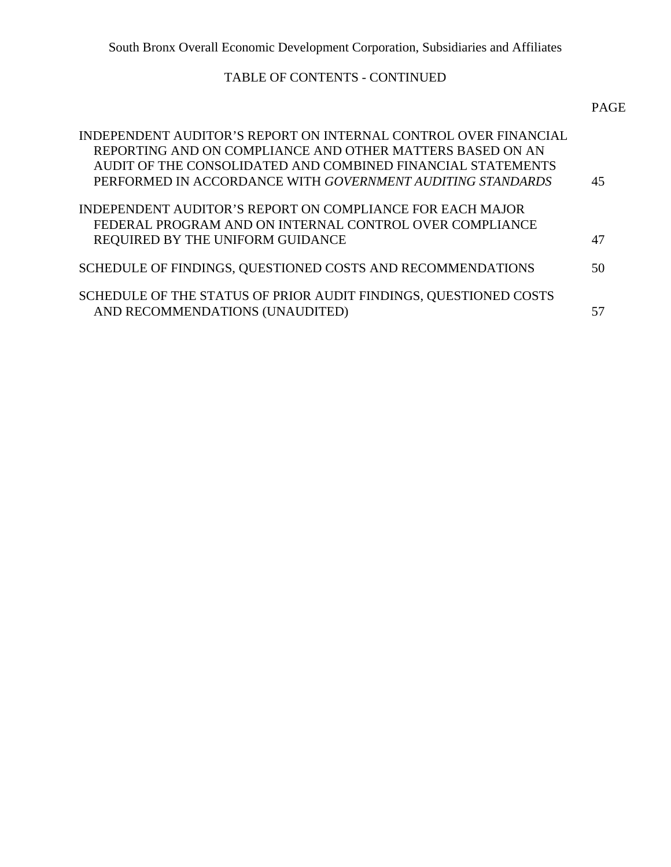# TABLE OF CONTENTS - CONTINUED

|  | PAGE |
|--|------|
|--|------|

| INDEPENDENT AUDITOR'S REPORT ON INTERNAL CONTROL OVER FINANCIAL<br>REPORTING AND ON COMPLIANCE AND OTHER MATTERS BASED ON AN<br>AUDIT OF THE CONSOLIDATED AND COMBINED FINANCIAL STATEMENTS<br>PERFORMED IN ACCORDANCE WITH GOVERNMENT AUDITING STANDARDS | 45 |
|-----------------------------------------------------------------------------------------------------------------------------------------------------------------------------------------------------------------------------------------------------------|----|
| INDEPENDENT AUDITOR'S REPORT ON COMPLIANCE FOR EACH MAJOR<br>FEDERAL PROGRAM AND ON INTERNAL CONTROL OVER COMPLIANCE<br>REQUIRED BY THE UNIFORM GUIDANCE                                                                                                  | 47 |
| SCHEDULE OF FINDINGS, QUESTIONED COSTS AND RECOMMENDATIONS                                                                                                                                                                                                | 50 |
| SCHEDULE OF THE STATUS OF PRIOR AUDIT FINDINGS, QUESTIONED COSTS<br>AND RECOMMENDATIONS (UNAUDITED)                                                                                                                                                       |    |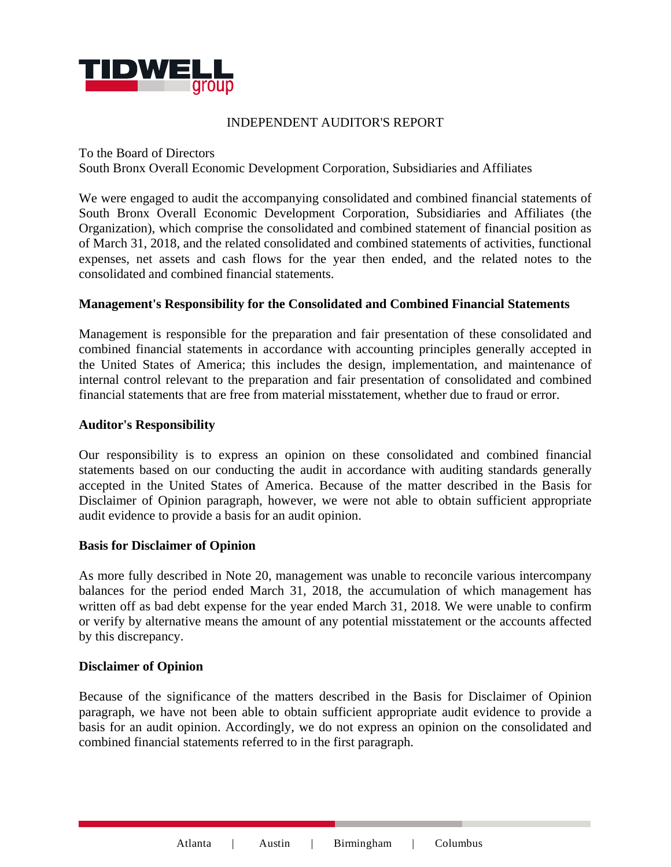

### INDEPENDENT AUDITOR'S REPORT

To the Board of Directors

South Bronx Overall Economic Development Corporation, Subsidiaries and Affiliates

We were engaged to audit the accompanying consolidated and combined financial statements of South Bronx Overall Economic Development Corporation, Subsidiaries and Affiliates (the Organization), which comprise the consolidated and combined statement of financial position as of March 31, 2018, and the related consolidated and combined statements of activities, functional expenses, net assets and cash flows for the year then ended, and the related notes to the consolidated and combined financial statements.

### **Management's Responsibility for the Consolidated and Combined Financial Statements**

Management is responsible for the preparation and fair presentation of these consolidated and combined financial statements in accordance with accounting principles generally accepted in the United States of America; this includes the design, implementation, and maintenance of internal control relevant to the preparation and fair presentation of consolidated and combined financial statements that are free from material misstatement, whether due to fraud or error.

#### **Auditor's Responsibility**

Our responsibility is to express an opinion on these consolidated and combined financial statements based on our conducting the audit in accordance with auditing standards generally accepted in the United States of America. Because of the matter described in the Basis for Disclaimer of Opinion paragraph, however, we were not able to obtain sufficient appropriate audit evidence to provide a basis for an audit opinion.

### **Basis for Disclaimer of Opinion**

As more fully described in Note 20, management was unable to reconcile various intercompany balances for the period ended March 31, 2018, the accumulation of which management has written off as bad debt expense for the year ended March 31, 2018. We were unable to confirm or verify by alternative means the amount of any potential misstatement or the accounts affected by this discrepancy.

#### **Disclaimer of Opinion**

Because of the significance of the matters described in the Basis for Disclaimer of Opinion paragraph, we have not been able to obtain sufficient appropriate audit evidence to provide a basis for an audit opinion. Accordingly, we do not express an opinion on the consolidated and combined financial statements referred to in the first paragraph.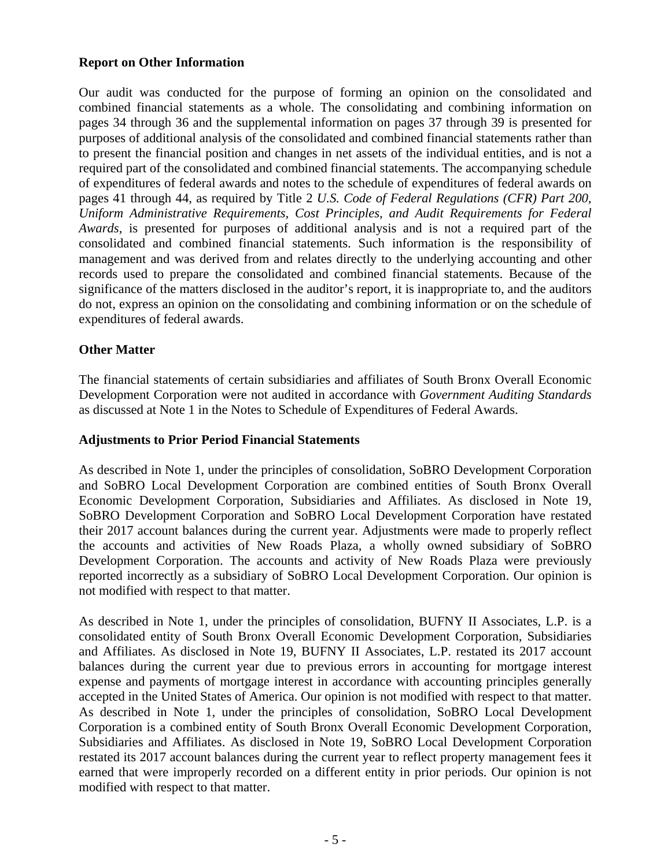### **Report on Other Information**

Our audit was conducted for the purpose of forming an opinion on the consolidated and combined financial statements as a whole. The consolidating and combining information on pages 34 through 36 and the supplemental information on pages 37 through 39 is presented for purposes of additional analysis of the consolidated and combined financial statements rather than to present the financial position and changes in net assets of the individual entities, and is not a required part of the consolidated and combined financial statements. The accompanying schedule of expenditures of federal awards and notes to the schedule of expenditures of federal awards on pages 41 through 44, as required by Title 2 *U.S. Code of Federal Regulations (CFR) Part 200, Uniform Administrative Requirements, Cost Principles, and Audit Requirements for Federal Awards*, is presented for purposes of additional analysis and is not a required part of the consolidated and combined financial statements. Such information is the responsibility of management and was derived from and relates directly to the underlying accounting and other records used to prepare the consolidated and combined financial statements. Because of the significance of the matters disclosed in the auditor's report, it is inappropriate to, and the auditors do not, express an opinion on the consolidating and combining information or on the schedule of expenditures of federal awards.

## **Other Matter**

The financial statements of certain subsidiaries and affiliates of South Bronx Overall Economic Development Corporation were not audited in accordance with *Government Auditing Standards* as discussed at Note 1 in the Notes to Schedule of Expenditures of Federal Awards.

### **Adjustments to Prior Period Financial Statements**

As described in Note 1, under the principles of consolidation, SoBRO Development Corporation and SoBRO Local Development Corporation are combined entities of South Bronx Overall Economic Development Corporation, Subsidiaries and Affiliates. As disclosed in Note 19, SoBRO Development Corporation and SoBRO Local Development Corporation have restated their 2017 account balances during the current year. Adjustments were made to properly reflect the accounts and activities of New Roads Plaza, a wholly owned subsidiary of SoBRO Development Corporation. The accounts and activity of New Roads Plaza were previously reported incorrectly as a subsidiary of SoBRO Local Development Corporation. Our opinion is not modified with respect to that matter.

As described in Note 1, under the principles of consolidation, BUFNY II Associates, L.P. is a consolidated entity of South Bronx Overall Economic Development Corporation, Subsidiaries and Affiliates. As disclosed in Note 19, BUFNY II Associates, L.P. restated its 2017 account balances during the current year due to previous errors in accounting for mortgage interest expense and payments of mortgage interest in accordance with accounting principles generally accepted in the United States of America. Our opinion is not modified with respect to that matter. As described in Note 1, under the principles of consolidation, SoBRO Local Development Corporation is a combined entity of South Bronx Overall Economic Development Corporation, Subsidiaries and Affiliates. As disclosed in Note 19, SoBRO Local Development Corporation restated its 2017 account balances during the current year to reflect property management fees it earned that were improperly recorded on a different entity in prior periods. Our opinion is not modified with respect to that matter.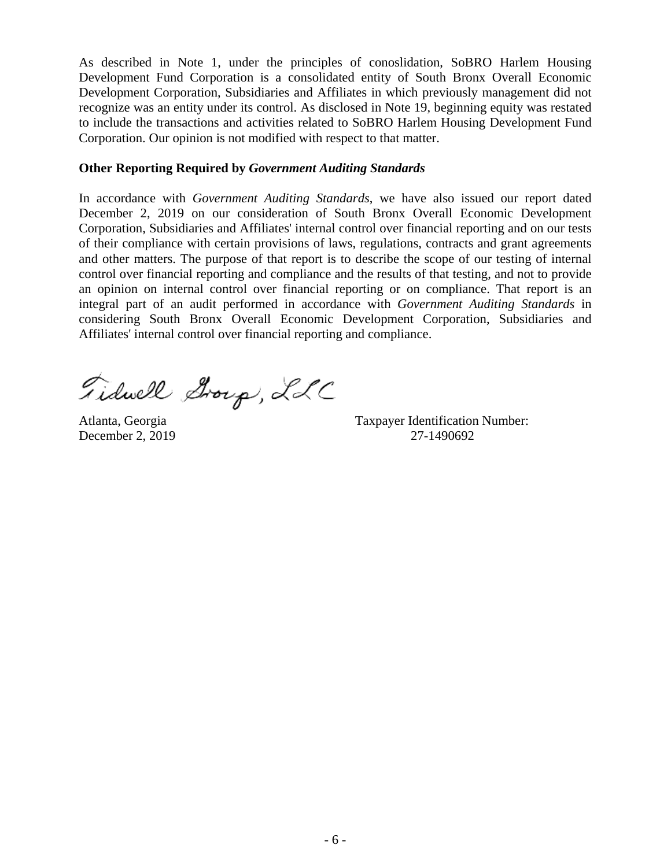As described in Note 1, under the principles of conoslidation, SoBRO Harlem Housing Development Fund Corporation is a consolidated entity of South Bronx Overall Economic Development Corporation, Subsidiaries and Affiliates in which previously management did not recognize was an entity under its control. As disclosed in Note 19, beginning equity was restated to include the transactions and activities related to SoBRO Harlem Housing Development Fund Corporation. Our opinion is not modified with respect to that matter.

### **Other Reporting Required by** *Government Auditing Standards*

In accordance with *Government Auditing Standards*, we have also issued our report dated December 2, 2019 on our consideration of South Bronx Overall Economic Development Corporation, Subsidiaries and Affiliates' internal control over financial reporting and on our tests of their compliance with certain provisions of laws, regulations, contracts and grant agreements and other matters. The purpose of that report is to describe the scope of our testing of internal control over financial reporting and compliance and the results of that testing, and not to provide an opinion on internal control over financial reporting or on compliance. That report is an integral part of an audit performed in accordance with *Government Auditing Standards* in considering South Bronx Overall Economic Development Corporation, Subsidiaries and Affiliates' internal control over financial reporting and compliance.

Fidwell Group, LLC

Atlanta, Georgia Taxpayer Identification Number: December 2, 2019 27-1490692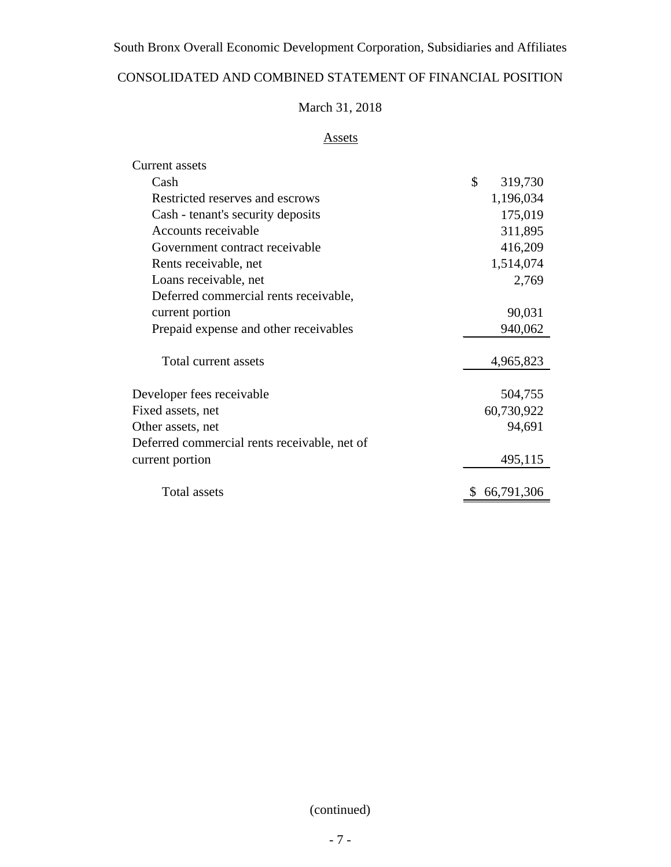# CONSOLIDATED AND COMBINED STATEMENT OF FINANCIAL POSITION

# March 31, 2018

# Assets

| <b>Current assets</b>                        |                  |
|----------------------------------------------|------------------|
| Cash                                         | \$<br>319,730    |
| Restricted reserves and escrows              | 1,196,034        |
| Cash - tenant's security deposits            | 175,019          |
| Accounts receivable                          | 311,895          |
| Government contract receivable               | 416,209          |
| Rents receivable, net                        | 1,514,074        |
| Loans receivable, net                        | 2,769            |
| Deferred commercial rents receivable,        |                  |
| current portion                              | 90,031           |
| Prepaid expense and other receivables        | 940,062          |
| Total current assets                         | 4,965,823        |
| Developer fees receivable                    | 504,755          |
| Fixed assets, net                            | 60,730,922       |
| Other assets, net                            | 94,691           |
| Deferred commercial rents receivable, net of |                  |
| current portion                              | 495,115          |
| Total assets                                 | \$<br>66,791,306 |

(continued)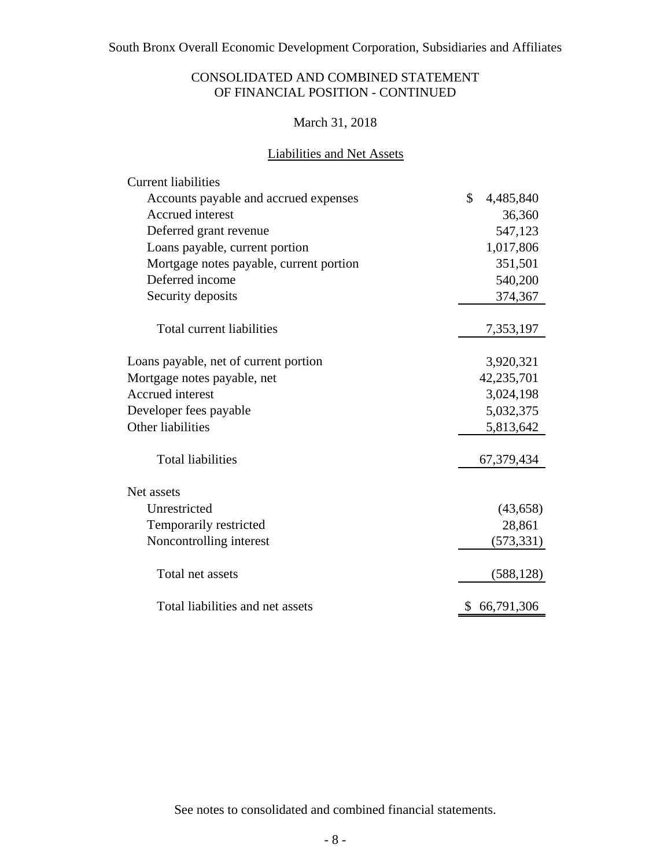## CONSOLIDATED AND COMBINED STATEMENT OF FINANCIAL POSITION - CONTINUED

## March 31, 2018

## Liabilities and Net Assets

| <b>Current liabilities</b>              |                           |
|-----------------------------------------|---------------------------|
| Accounts payable and accrued expenses   | $\mathbb{S}$<br>4,485,840 |
| <b>Accrued</b> interest                 | 36,360                    |
| Deferred grant revenue                  | 547,123                   |
| Loans payable, current portion          | 1,017,806                 |
| Mortgage notes payable, current portion | 351,501                   |
| Deferred income                         | 540,200                   |
| Security deposits                       | 374,367                   |
| Total current liabilities               | 7,353,197                 |
| Loans payable, net of current portion   | 3,920,321                 |
| Mortgage notes payable, net             | 42,235,701                |
| <b>Accrued</b> interest                 | 3,024,198                 |
| Developer fees payable                  | 5,032,375                 |
| Other liabilities                       | 5,813,642                 |
| <b>Total liabilities</b>                | 67,379,434                |
| Net assets                              |                           |
| Unrestricted                            | (43, 658)                 |
| Temporarily restricted                  | 28,861                    |
| Noncontrolling interest                 | (573, 331)                |
| Total net assets                        | (588, 128)                |
| Total liabilities and net assets        | 66,791,306                |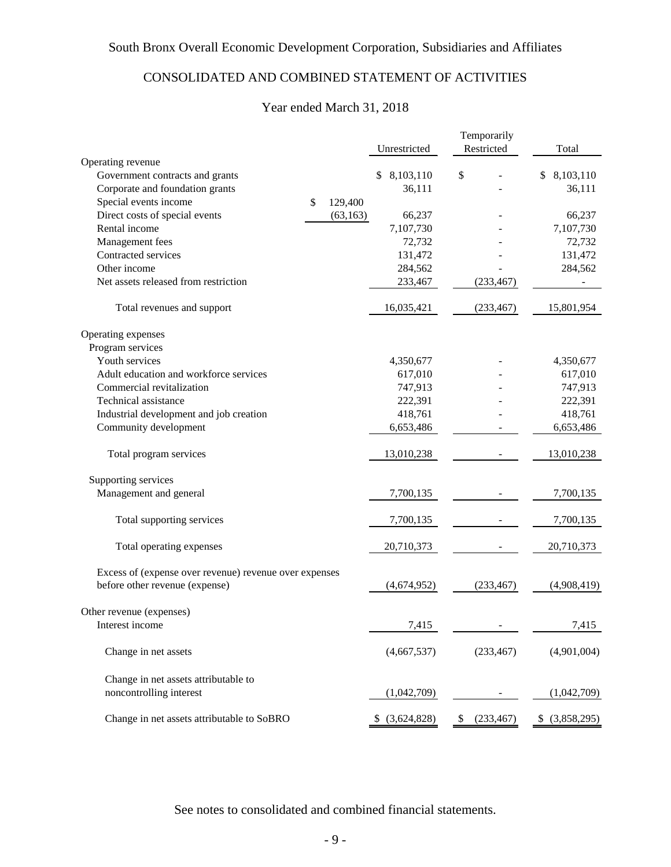# CONSOLIDATED AND COMBINED STATEMENT OF ACTIVITIES

## Year ended March 31, 2018

|                                                        | Unrestricted        | Temporarily<br>Restricted | Total           |
|--------------------------------------------------------|---------------------|---------------------------|-----------------|
| Operating revenue                                      |                     |                           |                 |
| Government contracts and grants                        | 8,103,110<br>S.     | \$                        | \$8,103,110     |
| Corporate and foundation grants                        | 36,111              |                           | 36,111          |
| Special events income<br>\$                            | 129,400             |                           |                 |
| Direct costs of special events                         | (63, 163)<br>66,237 |                           | 66,237          |
| Rental income                                          | 7,107,730           |                           | 7,107,730       |
| Management fees                                        | 72,732              |                           | 72,732          |
| Contracted services                                    | 131,472             |                           | 131,472         |
| Other income                                           | 284,562             |                           | 284,562         |
| Net assets released from restriction                   | 233,467             | (233, 467)                |                 |
| Total revenues and support                             | 16,035,421          | (233, 467)                | 15,801,954      |
| Operating expenses                                     |                     |                           |                 |
| Program services                                       |                     |                           |                 |
| Youth services                                         | 4,350,677           |                           | 4,350,677       |
| Adult education and workforce services                 | 617,010             |                           | 617,010         |
| Commercial revitalization                              | 747,913             |                           | 747,913         |
| Technical assistance                                   | 222,391             |                           | 222,391         |
| Industrial development and job creation                | 418,761             |                           | 418,761         |
| Community development                                  | 6,653,486           |                           | 6,653,486       |
| Total program services                                 | 13,010,238          |                           | 13,010,238      |
| Supporting services                                    |                     |                           |                 |
| Management and general                                 | 7,700,135           |                           | 7,700,135       |
| Total supporting services                              | 7,700,135           |                           | 7,700,135       |
| Total operating expenses                               | 20,710,373          |                           | 20,710,373      |
| Excess of (expense over revenue) revenue over expenses |                     |                           |                 |
| before other revenue (expense)                         | (4,674,952)         | (233, 467)                | (4,908,419)     |
| Other revenue (expenses)                               |                     |                           |                 |
| Interest income                                        | 7,415               |                           | 7,415           |
| Change in net assets                                   | (4,667,537)         | (233, 467)                | (4,901,004)     |
| Change in net assets attributable to                   |                     |                           |                 |
| noncontrolling interest                                | (1,042,709)         |                           | (1,042,709)     |
| Change in net assets attributable to SoBRO             | \$ (3,624,828)      | \$<br>(233, 467)          | $$$ (3,858,295) |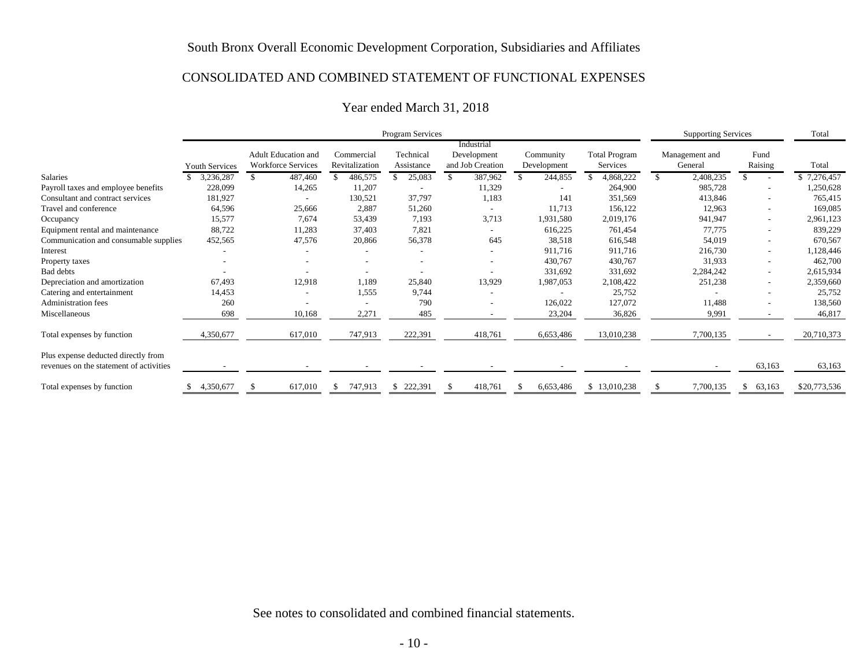#### CONSOLIDATED AND COMBINED STATEMENT OF FUNCTIONAL EXPENSES

|                                         |                       |                           |                | Program Services |                          |             |                      | <b>Supporting Services</b> |                         | Total        |
|-----------------------------------------|-----------------------|---------------------------|----------------|------------------|--------------------------|-------------|----------------------|----------------------------|-------------------------|--------------|
|                                         |                       |                           |                |                  | Industrial               |             |                      |                            |                         |              |
|                                         |                       | Adult Education and       | Commercial     | Technical        | Development              | Community   | <b>Total Program</b> | Management and             | Fund                    |              |
|                                         | <b>Youth Services</b> | <b>Workforce Services</b> | Revitalization | Assistance       | and Job Creation         | Development | Services             | General                    | Raising                 | Total        |
| Salaries                                | 3,236,287             | 487,460                   | 486,575<br>£.  | 25,083           | 387,962                  | 244,855     | 4,868,222            | 2,408,235<br>\$.           |                         | \$7,276,457  |
| Payroll taxes and employee benefits     | 228,099               | 14,265                    | 11,207         |                  | 11,329                   |             | 264,900              | 985,728                    |                         | 1,250,628    |
| Consultant and contract services        | 181,927               |                           | 130,521        | 37,797           | 1,183                    | 141         | 351,569              | 413,846                    |                         | 765,415      |
| Travel and conference                   | 64,596                | 25,666                    | 2,887          | 51,260           |                          | 11,713      | 156,122              | 12,963                     |                         | 169,085      |
| Occupancy                               | 15,577                | 7,674                     | 53,439         | 7,193            | 3,713                    | 1,931,580   | 2,019,176            | 941,947                    |                         | 2,961,123    |
| Equipment rental and maintenance        | 88,722                | 11,283                    | 37,403         | 7,821            |                          | 616,225     | 761,454              | 77,775                     |                         | 839,229      |
| Communication and consumable supplies   | 452,565               | 47,576                    | 20,866         | 56,378           | 645                      | 38,518      | 616,548              | 54,019                     |                         | 670,567      |
| Interest                                |                       |                           |                |                  | $\overline{\phantom{0}}$ | 911,716     | 911,716              | 216,730                    |                         | 1,128,446    |
| Property taxes                          |                       |                           |                |                  |                          | 430,767     | 430,767              | 31,933                     |                         | 462,700      |
| Bad debts                               |                       |                           |                |                  |                          | 331,692     | 331,692              | 2,284,242                  |                         | 2,615,934    |
| Depreciation and amortization           | 67,493                | 12,918                    | 1,189          | 25,840           | 13,929                   | 1,987,053   | 2,108,422            | 251,238                    |                         | 2,359,660    |
| Catering and entertainment              | 14,453                |                           | 1,555          | 9,744            |                          |             | 25,752               |                            |                         | 25,752       |
| <b>Administration fees</b>              | 260                   |                           |                | 790              |                          | 126,022     | 127,072              | 11,488                     |                         | 138,560      |
| Miscellaneous                           | 698                   | 10,168                    | 2,271          | 485              |                          | 23,204      | 36,826               | 9,991                      |                         | 46,817       |
| Total expenses by function              | 4,350,677             | 617,010                   | 747,913        | 222,391          | 418,761                  | 6,653,486   | 13,010,238           | 7,700,135                  |                         | 20,710,373   |
| Plus expense deducted directly from     |                       |                           |                |                  |                          |             |                      |                            |                         |              |
| revenues on the statement of activities |                       |                           |                |                  |                          |             |                      |                            | 63,163                  | 63,163       |
| Total expenses by function              | 4,350,677             | 617,010                   | 747,913<br>S   | 222,391          | 418,761                  | 6,653,486   | \$13,010,238         | 7,700,135                  | 63,163<br><sup>\$</sup> | \$20,773,536 |

## Year ended March 31, 2018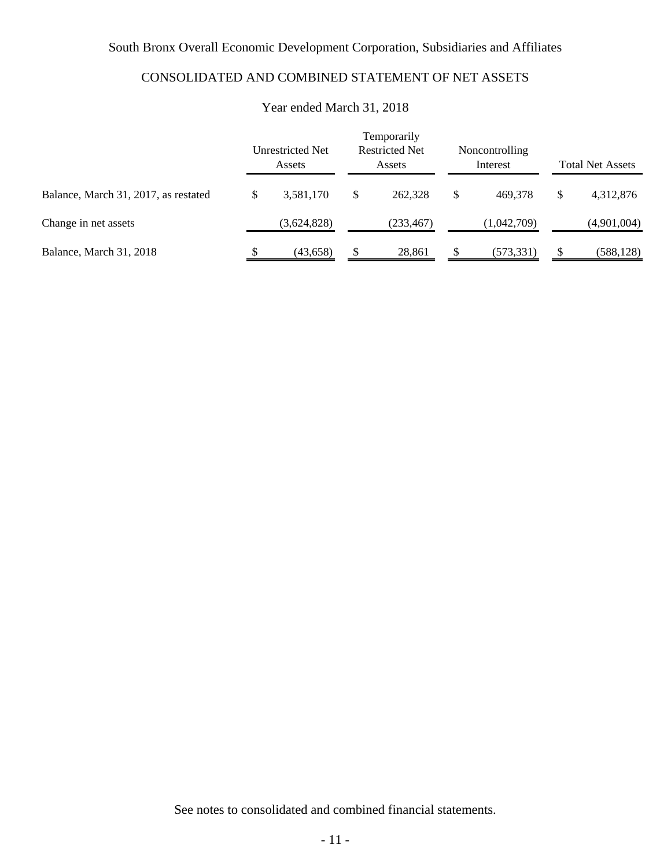# CONSOLIDATED AND COMBINED STATEMENT OF NET ASSETS

|                                      | Temporarily<br><b>Restricted Net</b><br>Unrestricted Net<br>Noncontrolling<br>Interest<br>Assets<br>Assets |             |   |            |    | <b>Total Net Assets</b> |    |             |
|--------------------------------------|------------------------------------------------------------------------------------------------------------|-------------|---|------------|----|-------------------------|----|-------------|
| Balance, March 31, 2017, as restated | \$                                                                                                         | 3,581,170   | S | 262,328    | \$ | 469.378                 | \$ | 4,312,876   |
| Change in net assets                 |                                                                                                            | (3,624,828) |   | (233, 467) |    | (1,042,709)             |    | (4,901,004) |
| Balance, March 31, 2018              |                                                                                                            | (43, 658)   |   | 28,861     |    | (573, 331)              |    | (588, 128)  |

## Year ended March 31, 2018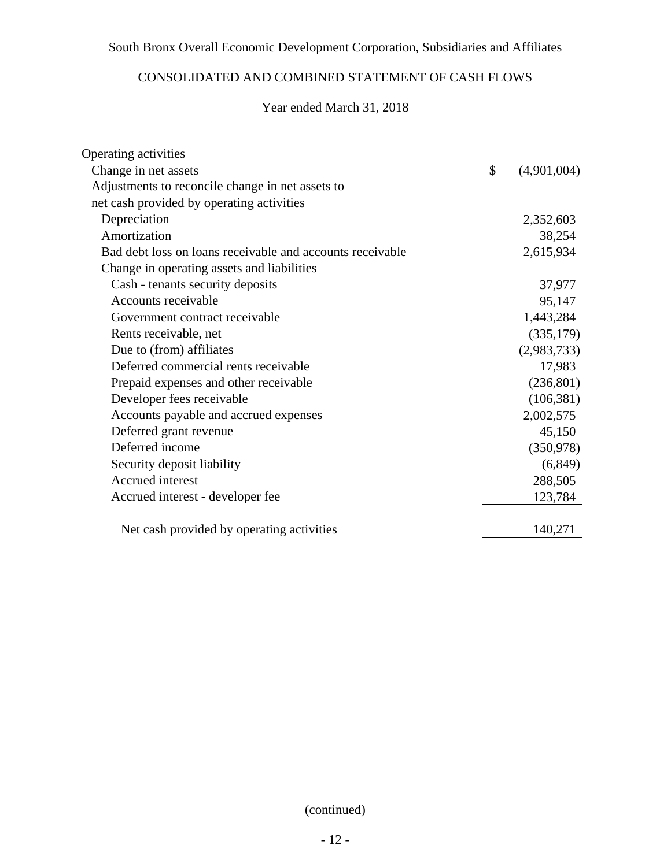# CONSOLIDATED AND COMBINED STATEMENT OF CASH FLOWS

## Year ended March 31, 2018

| Operating activities                                      |                   |
|-----------------------------------------------------------|-------------------|
| Change in net assets                                      | \$<br>(4,901,004) |
| Adjustments to reconcile change in net assets to          |                   |
| net cash provided by operating activities                 |                   |
| Depreciation                                              | 2,352,603         |
| Amortization                                              | 38,254            |
| Bad debt loss on loans receivable and accounts receivable | 2,615,934         |
| Change in operating assets and liabilities                |                   |
| Cash - tenants security deposits                          | 37,977            |
| Accounts receivable                                       | 95,147            |
| Government contract receivable                            | 1,443,284         |
| Rents receivable, net                                     | (335,179)         |
| Due to (from) affiliates                                  | (2,983,733)       |
| Deferred commercial rents receivable                      | 17,983            |
| Prepaid expenses and other receivable                     | (236, 801)        |
| Developer fees receivable                                 | (106, 381)        |
| Accounts payable and accrued expenses                     | 2,002,575         |
| Deferred grant revenue                                    | 45,150            |
| Deferred income                                           | (350, 978)        |
| Security deposit liability                                | (6,849)           |
| Accrued interest                                          | 288,505           |
| Accrued interest - developer fee                          | 123,784           |
| Net cash provided by operating activities                 | 140,271           |

(continued)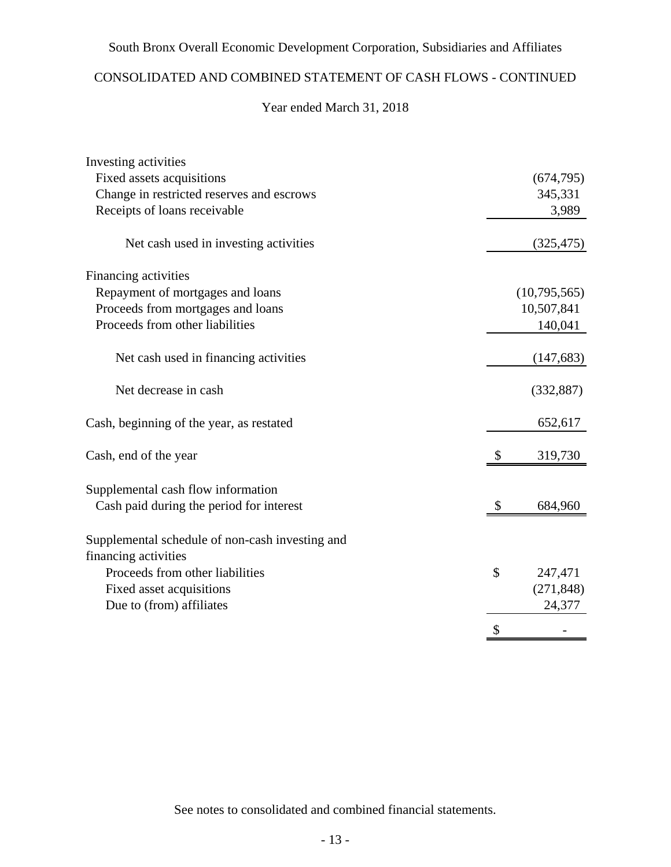## CONSOLIDATED AND COMBINED STATEMENT OF CASH FLOWS - CONTINUED

## Year ended March 31, 2018

| Investing activities                                                    |               |
|-------------------------------------------------------------------------|---------------|
| Fixed assets acquisitions                                               | (674, 795)    |
| Change in restricted reserves and escrows                               | 345,331       |
| Receipts of loans receivable                                            | 3,989         |
| Net cash used in investing activities                                   | (325, 475)    |
| Financing activities                                                    |               |
| Repayment of mortgages and loans                                        | (10,795,565)  |
| Proceeds from mortgages and loans                                       | 10,507,841    |
| Proceeds from other liabilities                                         | 140,041       |
| Net cash used in financing activities                                   | (147, 683)    |
| Net decrease in cash                                                    | (332, 887)    |
| Cash, beginning of the year, as restated                                | 652,617       |
| Cash, end of the year                                                   | 319,730       |
| Supplemental cash flow information                                      |               |
| Cash paid during the period for interest                                | \$<br>684,960 |
| Supplemental schedule of non-cash investing and<br>financing activities |               |
| Proceeds from other liabilities                                         | \$<br>247,471 |
| Fixed asset acquisitions                                                | (271, 848)    |
| Due to (from) affiliates                                                | 24,377        |
|                                                                         | \$            |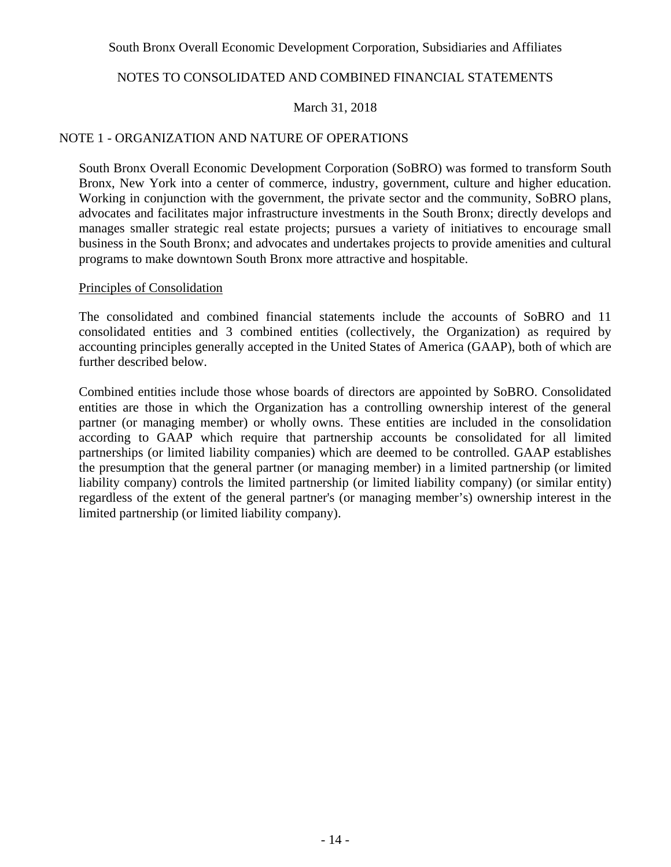## NOTES TO CONSOLIDATED AND COMBINED FINANCIAL STATEMENTS

### March 31, 2018

### NOTE 1 - ORGANIZATION AND NATURE OF OPERATIONS

South Bronx Overall Economic Development Corporation (SoBRO) was formed to transform South Bronx, New York into a center of commerce, industry, government, culture and higher education. Working in conjunction with the government, the private sector and the community, SoBRO plans, advocates and facilitates major infrastructure investments in the South Bronx; directly develops and manages smaller strategic real estate projects; pursues a variety of initiatives to encourage small business in the South Bronx; and advocates and undertakes projects to provide amenities and cultural programs to make downtown South Bronx more attractive and hospitable.

### Principles of Consolidation

The consolidated and combined financial statements include the accounts of SoBRO and 11 consolidated entities and 3 combined entities (collectively, the Organization) as required by accounting principles generally accepted in the United States of America (GAAP), both of which are further described below.

Combined entities include those whose boards of directors are appointed by SoBRO. Consolidated entities are those in which the Organization has a controlling ownership interest of the general partner (or managing member) or wholly owns. These entities are included in the consolidation according to GAAP which require that partnership accounts be consolidated for all limited partnerships (or limited liability companies) which are deemed to be controlled. GAAP establishes the presumption that the general partner (or managing member) in a limited partnership (or limited liability company) controls the limited partnership (or limited liability company) (or similar entity) regardless of the extent of the general partner's (or managing member's) ownership interest in the limited partnership (or limited liability company).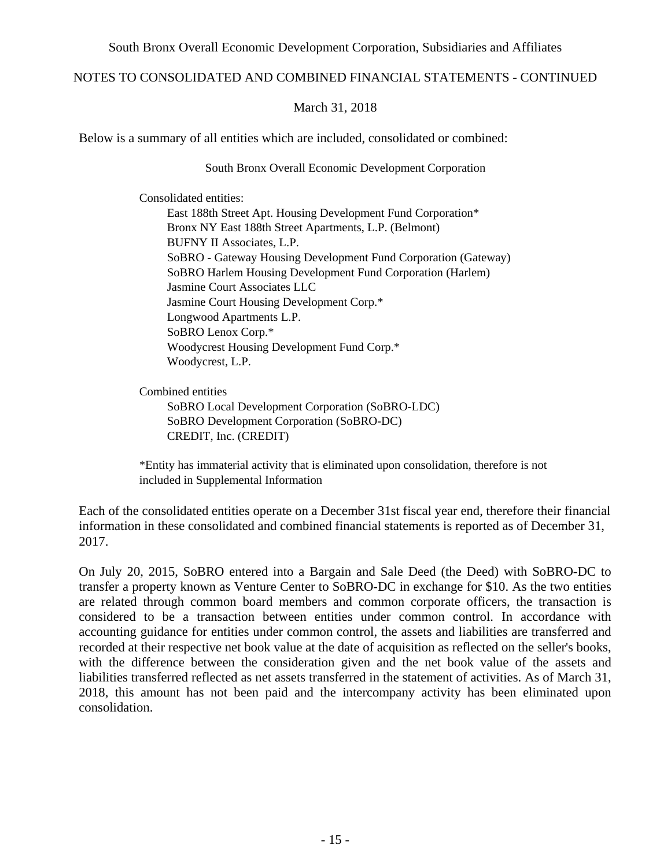### NOTES TO CONSOLIDATED AND COMBINED FINANCIAL STATEMENTS - CONTINUED

### March 31, 2018

Below is a summary of all entities which are included, consolidated or combined:

South Bronx Overall Economic Development Corporation

Consolidated entities: East 188th Street Apt. Housing Development Fund Corporation\* Bronx NY East 188th Street Apartments, L.P. (Belmont) BUFNY II Associates, L.P. SoBRO - Gateway Housing Development Fund Corporation (Gateway) SoBRO Harlem Housing Development Fund Corporation (Harlem) Jasmine Court Associates LLC Jasmine Court Housing Development Corp.\* Longwood Apartments L.P. SoBRO Lenox Corp.\* Woodycrest Housing Development Fund Corp.\* Woodycrest, L.P.

Combined entities SoBRO Local Development Corporation (SoBRO-LDC) SoBRO Development Corporation (SoBRO-DC) CREDIT, Inc. (CREDIT)

\*Entity has immaterial activity that is eliminated upon consolidation, therefore is not included in Supplemental Information

Each of the consolidated entities operate on a December 31st fiscal year end, therefore their financial information in these consolidated and combined financial statements is reported as of December 31, 2017.

On July 20, 2015, SoBRO entered into a Bargain and Sale Deed (the Deed) with SoBRO-DC to transfer a property known as Venture Center to SoBRO-DC in exchange for \$10. As the two entities are related through common board members and common corporate officers, the transaction is considered to be a transaction between entities under common control. In accordance with accounting guidance for entities under common control, the assets and liabilities are transferred and recorded at their respective net book value at the date of acquisition as reflected on the seller's books, with the difference between the consideration given and the net book value of the assets and liabilities transferred reflected as net assets transferred in the statement of activities. As of March 31, 2018, this amount has not been paid and the intercompany activity has been eliminated upon consolidation.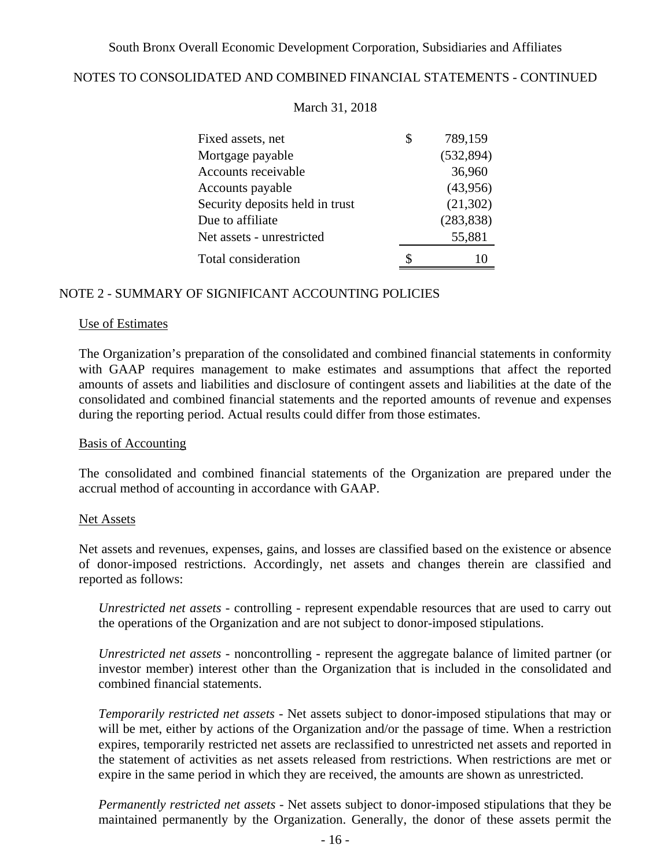## NOTES TO CONSOLIDATED AND COMBINED FINANCIAL STATEMENTS - CONTINUED

| Fixed assets, net               | \$<br>789,159 |
|---------------------------------|---------------|
| Mortgage payable                | (532, 894)    |
| Accounts receivable             | 36,960        |
| Accounts payable                | (43,956)      |
| Security deposits held in trust | (21, 302)     |
| Due to affiliate                | (283, 838)    |
| Net assets - unrestricted       | 55,881        |
| Total consideration             | 10            |

### March 31, 2018

### NOTE 2 - SUMMARY OF SIGNIFICANT ACCOUNTING POLICIES

#### Use of Estimates

The Organization's preparation of the consolidated and combined financial statements in conformity with GAAP requires management to make estimates and assumptions that affect the reported amounts of assets and liabilities and disclosure of contingent assets and liabilities at the date of the consolidated and combined financial statements and the reported amounts of revenue and expenses during the reporting period. Actual results could differ from those estimates.

#### Basis of Accounting

The consolidated and combined financial statements of the Organization are prepared under the accrual method of accounting in accordance with GAAP.

#### Net Assets

Net assets and revenues, expenses, gains, and losses are classified based on the existence or absence of donor-imposed restrictions. Accordingly, net assets and changes therein are classified and reported as follows:

*Unrestricted net assets* - controlling - represent expendable resources that are used to carry out the operations of the Organization and are not subject to donor-imposed stipulations.

*Unrestricted net assets -* noncontrolling - represent the aggregate balance of limited partner (or investor member) interest other than the Organization that is included in the consolidated and combined financial statements.

*Temporarily restricted net assets -* Net assets subject to donor-imposed stipulations that may or will be met, either by actions of the Organization and/or the passage of time. When a restriction expires, temporarily restricted net assets are reclassified to unrestricted net assets and reported in the statement of activities as net assets released from restrictions. When restrictions are met or expire in the same period in which they are received, the amounts are shown as unrestricted.

*Permanently restricted net assets -* Net assets subject to donor-imposed stipulations that they be maintained permanently by the Organization. Generally, the donor of these assets permit the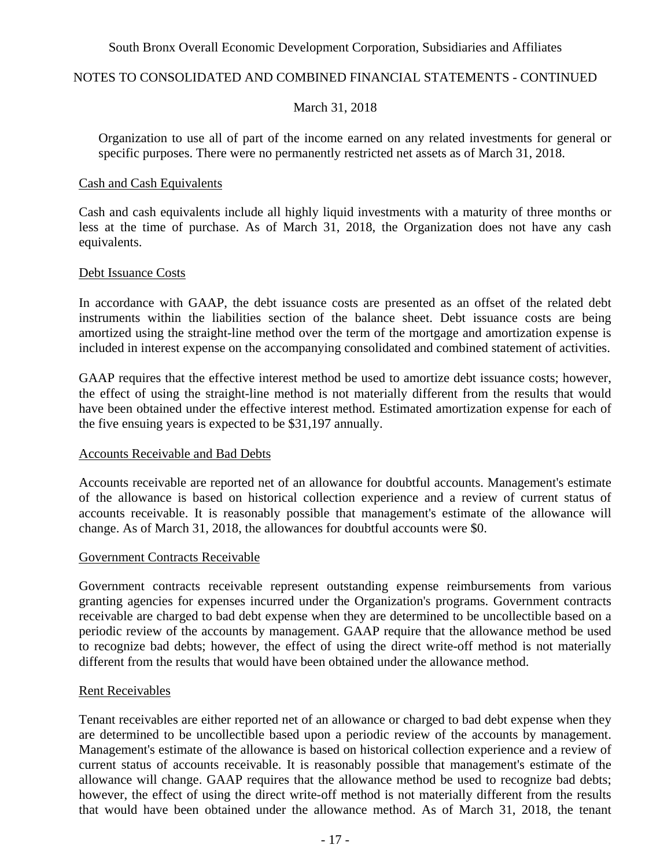### NOTES TO CONSOLIDATED AND COMBINED FINANCIAL STATEMENTS - CONTINUED

### March 31, 2018

Organization to use all of part of the income earned on any related investments for general or specific purposes. There were no permanently restricted net assets as of March 31, 2018.

#### Cash and Cash Equivalents

Cash and cash equivalents include all highly liquid investments with a maturity of three months or less at the time of purchase. As of March 31, 2018, the Organization does not have any cash equivalents.

#### Debt Issuance Costs

In accordance with GAAP, the debt issuance costs are presented as an offset of the related debt instruments within the liabilities section of the balance sheet. Debt issuance costs are being amortized using the straight-line method over the term of the mortgage and amortization expense is included in interest expense on the accompanying consolidated and combined statement of activities.

GAAP requires that the effective interest method be used to amortize debt issuance costs; however, the effect of using the straight-line method is not materially different from the results that would have been obtained under the effective interest method. Estimated amortization expense for each of the five ensuing years is expected to be \$31,197 annually.

#### Accounts Receivable and Bad Debts

Accounts receivable are reported net of an allowance for doubtful accounts. Management's estimate of the allowance is based on historical collection experience and a review of current status of accounts receivable. It is reasonably possible that management's estimate of the allowance will change. As of March 31, 2018, the allowances for doubtful accounts were \$0.

#### Government Contracts Receivable

Government contracts receivable represent outstanding expense reimbursements from various granting agencies for expenses incurred under the Organization's programs. Government contracts receivable are charged to bad debt expense when they are determined to be uncollectible based on a periodic review of the accounts by management. GAAP require that the allowance method be used to recognize bad debts; however, the effect of using the direct write-off method is not materially different from the results that would have been obtained under the allowance method.

#### Rent Receivables

Tenant receivables are either reported net of an allowance or charged to bad debt expense when they are determined to be uncollectible based upon a periodic review of the accounts by management. Management's estimate of the allowance is based on historical collection experience and a review of current status of accounts receivable. It is reasonably possible that management's estimate of the allowance will change. GAAP requires that the allowance method be used to recognize bad debts; however, the effect of using the direct write-off method is not materially different from the results that would have been obtained under the allowance method. As of March 31, 2018, the tenant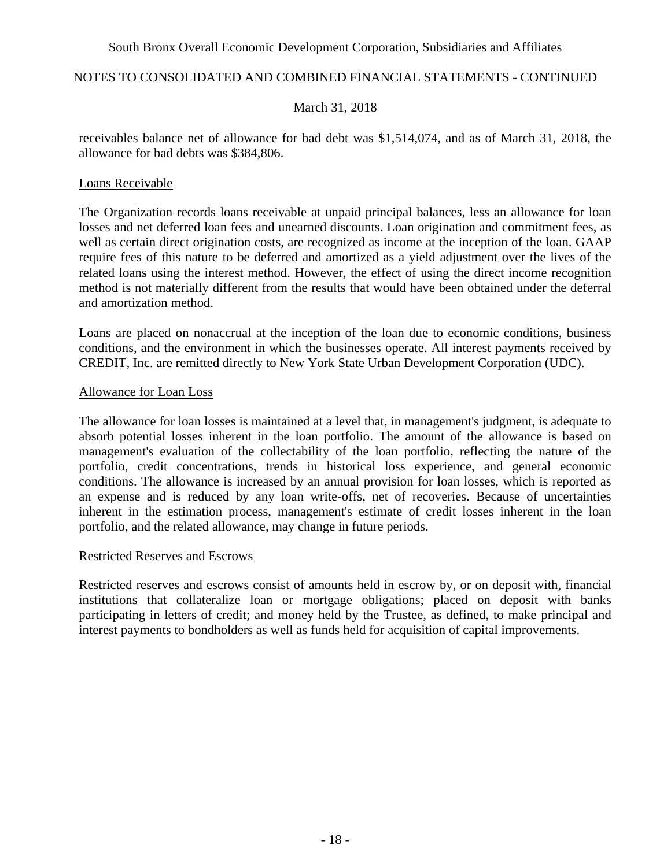### NOTES TO CONSOLIDATED AND COMBINED FINANCIAL STATEMENTS - CONTINUED

### March 31, 2018

receivables balance net of allowance for bad debt was \$1,514,074, and as of March 31, 2018, the allowance for bad debts was \$384,806.

### Loans Receivable

The Organization records loans receivable at unpaid principal balances, less an allowance for loan losses and net deferred loan fees and unearned discounts. Loan origination and commitment fees, as well as certain direct origination costs, are recognized as income at the inception of the loan. GAAP require fees of this nature to be deferred and amortized as a yield adjustment over the lives of the related loans using the interest method. However, the effect of using the direct income recognition method is not materially different from the results that would have been obtained under the deferral and amortization method.

Loans are placed on nonaccrual at the inception of the loan due to economic conditions, business conditions, and the environment in which the businesses operate. All interest payments received by CREDIT, Inc. are remitted directly to New York State Urban Development Corporation (UDC).

### Allowance for Loan Loss

The allowance for loan losses is maintained at a level that, in management's judgment, is adequate to absorb potential losses inherent in the loan portfolio. The amount of the allowance is based on management's evaluation of the collectability of the loan portfolio, reflecting the nature of the portfolio, credit concentrations, trends in historical loss experience, and general economic conditions. The allowance is increased by an annual provision for loan losses, which is reported as an expense and is reduced by any loan write-offs, net of recoveries. Because of uncertainties inherent in the estimation process, management's estimate of credit losses inherent in the loan portfolio, and the related allowance, may change in future periods.

### Restricted Reserves and Escrows

Restricted reserves and escrows consist of amounts held in escrow by, or on deposit with, financial institutions that collateralize loan or mortgage obligations; placed on deposit with banks participating in letters of credit; and money held by the Trustee, as defined, to make principal and interest payments to bondholders as well as funds held for acquisition of capital improvements.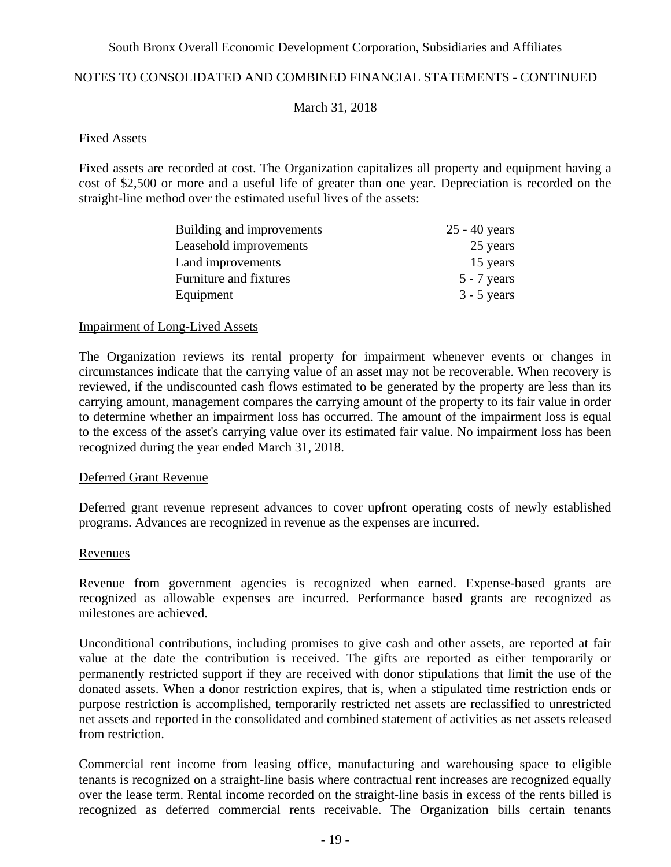### NOTES TO CONSOLIDATED AND COMBINED FINANCIAL STATEMENTS - CONTINUED

March 31, 2018

#### Fixed Assets

Fixed assets are recorded at cost. The Organization capitalizes all property and equipment having a cost of \$2,500 or more and a useful life of greater than one year. Depreciation is recorded on the straight-line method over the estimated useful lives of the assets:

| Building and improvements | $25 - 40$ years |
|---------------------------|-----------------|
| Leasehold improvements    | 25 years        |
| Land improvements         | 15 years        |
| Furniture and fixtures    | $5 - 7$ years   |
| Equipment                 | $3 - 5$ years   |

#### Impairment of Long-Lived Assets

The Organization reviews its rental property for impairment whenever events or changes in circumstances indicate that the carrying value of an asset may not be recoverable. When recovery is reviewed, if the undiscounted cash flows estimated to be generated by the property are less than its carrying amount, management compares the carrying amount of the property to its fair value in order to determine whether an impairment loss has occurred. The amount of the impairment loss is equal to the excess of the asset's carrying value over its estimated fair value. No impairment loss has been recognized during the year ended March 31, 2018.

## Deferred Grant Revenue

Deferred grant revenue represent advances to cover upfront operating costs of newly established programs. Advances are recognized in revenue as the expenses are incurred.

### Revenues

Revenue from government agencies is recognized when earned. Expense-based grants are recognized as allowable expenses are incurred. Performance based grants are recognized as milestones are achieved.

Unconditional contributions, including promises to give cash and other assets, are reported at fair value at the date the contribution is received. The gifts are reported as either temporarily or permanently restricted support if they are received with donor stipulations that limit the use of the donated assets. When a donor restriction expires, that is, when a stipulated time restriction ends or purpose restriction is accomplished, temporarily restricted net assets are reclassified to unrestricted net assets and reported in the consolidated and combined statement of activities as net assets released from restriction.

Commercial rent income from leasing office, manufacturing and warehousing space to eligible tenants is recognized on a straight-line basis where contractual rent increases are recognized equally over the lease term. Rental income recorded on the straight-line basis in excess of the rents billed is recognized as deferred commercial rents receivable. The Organization bills certain tenants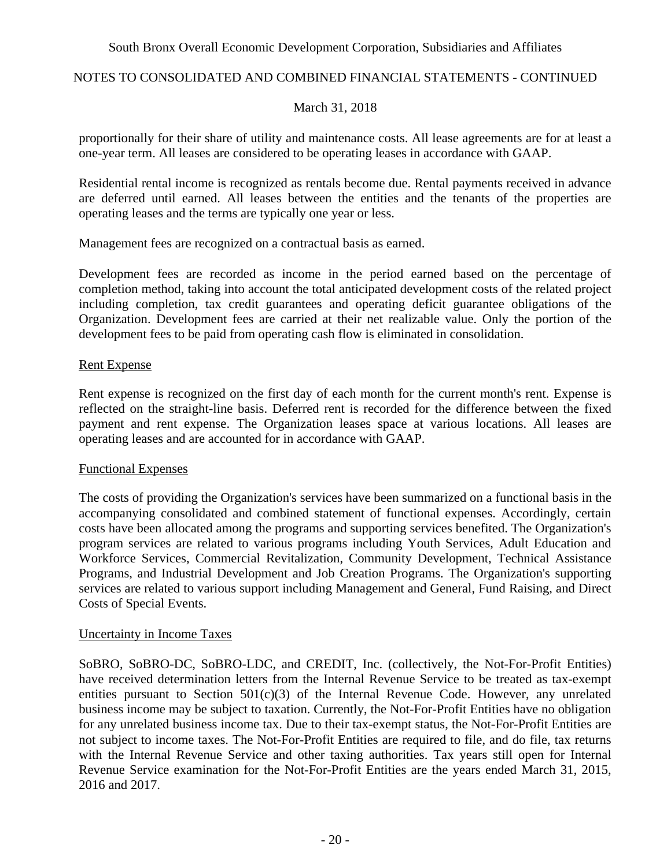## NOTES TO CONSOLIDATED AND COMBINED FINANCIAL STATEMENTS - CONTINUED

### March 31, 2018

proportionally for their share of utility and maintenance costs. All lease agreements are for at least a one-year term. All leases are considered to be operating leases in accordance with GAAP.

Residential rental income is recognized as rentals become due. Rental payments received in advance are deferred until earned. All leases between the entities and the tenants of the properties are operating leases and the terms are typically one year or less.

Management fees are recognized on a contractual basis as earned.

Development fees are recorded as income in the period earned based on the percentage of completion method, taking into account the total anticipated development costs of the related project including completion, tax credit guarantees and operating deficit guarantee obligations of the Organization. Development fees are carried at their net realizable value. Only the portion of the development fees to be paid from operating cash flow is eliminated in consolidation.

### Rent Expense

Rent expense is recognized on the first day of each month for the current month's rent. Expense is reflected on the straight-line basis. Deferred rent is recorded for the difference between the fixed payment and rent expense. The Organization leases space at various locations. All leases are operating leases and are accounted for in accordance with GAAP.

### Functional Expenses

The costs of providing the Organization's services have been summarized on a functional basis in the accompanying consolidated and combined statement of functional expenses. Accordingly, certain costs have been allocated among the programs and supporting services benefited. The Organization's program services are related to various programs including Youth Services, Adult Education and Workforce Services, Commercial Revitalization, Community Development, Technical Assistance Programs, and Industrial Development and Job Creation Programs. The Organization's supporting services are related to various support including Management and General, Fund Raising, and Direct Costs of Special Events.

### Uncertainty in Income Taxes

SoBRO, SoBRO-DC, SoBRO-LDC, and CREDIT, Inc. (collectively, the Not-For-Profit Entities) have received determination letters from the Internal Revenue Service to be treated as tax-exempt entities pursuant to Section 501(c)(3) of the Internal Revenue Code. However, any unrelated business income may be subject to taxation. Currently, the Not-For-Profit Entities have no obligation for any unrelated business income tax. Due to their tax-exempt status, the Not-For-Profit Entities are not subject to income taxes. The Not-For-Profit Entities are required to file, and do file, tax returns with the Internal Revenue Service and other taxing authorities. Tax years still open for Internal Revenue Service examination for the Not-For-Profit Entities are the years ended March 31, 2015, 2016 and 2017.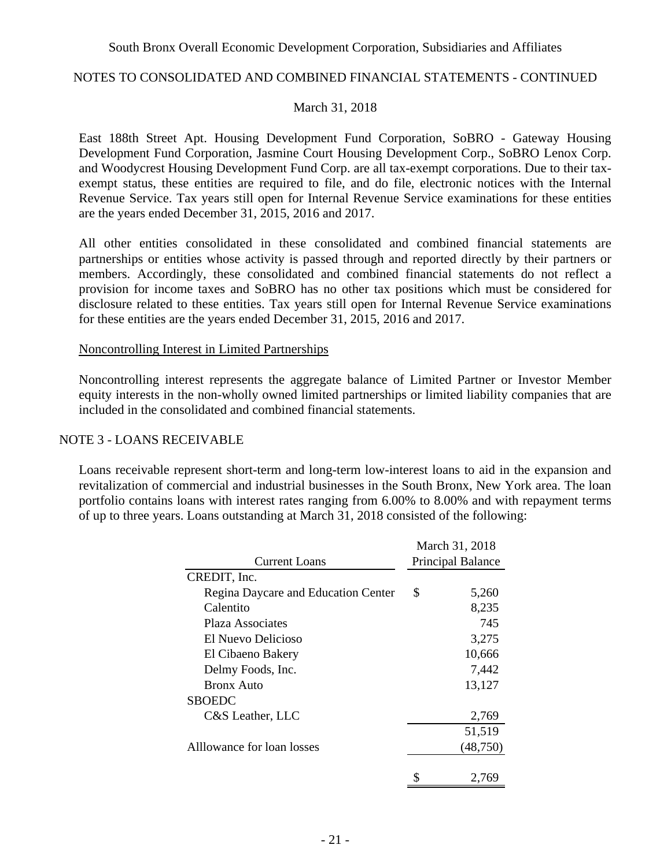### NOTES TO CONSOLIDATED AND COMBINED FINANCIAL STATEMENTS - CONTINUED

### March 31, 2018

East 188th Street Apt. Housing Development Fund Corporation, SoBRO - Gateway Housing Development Fund Corporation, Jasmine Court Housing Development Corp., SoBRO Lenox Corp. and Woodycrest Housing Development Fund Corp. are all tax-exempt corporations. Due to their taxexempt status, these entities are required to file, and do file, electronic notices with the Internal Revenue Service. Tax years still open for Internal Revenue Service examinations for these entities are the years ended December 31, 2015, 2016 and 2017.

All other entities consolidated in these consolidated and combined financial statements are partnerships or entities whose activity is passed through and reported directly by their partners or members. Accordingly, these consolidated and combined financial statements do not reflect a provision for income taxes and SoBRO has no other tax positions which must be considered for disclosure related to these entities. Tax years still open for Internal Revenue Service examinations for these entities are the years ended December 31, 2015, 2016 and 2017.

#### Noncontrolling Interest in Limited Partnerships

Noncontrolling interest represents the aggregate balance of Limited Partner or Investor Member equity interests in the non-wholly owned limited partnerships or limited liability companies that are included in the consolidated and combined financial statements.

#### NOTE 3 - LOANS RECEIVABLE

Loans receivable represent short-term and long-term low-interest loans to aid in the expansion and revitalization of commercial and industrial businesses in the South Bronx, New York area. The loan portfolio contains loans with interest rates ranging from 6.00% to 8.00% and with repayment terms of up to three years. Loans outstanding at March 31, 2018 consisted of the following:

|                                     | March 31, 2018    |           |  |  |  |  |
|-------------------------------------|-------------------|-----------|--|--|--|--|
| <b>Current Loans</b>                | Principal Balance |           |  |  |  |  |
| CREDIT, Inc.                        |                   |           |  |  |  |  |
| Regina Daycare and Education Center | \$                | 5,260     |  |  |  |  |
| Calentito                           |                   | 8,235     |  |  |  |  |
| Plaza Associates                    |                   | 745       |  |  |  |  |
| El Nuevo Delicioso                  |                   | 3,275     |  |  |  |  |
| El Cibaeno Bakery                   |                   | 10,666    |  |  |  |  |
| Delmy Foods, Inc.                   |                   | 7,442     |  |  |  |  |
| Bronx Auto                          |                   | 13,127    |  |  |  |  |
| <b>SBOEDC</b>                       |                   |           |  |  |  |  |
| C&S Leather, LLC                    |                   | 2,769     |  |  |  |  |
|                                     |                   | 51,519    |  |  |  |  |
| Alllowance for loan losses          |                   | (48, 750) |  |  |  |  |
|                                     | \$                | 2,769     |  |  |  |  |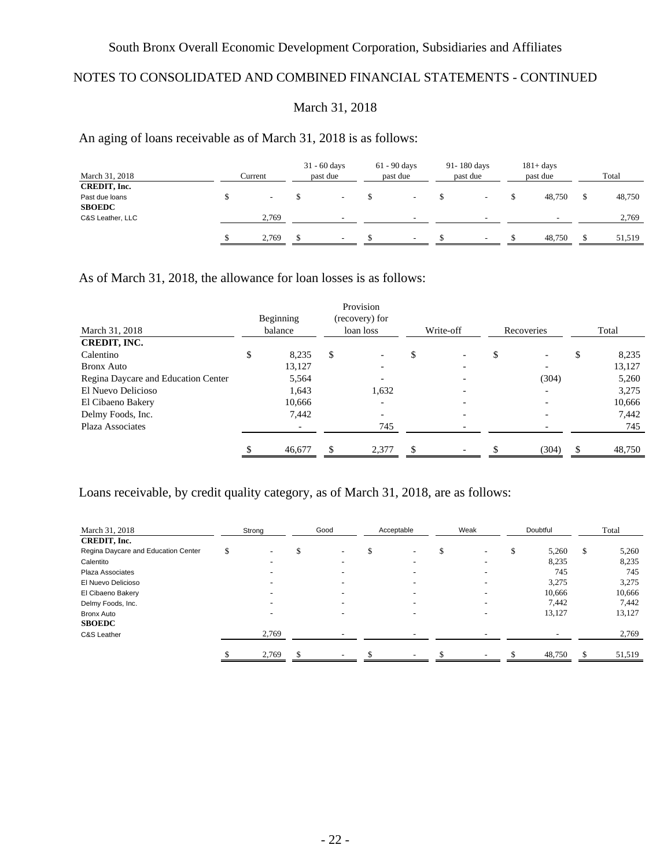# NOTES TO CONSOLIDATED AND COMBINED FINANCIAL STATEMENTS - CONTINUED

## March 31, 2018

## An aging of loans receivable as of March 31, 2018 is as follows:

| March 31, 2018   | Current                  | $31 - 60$ days<br>past due | $61 - 90$ days<br>past due | 91-180 days<br>past due | $181 + days$<br>past due | Total  |
|------------------|--------------------------|----------------------------|----------------------------|-------------------------|--------------------------|--------|
| CREDIT, Inc.     |                          |                            |                            |                         |                          |        |
| Past due loans   | $\overline{\phantom{a}}$ |                            | $\overline{\phantom{0}}$   |                         | 48,750                   | 48,750 |
| <b>SBOEDC</b>    |                          |                            |                            |                         |                          |        |
| C&S Leather, LLC | 2,769                    | -                          | $\overline{\phantom{0}}$   |                         |                          | 2,769  |
|                  |                          |                            |                            |                         |                          |        |
|                  | 2.769                    | $\overline{\phantom{a}}$   | $\overline{\phantom{0}}$   |                         | 48,750                   | 51,519 |
|                  |                          |                            |                            |                         |                          |        |

As of March 31, 2018, the allowance for loan losses is as follows:

|                                     | Beginning   | Provision<br>(recovery) for |    |           |            |     |        |
|-------------------------------------|-------------|-----------------------------|----|-----------|------------|-----|--------|
| March 31, 2018                      | balance     | loan loss                   |    | Write-off | Recoveries |     | Total  |
| <b>CREDIT, INC.</b>                 |             |                             |    |           |            |     |        |
| Calentino                           | \$<br>8,235 | \$                          | Φ  |           |            | \$  | 8,235  |
| <b>Bronx Auto</b>                   | 13,127      |                             |    |           |            |     | 13,127 |
| Regina Daycare and Education Center | 5,564       |                             |    |           | (304)      |     | 5,260  |
| El Nuevo Delicioso                  | 1,643       | 1,632                       |    |           |            |     | 3,275  |
| El Cibaeno Bakery                   | 10,666      |                             |    |           |            |     | 10,666 |
| Delmy Foods, Inc.                   | 7,442       |                             |    |           |            |     | 7,442  |
| Plaza Associates                    |             | 745                         |    |           |            |     | 745    |
|                                     |             |                             |    |           |            |     |        |
|                                     | 46,677      | 2,377                       | £. |           | (304)      | \$. | 48,750 |

Loans receivable, by credit quality category, as of March 31, 2018, are as follows:

| March 31, 2018                      | Strong                   | Good | Acceptable                     | Weak | Doubtful                 |   | Total  |
|-------------------------------------|--------------------------|------|--------------------------------|------|--------------------------|---|--------|
| CREDIT, Inc.                        |                          |      |                                |      |                          |   |        |
| Regina Daycare and Education Center |                          |      | \$<br>$\overline{\phantom{0}}$ |      | 5,260                    | S | 5,260  |
| Calentito                           | $\overline{\phantom{0}}$ | -    | $\overline{\phantom{0}}$       | -    | 8,235                    |   | 8.235  |
| Plaza Associates                    |                          |      | $\overline{\phantom{0}}$       |      | 745                      |   | 745    |
| El Nuevo Delicioso                  |                          |      | $\overline{\phantom{0}}$       |      | 3,275                    |   | 3,275  |
| El Cibaeno Bakery                   |                          |      | $\overline{\phantom{0}}$       |      | 10,666                   |   | 10,666 |
| Delmy Foods, Inc.                   |                          |      |                                |      | 7,442                    |   | 7,442  |
| <b>Bronx Auto</b>                   |                          |      | $\overline{\phantom{0}}$       |      | 13,127                   |   | 13,127 |
| <b>SBOEDC</b>                       |                          |      |                                |      |                          |   |        |
| C&S Leather                         | 2,769                    |      | $\overline{\phantom{0}}$       |      | $\overline{\phantom{0}}$ |   | 2,769  |
|                                     | 2,769                    |      | $\overline{\phantom{a}}$       |      | 48,750                   |   | 51,519 |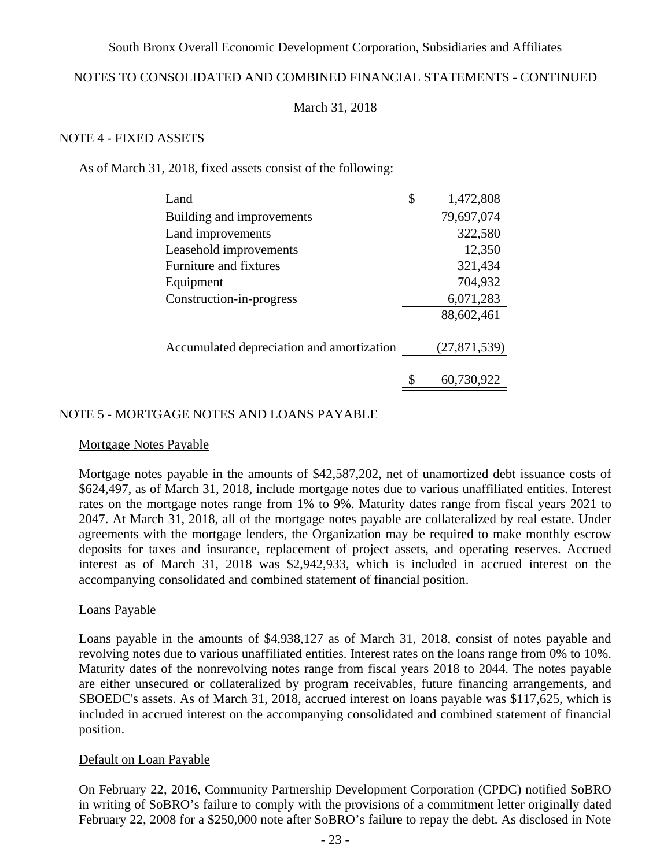## NOTES TO CONSOLIDATED AND COMBINED FINANCIAL STATEMENTS - CONTINUED

### March 31, 2018

### NOTE 4 - FIXED ASSETS

As of March 31, 2018, fixed assets consist of the following:

| Land                                      | \$ | 1,472,808      |
|-------------------------------------------|----|----------------|
| Building and improvements                 |    | 79,697,074     |
| Land improvements                         |    | 322,580        |
| Leasehold improvements                    |    | 12,350         |
| Furniture and fixtures                    |    | 321,434        |
| Equipment                                 |    | 704,932        |
| Construction-in-progress                  |    | 6,071,283      |
|                                           |    | 88,602,461     |
| Accumulated depreciation and amortization |    | (27, 871, 539) |
|                                           | S  | 60,730,922     |

### NOTE 5 - MORTGAGE NOTES AND LOANS PAYABLE

#### Mortgage Notes Payable

Mortgage notes payable in the amounts of \$42,587,202, net of unamortized debt issuance costs of \$624,497, as of March 31, 2018, include mortgage notes due to various unaffiliated entities. Interest rates on the mortgage notes range from 1% to 9%. Maturity dates range from fiscal years 2021 to 2047. At March 31, 2018, all of the mortgage notes payable are collateralized by real estate. Under agreements with the mortgage lenders, the Organization may be required to make monthly escrow deposits for taxes and insurance, replacement of project assets, and operating reserves. Accrued interest as of March 31, 2018 was \$2,942,933, which is included in accrued interest on the accompanying consolidated and combined statement of financial position.

#### Loans Payable

Loans payable in the amounts of \$4,938,127 as of March 31, 2018, consist of notes payable and revolving notes due to various unaffiliated entities. Interest rates on the loans range from 0% to 10%. Maturity dates of the nonrevolving notes range from fiscal years 2018 to 2044. The notes payable are either unsecured or collateralized by program receivables, future financing arrangements, and SBOEDC's assets. As of March 31, 2018, accrued interest on loans payable was \$117,625, which is included in accrued interest on the accompanying consolidated and combined statement of financial position.

### Default on Loan Payable

On February 22, 2016, Community Partnership Development Corporation (CPDC) notified SoBRO in writing of SoBRO's failure to comply with the provisions of a commitment letter originally dated February 22, 2008 for a \$250,000 note after SoBRO's failure to repay the debt. As disclosed in Note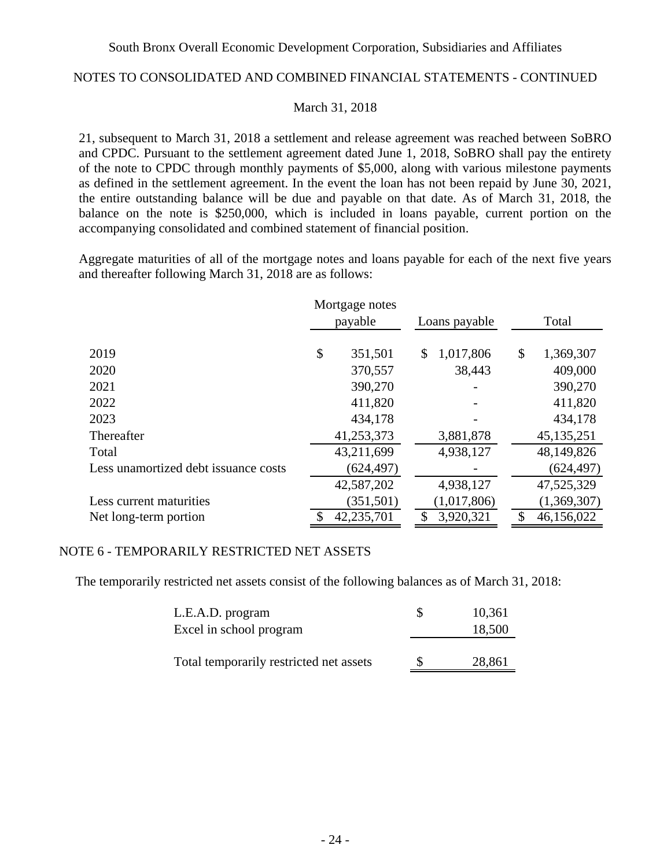## NOTES TO CONSOLIDATED AND COMBINED FINANCIAL STATEMENTS - CONTINUED

### March 31, 2018

21, subsequent to March 31, 2018 a settlement and release agreement was reached between SoBRO and CPDC. Pursuant to the settlement agreement dated June 1, 2018, SoBRO shall pay the entirety of the note to CPDC through monthly payments of \$5,000, along with various milestone payments as defined in the settlement agreement. In the event the loan has not been repaid by June 30, 2021, the entire outstanding balance will be due and payable on that date. As of March 31, 2018, the balance on the note is \$250,000, which is included in loans payable, current portion on the accompanying consolidated and combined statement of financial position.

Aggregate maturities of all of the mortgage notes and loans payable for each of the next five years and thereafter following March 31, 2018 are as follows:

|                                      | Mortgage notes |               |             |                  |
|--------------------------------------|----------------|---------------|-------------|------------------|
|                                      | payable        | Loans payable |             | Total            |
| 2019                                 | \$<br>351,501  | \$            | 1,017,806   | \$<br>1,369,307  |
| 2020                                 | 370,557        |               | 38,443      | 409,000          |
| 2021                                 | 390,270        |               |             | 390,270          |
| 2022                                 | 411,820        |               |             | 411,820          |
| 2023                                 | 434,178        |               |             | 434,178          |
| Thereafter                           | 41,253,373     |               | 3,881,878   | 45, 135, 251     |
| Total                                | 43,211,699     |               | 4,938,127   | 48,149,826       |
| Less unamortized debt issuance costs | (624, 497)     |               |             | (624, 497)       |
|                                      | 42,587,202     |               | 4,938,127   | 47,525,329       |
| Less current maturities              | (351, 501)     |               | (1,017,806) | (1,369,307)      |
| Net long-term portion                | 42,235,701     |               | 3,920,321   | \$<br>46,156,022 |

## NOTE 6 - TEMPORARILY RESTRICTED NET ASSETS

The temporarily restricted net assets consist of the following balances as of March 31, 2018:

| L.E.A.D. program                        | S | 10,361 |
|-----------------------------------------|---|--------|
| Excel in school program                 |   | 18,500 |
|                                         |   |        |
| Total temporarily restricted net assets | S | 28,861 |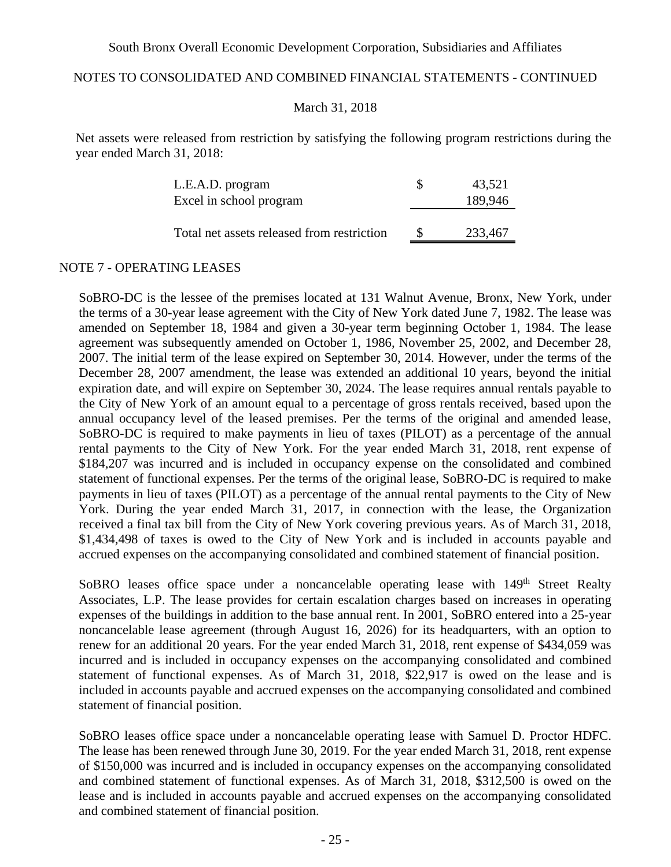### NOTES TO CONSOLIDATED AND COMBINED FINANCIAL STATEMENTS - CONTINUED

### March 31, 2018

Net assets were released from restriction by satisfying the following program restrictions during the year ended March 31, 2018:

| 43,521  |
|---------|
| 189,946 |
|         |
| 233,467 |
|         |

#### NOTE 7 - OPERATING LEASES

SoBRO-DC is the lessee of the premises located at 131 Walnut Avenue, Bronx, New York, under the terms of a 30-year lease agreement with the City of New York dated June 7, 1982. The lease was amended on September 18, 1984 and given a 30-year term beginning October 1, 1984. The lease agreement was subsequently amended on October 1, 1986, November 25, 2002, and December 28, 2007. The initial term of the lease expired on September 30, 2014. However, under the terms of the December 28, 2007 amendment, the lease was extended an additional 10 years, beyond the initial expiration date, and will expire on September 30, 2024. The lease requires annual rentals payable to the City of New York of an amount equal to a percentage of gross rentals received, based upon the annual occupancy level of the leased premises. Per the terms of the original and amended lease, SoBRO-DC is required to make payments in lieu of taxes (PILOT) as a percentage of the annual rental payments to the City of New York. For the year ended March 31, 2018, rent expense of \$184,207 was incurred and is included in occupancy expense on the consolidated and combined statement of functional expenses. Per the terms of the original lease, SoBRO-DC is required to make payments in lieu of taxes (PILOT) as a percentage of the annual rental payments to the City of New York. During the year ended March 31, 2017, in connection with the lease, the Organization received a final tax bill from the City of New York covering previous years. As of March 31, 2018, \$1,434,498 of taxes is owed to the City of New York and is included in accounts payable and accrued expenses on the accompanying consolidated and combined statement of financial position.

SoBRO leases office space under a noncancelable operating lease with 149<sup>th</sup> Street Realty Associates, L.P. The lease provides for certain escalation charges based on increases in operating expenses of the buildings in addition to the base annual rent. In 2001, SoBRO entered into a 25-year noncancelable lease agreement (through August 16, 2026) for its headquarters, with an option to renew for an additional 20 years. For the year ended March 31, 2018, rent expense of \$434,059 was incurred and is included in occupancy expenses on the accompanying consolidated and combined statement of functional expenses. As of March 31, 2018, \$22,917 is owed on the lease and is included in accounts payable and accrued expenses on the accompanying consolidated and combined statement of financial position.

SoBRO leases office space under a noncancelable operating lease with Samuel D. Proctor HDFC. The lease has been renewed through June 30, 2019. For the year ended March 31, 2018, rent expense of \$150,000 was incurred and is included in occupancy expenses on the accompanying consolidated and combined statement of functional expenses. As of March 31, 2018, \$312,500 is owed on the lease and is included in accounts payable and accrued expenses on the accompanying consolidated and combined statement of financial position.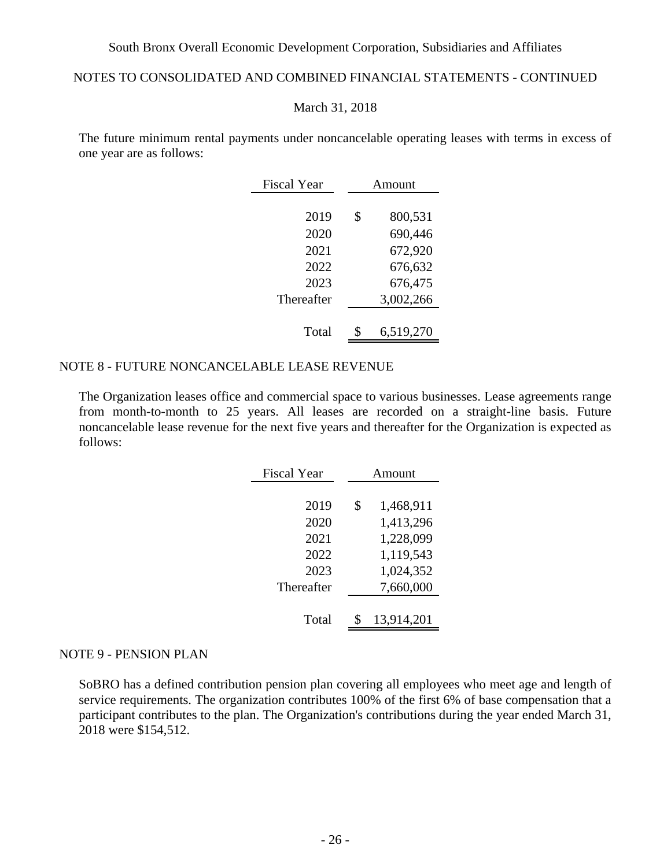## NOTES TO CONSOLIDATED AND COMBINED FINANCIAL STATEMENTS - CONTINUED

#### March 31, 2018

The future minimum rental payments under noncancelable operating leases with terms in excess of one year are as follows:

| <b>Fiscal Year</b> | Amount |           |  |  |  |  |
|--------------------|--------|-----------|--|--|--|--|
|                    |        |           |  |  |  |  |
| 2019               | \$     | 800,531   |  |  |  |  |
| 2020               |        | 690,446   |  |  |  |  |
| 2021               |        | 672,920   |  |  |  |  |
| 2022               |        | 676,632   |  |  |  |  |
| 2023               |        | 676,475   |  |  |  |  |
| Thereafter         |        | 3,002,266 |  |  |  |  |
|                    |        |           |  |  |  |  |
| Total              | \$     | 6,519,270 |  |  |  |  |

### NOTE 8 - FUTURE NONCANCELABLE LEASE REVENUE

The Organization leases office and commercial space to various businesses. Lease agreements range from month-to-month to 25 years. All leases are recorded on a straight-line basis. Future noncancelable lease revenue for the next five years and thereafter for the Organization is expected as follows:

| <b>Fiscal Year</b> | Amount |            |  |  |  |  |  |
|--------------------|--------|------------|--|--|--|--|--|
|                    |        |            |  |  |  |  |  |
| 2019               | \$     | 1,468,911  |  |  |  |  |  |
| 2020               |        | 1,413,296  |  |  |  |  |  |
| 2021               |        | 1,228,099  |  |  |  |  |  |
| 2022               |        | 1,119,543  |  |  |  |  |  |
| 2023               |        | 1,024,352  |  |  |  |  |  |
| Thereafter         |        | 7,660,000  |  |  |  |  |  |
|                    |        |            |  |  |  |  |  |
| Total              |        | 13,914,201 |  |  |  |  |  |
|                    |        |            |  |  |  |  |  |

#### NOTE 9 - PENSION PLAN

SoBRO has a defined contribution pension plan covering all employees who meet age and length of service requirements. The organization contributes 100% of the first 6% of base compensation that a participant contributes to the plan. The Organization's contributions during the year ended March 31, 2018 were \$154,512.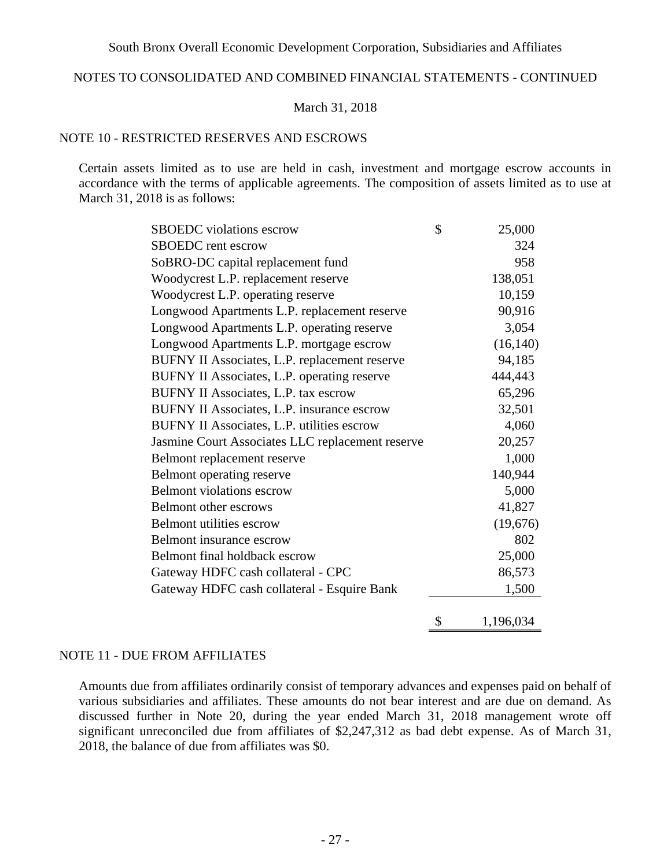### NOTES TO CONSOLIDATED AND COMBINED FINANCIAL STATEMENTS - CONTINUED

### March 31, 2018

## NOTE 10 - RESTRICTED RESERVES AND ESCROWS

Certain assets limited as to use are held in cash, investment and mortgage escrow accounts in accordance with the terms of applicable agreements. The composition of assets limited as to use at March 31, 2018 is as follows:

| <b>SBOEDC</b> violations escrow                  | \$<br>25,000    |
|--------------------------------------------------|-----------------|
| <b>SBOEDC</b> rent escrow                        | 324             |
| SoBRO-DC capital replacement fund                | 958             |
| Woodycrest L.P. replacement reserve              | 138,051         |
| Woodycrest L.P. operating reserve                | 10,159          |
| Longwood Apartments L.P. replacement reserve     | 90,916          |
| Longwood Apartments L.P. operating reserve       | 3,054           |
| Longwood Apartments L.P. mortgage escrow         | (16, 140)       |
| BUFNY II Associates, L.P. replacement reserve    | 94,185          |
| BUFNY II Associates, L.P. operating reserve      | 444,443         |
| BUFNY II Associates, L.P. tax escrow             | 65,296          |
| BUFNY II Associates, L.P. insurance escrow       | 32,501          |
| BUFNY II Associates, L.P. utilities escrow       | 4,060           |
| Jasmine Court Associates LLC replacement reserve | 20,257          |
| Belmont replacement reserve                      | 1,000           |
| Belmont operating reserve                        | 140,944         |
| <b>Belmont</b> violations escrow                 | 5,000           |
| <b>Belmont other escrows</b>                     | 41,827          |
| <b>Belmont utilities escrow</b>                  | (19,676)        |
| Belmont insurance escrow                         | 802             |
| Belmont final holdback escrow                    | 25,000          |
| Gateway HDFC cash collateral - CPC               | 86,573          |
| Gateway HDFC cash collateral - Esquire Bank      | 1,500           |
|                                                  | \$<br>1,196,034 |

#### NOTE 11 - DUE FROM AFFILIATES

Amounts due from affiliates ordinarily consist of temporary advances and expenses paid on behalf of various subsidiaries and affiliates. These amounts do not bear interest and are due on demand. As discussed further in Note 20, during the year ended March 31, 2018 management wrote off significant unreconciled due from affiliates of \$2,247,312 as bad debt expense. As of March 31, 2018, the balance of due from affiliates was \$0.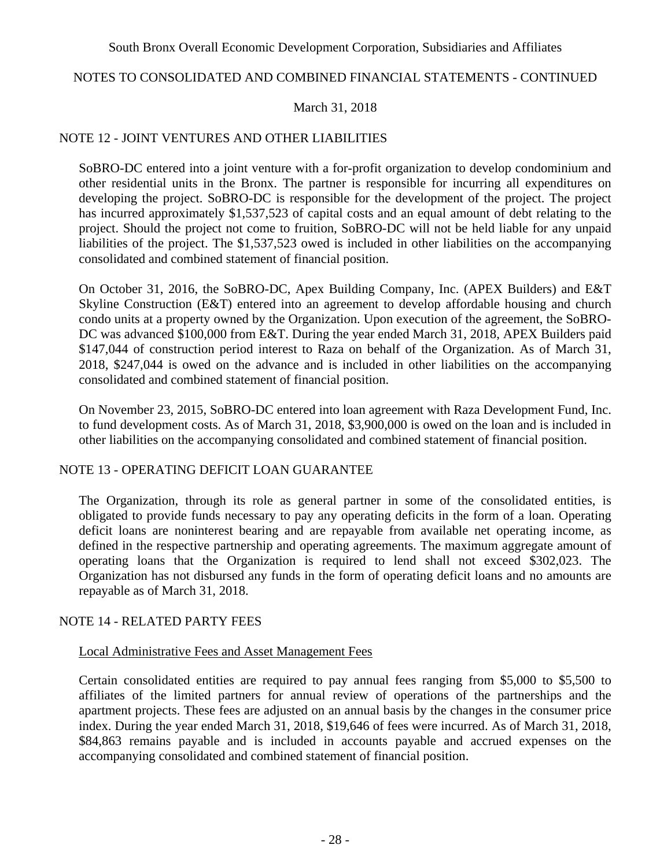### NOTES TO CONSOLIDATED AND COMBINED FINANCIAL STATEMENTS - CONTINUED

### March 31, 2018

### NOTE 12 - JOINT VENTURES AND OTHER LIABILITIES

SoBRO-DC entered into a joint venture with a for-profit organization to develop condominium and other residential units in the Bronx. The partner is responsible for incurring all expenditures on developing the project. SoBRO-DC is responsible for the development of the project. The project has incurred approximately \$1,537,523 of capital costs and an equal amount of debt relating to the project. Should the project not come to fruition, SoBRO-DC will not be held liable for any unpaid liabilities of the project. The \$1,537,523 owed is included in other liabilities on the accompanying consolidated and combined statement of financial position.

On October 31, 2016, the SoBRO-DC, Apex Building Company, Inc. (APEX Builders) and E&T Skyline Construction (E&T) entered into an agreement to develop affordable housing and church condo units at a property owned by the Organization. Upon execution of the agreement, the SoBRO-DC was advanced \$100,000 from E&T. During the year ended March 31, 2018, APEX Builders paid \$147,044 of construction period interest to Raza on behalf of the Organization. As of March 31, 2018, \$247,044 is owed on the advance and is included in other liabilities on the accompanying consolidated and combined statement of financial position.

On November 23, 2015, SoBRO-DC entered into loan agreement with Raza Development Fund, Inc. to fund development costs. As of March 31, 2018, \$3,900,000 is owed on the loan and is included in other liabilities on the accompanying consolidated and combined statement of financial position.

### NOTE 13 - OPERATING DEFICIT LOAN GUARANTEE

The Organization, through its role as general partner in some of the consolidated entities, is obligated to provide funds necessary to pay any operating deficits in the form of a loan. Operating deficit loans are noninterest bearing and are repayable from available net operating income, as defined in the respective partnership and operating agreements. The maximum aggregate amount of operating loans that the Organization is required to lend shall not exceed \$302,023. The Organization has not disbursed any funds in the form of operating deficit loans and no amounts are repayable as of March 31, 2018.

### NOTE 14 - RELATED PARTY FEES

#### Local Administrative Fees and Asset Management Fees

Certain consolidated entities are required to pay annual fees ranging from \$5,000 to \$5,500 to affiliates of the limited partners for annual review of operations of the partnerships and the apartment projects. These fees are adjusted on an annual basis by the changes in the consumer price index. During the year ended March 31, 2018, \$19,646 of fees were incurred. As of March 31, 2018, \$84,863 remains payable and is included in accounts payable and accrued expenses on the accompanying consolidated and combined statement of financial position.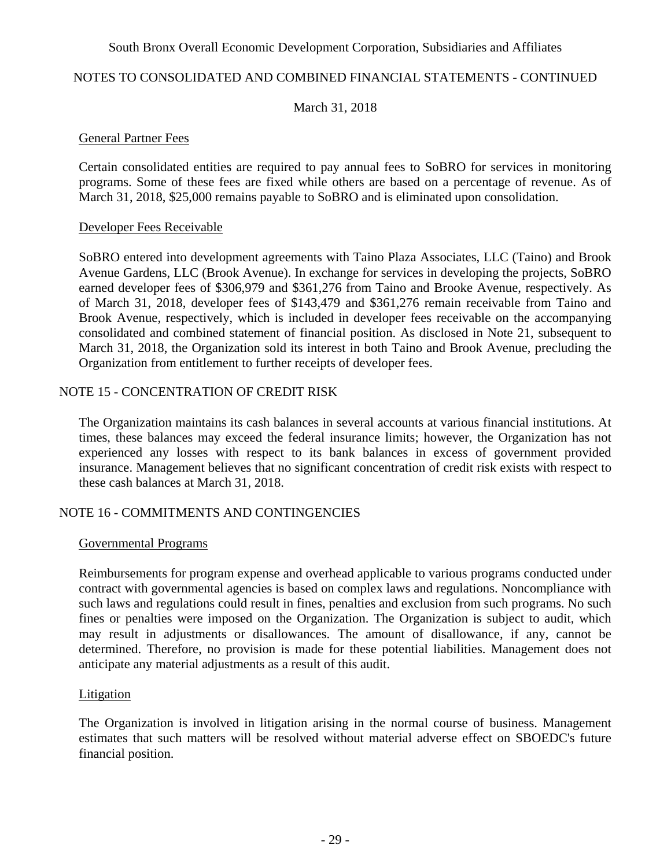### NOTES TO CONSOLIDATED AND COMBINED FINANCIAL STATEMENTS - CONTINUED

### March 31, 2018

#### General Partner Fees

Certain consolidated entities are required to pay annual fees to SoBRO for services in monitoring programs. Some of these fees are fixed while others are based on a percentage of revenue. As of March 31, 2018, \$25,000 remains payable to SoBRO and is eliminated upon consolidation.

### Developer Fees Receivable

SoBRO entered into development agreements with Taino Plaza Associates, LLC (Taino) and Brook Avenue Gardens, LLC (Brook Avenue). In exchange for services in developing the projects, SoBRO earned developer fees of \$306,979 and \$361,276 from Taino and Brooke Avenue, respectively. As of March 31, 2018, developer fees of \$143,479 and \$361,276 remain receivable from Taino and Brook Avenue, respectively, which is included in developer fees receivable on the accompanying consolidated and combined statement of financial position. As disclosed in Note 21, subsequent to March 31, 2018, the Organization sold its interest in both Taino and Brook Avenue, precluding the Organization from entitlement to further receipts of developer fees.

## NOTE 15 - CONCENTRATION OF CREDIT RISK

The Organization maintains its cash balances in several accounts at various financial institutions. At times, these balances may exceed the federal insurance limits; however, the Organization has not experienced any losses with respect to its bank balances in excess of government provided insurance. Management believes that no significant concentration of credit risk exists with respect to these cash balances at March 31, 2018.

### NOTE 16 - COMMITMENTS AND CONTINGENCIES

#### Governmental Programs

Reimbursements for program expense and overhead applicable to various programs conducted under contract with governmental agencies is based on complex laws and regulations. Noncompliance with such laws and regulations could result in fines, penalties and exclusion from such programs. No such fines or penalties were imposed on the Organization. The Organization is subject to audit, which may result in adjustments or disallowances. The amount of disallowance, if any, cannot be determined. Therefore, no provision is made for these potential liabilities. Management does not anticipate any material adjustments as a result of this audit.

#### Litigation

The Organization is involved in litigation arising in the normal course of business. Management estimates that such matters will be resolved without material adverse effect on SBOEDC's future financial position.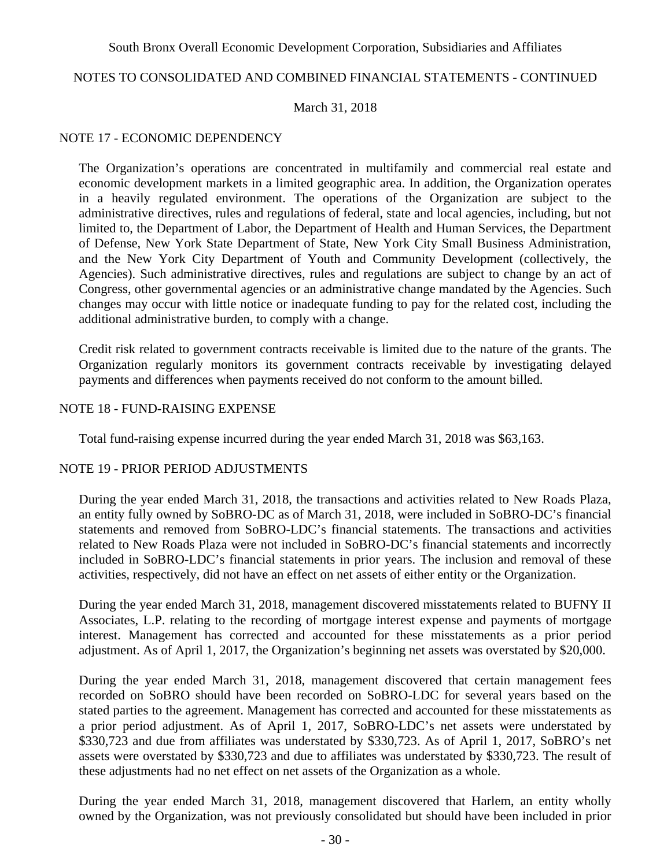### NOTES TO CONSOLIDATED AND COMBINED FINANCIAL STATEMENTS - CONTINUED

#### March 31, 2018

### NOTE 17 - ECONOMIC DEPENDENCY

The Organization's operations are concentrated in multifamily and commercial real estate and economic development markets in a limited geographic area. In addition, the Organization operates in a heavily regulated environment. The operations of the Organization are subject to the administrative directives, rules and regulations of federal, state and local agencies, including, but not limited to, the Department of Labor, the Department of Health and Human Services, the Department of Defense, New York State Department of State, New York City Small Business Administration, and the New York City Department of Youth and Community Development (collectively, the Agencies). Such administrative directives, rules and regulations are subject to change by an act of Congress, other governmental agencies or an administrative change mandated by the Agencies. Such changes may occur with little notice or inadequate funding to pay for the related cost, including the additional administrative burden, to comply with a change.

Credit risk related to government contracts receivable is limited due to the nature of the grants. The Organization regularly monitors its government contracts receivable by investigating delayed payments and differences when payments received do not conform to the amount billed.

#### NOTE 18 - FUND-RAISING EXPENSE

Total fund-raising expense incurred during the year ended March 31, 2018 was \$63,163.

#### NOTE 19 - PRIOR PERIOD ADJUSTMENTS

During the year ended March 31, 2018, the transactions and activities related to New Roads Plaza, an entity fully owned by SoBRO-DC as of March 31, 2018, were included in SoBRO-DC's financial statements and removed from SoBRO-LDC's financial statements. The transactions and activities related to New Roads Plaza were not included in SoBRO-DC's financial statements and incorrectly included in SoBRO-LDC's financial statements in prior years. The inclusion and removal of these activities, respectively, did not have an effect on net assets of either entity or the Organization.

During the year ended March 31, 2018, management discovered misstatements related to BUFNY II Associates, L.P. relating to the recording of mortgage interest expense and payments of mortgage interest. Management has corrected and accounted for these misstatements as a prior period adjustment. As of April 1, 2017, the Organization's beginning net assets was overstated by \$20,000.

During the year ended March 31, 2018, management discovered that certain management fees recorded on SoBRO should have been recorded on SoBRO-LDC for several years based on the stated parties to the agreement. Management has corrected and accounted for these misstatements as a prior period adjustment. As of April 1, 2017, SoBRO-LDC's net assets were understated by \$330,723 and due from affiliates was understated by \$330,723. As of April 1, 2017, SoBRO's net assets were overstated by \$330,723 and due to affiliates was understated by \$330,723. The result of these adjustments had no net effect on net assets of the Organization as a whole.

During the year ended March 31, 2018, management discovered that Harlem, an entity wholly owned by the Organization, was not previously consolidated but should have been included in prior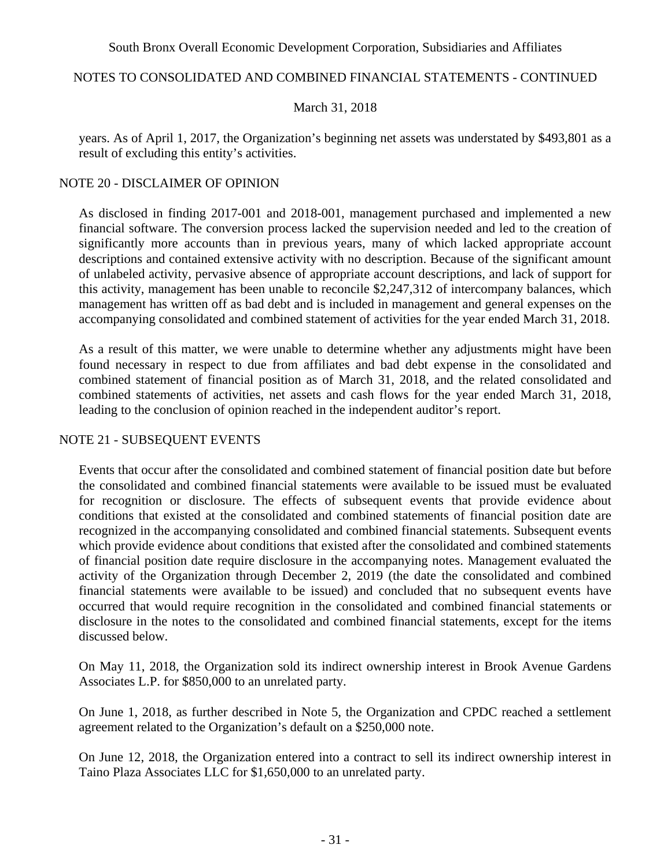### NOTES TO CONSOLIDATED AND COMBINED FINANCIAL STATEMENTS - CONTINUED

### March 31, 2018

years. As of April 1, 2017, the Organization's beginning net assets was understated by \$493,801 as a result of excluding this entity's activities.

### NOTE 20 - DISCLAIMER OF OPINION

As disclosed in finding 2017-001 and 2018-001, management purchased and implemented a new financial software. The conversion process lacked the supervision needed and led to the creation of significantly more accounts than in previous years, many of which lacked appropriate account descriptions and contained extensive activity with no description. Because of the significant amount of unlabeled activity, pervasive absence of appropriate account descriptions, and lack of support for this activity, management has been unable to reconcile \$2,247,312 of intercompany balances, which management has written off as bad debt and is included in management and general expenses on the accompanying consolidated and combined statement of activities for the year ended March 31, 2018.

As a result of this matter, we were unable to determine whether any adjustments might have been found necessary in respect to due from affiliates and bad debt expense in the consolidated and combined statement of financial position as of March 31, 2018, and the related consolidated and combined statements of activities, net assets and cash flows for the year ended March 31, 2018, leading to the conclusion of opinion reached in the independent auditor's report.

### NOTE 21 - SUBSEQUENT EVENTS

Events that occur after the consolidated and combined statement of financial position date but before the consolidated and combined financial statements were available to be issued must be evaluated for recognition or disclosure. The effects of subsequent events that provide evidence about conditions that existed at the consolidated and combined statements of financial position date are recognized in the accompanying consolidated and combined financial statements. Subsequent events which provide evidence about conditions that existed after the consolidated and combined statements of financial position date require disclosure in the accompanying notes. Management evaluated the activity of the Organization through December 2, 2019 (the date the consolidated and combined financial statements were available to be issued) and concluded that no subsequent events have occurred that would require recognition in the consolidated and combined financial statements or disclosure in the notes to the consolidated and combined financial statements, except for the items discussed below.

On May 11, 2018, the Organization sold its indirect ownership interest in Brook Avenue Gardens Associates L.P. for \$850,000 to an unrelated party.

On June 1, 2018, as further described in Note 5, the Organization and CPDC reached a settlement agreement related to the Organization's default on a \$250,000 note.

On June 12, 2018, the Organization entered into a contract to sell its indirect ownership interest in Taino Plaza Associates LLC for \$1,650,000 to an unrelated party.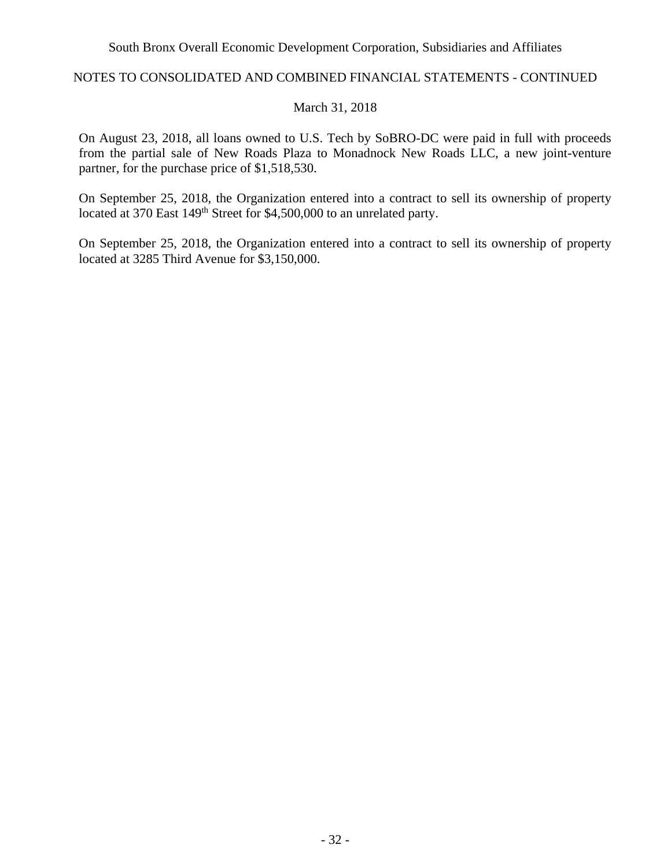### NOTES TO CONSOLIDATED AND COMBINED FINANCIAL STATEMENTS - CONTINUED

#### March 31, 2018

On August 23, 2018, all loans owned to U.S. Tech by SoBRO-DC were paid in full with proceeds from the partial sale of New Roads Plaza to Monadnock New Roads LLC, a new joint-venture partner, for the purchase price of \$1,518,530.

On September 25, 2018, the Organization entered into a contract to sell its ownership of property located at 370 East 149<sup>th</sup> Street for \$4,500,000 to an unrelated party.

On September 25, 2018, the Organization entered into a contract to sell its ownership of property located at 3285 Third Avenue for \$3,150,000.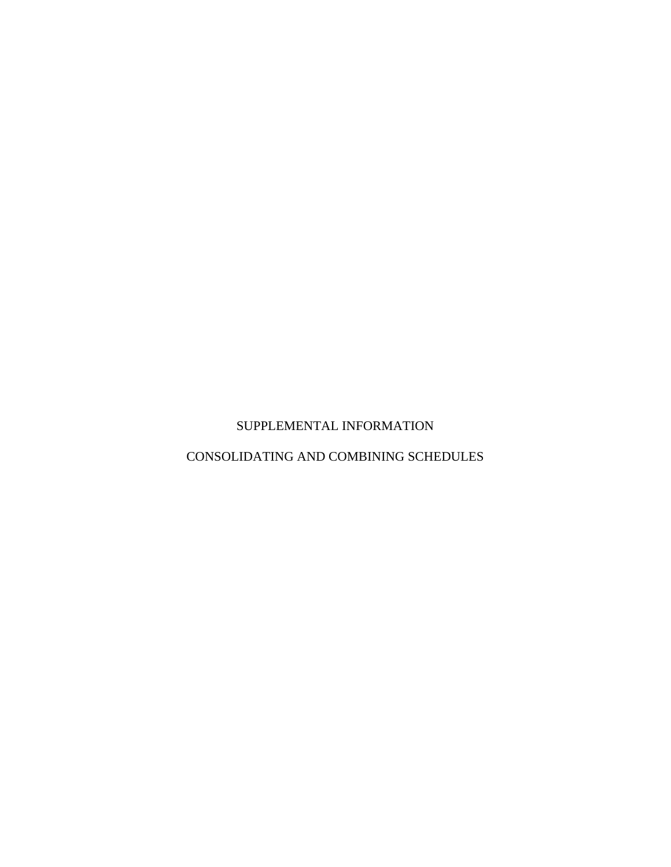# SUPPLEMENTAL INFORMATION

# CONSOLIDATING AND COMBINING SCHEDULES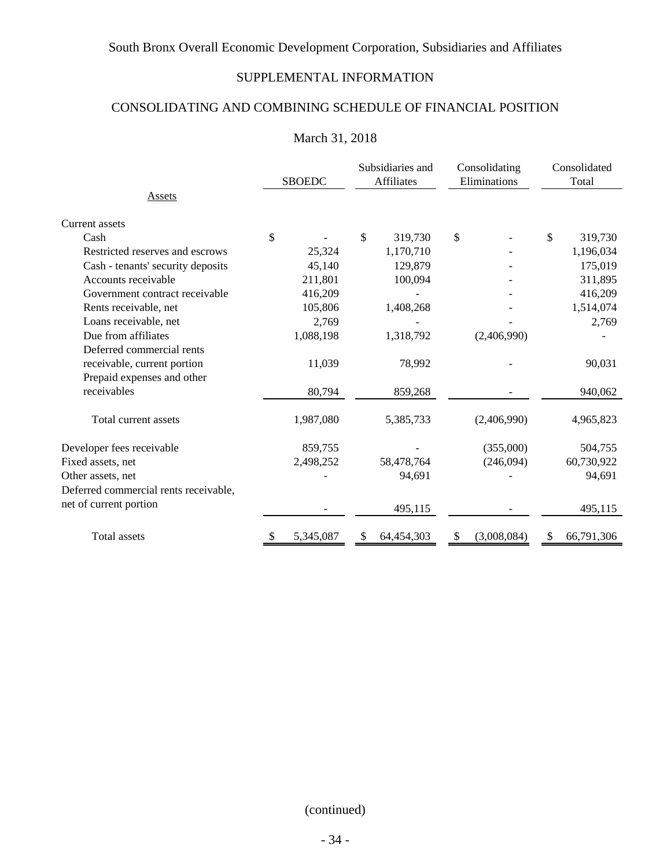# SUPPLEMENTAL INFORMATION

# CONSOLIDATING AND COMBINING SCHEDULE OF FINANCIAL POSITION

# March 31, 2018

|                                       |    | <b>SBOEDC</b> |    | Subsidiaries and<br><b>Affiliates</b> | Consolidating<br>Eliminations | Consolidated<br>Total |            |  |
|---------------------------------------|----|---------------|----|---------------------------------------|-------------------------------|-----------------------|------------|--|
| Assets                                |    |               |    |                                       |                               |                       |            |  |
| <b>Current assets</b>                 |    |               |    |                                       |                               |                       |            |  |
| Cash                                  | \$ |               | \$ | 319,730                               | \$                            | \$                    | 319,730    |  |
| Restricted reserves and escrows       |    | 25,324        |    | 1,170,710                             |                               |                       | 1,196,034  |  |
| Cash - tenants' security deposits     |    | 45,140        |    | 129,879                               |                               |                       | 175,019    |  |
| Accounts receivable                   |    | 211,801       |    | 100,094                               |                               |                       | 311,895    |  |
| Government contract receivable        |    | 416,209       |    |                                       |                               |                       | 416,209    |  |
| Rents receivable, net                 |    | 105,806       |    | 1,408,268                             |                               |                       | 1,514,074  |  |
| Loans receivable, net                 |    | 2,769         |    |                                       |                               |                       | 2,769      |  |
| Due from affiliates                   |    | 1,088,198     |    | 1,318,792                             | (2,406,990)                   |                       |            |  |
| Deferred commercial rents             |    |               |    |                                       |                               |                       |            |  |
| receivable, current portion           |    | 11,039        |    | 78,992                                |                               |                       | 90,031     |  |
| Prepaid expenses and other            |    |               |    |                                       |                               |                       |            |  |
| receivables                           |    | 80,794        |    | 859,268                               |                               |                       | 940,062    |  |
| Total current assets                  |    | 1,987,080     |    | 5,385,733                             | (2,406,990)                   |                       | 4,965,823  |  |
| Developer fees receivable             |    | 859,755       |    |                                       | (355,000)                     |                       | 504,755    |  |
| Fixed assets, net                     |    | 2,498,252     |    | 58,478,764                            | (246,094)                     |                       | 60,730,922 |  |
| Other assets, net                     |    |               |    | 94,691                                |                               |                       | 94,691     |  |
| Deferred commercial rents receivable, |    |               |    |                                       |                               |                       |            |  |
| net of current portion                |    |               |    | 495,115                               |                               |                       | 495,115    |  |
| Total assets                          | \$ | 5,345,087     | \$ | 64,454,303                            | \$<br>(3,008,084)             | \$                    | 66,791,306 |  |

(continued)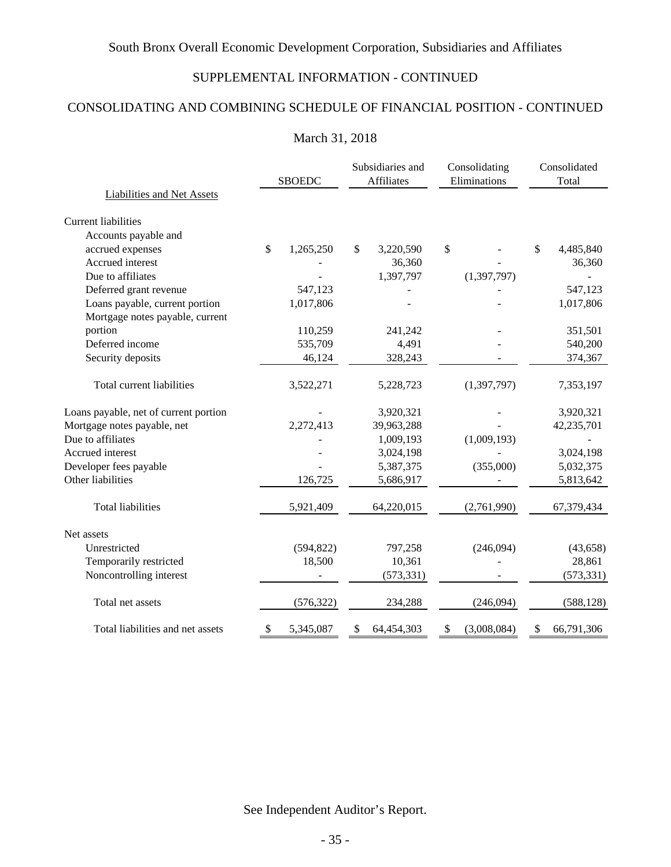# SUPPLEMENTAL INFORMATION - CONTINUED

# CONSOLIDATING AND COMBINING SCHEDULE OF FINANCIAL POSITION - CONTINUED

## March 31, 2018

|                                                                   |    | <b>SBOEDC</b> |    | Subsidiaries and<br>Affiliates |    | Consolidating<br>Eliminations |    | Consolidated<br>Total |  |
|-------------------------------------------------------------------|----|---------------|----|--------------------------------|----|-------------------------------|----|-----------------------|--|
| Liabilities and Net Assets                                        |    |               |    |                                |    |                               |    |                       |  |
| Current liabilities                                               |    |               |    |                                |    |                               |    |                       |  |
| Accounts payable and                                              |    |               |    |                                |    |                               |    |                       |  |
| accrued expenses                                                  | \$ | 1,265,250     | \$ | 3,220,590                      | \$ |                               | \$ | 4,485,840             |  |
| Accrued interest                                                  |    |               |    | 36,360                         |    |                               |    | 36,360                |  |
| Due to affiliates                                                 |    |               |    | 1,397,797                      |    | (1, 397, 797)                 |    |                       |  |
| Deferred grant revenue                                            |    | 547,123       |    |                                |    |                               |    | 547,123               |  |
| Loans payable, current portion<br>Mortgage notes payable, current |    | 1,017,806     |    |                                |    |                               |    | 1,017,806             |  |
| portion                                                           |    | 110,259       |    | 241,242                        |    |                               |    | 351,501               |  |
| Deferred income                                                   |    | 535,709       |    | 4,491                          |    |                               |    | 540,200               |  |
| Security deposits                                                 |    | 46,124        |    | 328,243                        |    |                               |    | 374,367               |  |
| Total current liabilities                                         |    | 3,522,271     |    | 5,228,723                      |    | (1,397,797)                   |    | 7,353,197             |  |
| Loans payable, net of current portion                             |    |               |    | 3,920,321                      |    |                               |    | 3,920,321             |  |
| Mortgage notes payable, net                                       |    | 2,272,413     |    | 39,963,288                     |    |                               |    | 42,235,701            |  |
| Due to affiliates                                                 |    |               |    | 1,009,193                      |    | (1,009,193)                   |    |                       |  |
| Accrued interest                                                  |    |               |    | 3,024,198                      |    |                               |    | 3,024,198             |  |
| Developer fees payable                                            |    |               |    | 5,387,375                      |    | (355,000)                     |    | 5,032,375             |  |
| Other liabilities                                                 |    | 126,725       |    | 5,686,917                      |    |                               |    | 5,813,642             |  |
| <b>Total liabilities</b>                                          |    | 5,921,409     |    | 64,220,015                     |    | (2,761,990)                   |    | 67,379,434            |  |
| Net assets                                                        |    |               |    |                                |    |                               |    |                       |  |
| Unrestricted                                                      |    | (594, 822)    |    | 797,258                        |    | (246,094)                     |    | (43, 658)             |  |
| Temporarily restricted                                            |    | 18,500        |    | 10,361                         |    |                               |    | 28,861                |  |
| Noncontrolling interest                                           |    |               |    | (573, 331)                     |    |                               |    | (573, 331)            |  |
| Total net assets                                                  |    | (576, 322)    |    | 234,288                        |    | (246,094)                     |    | (588, 128)            |  |
| Total liabilities and net assets                                  | \$ | 5,345,087     | \$ | 64,454,303                     | \$ | (3,008,084)                   | \$ | 66,791,306            |  |

See Independent Auditor's Report.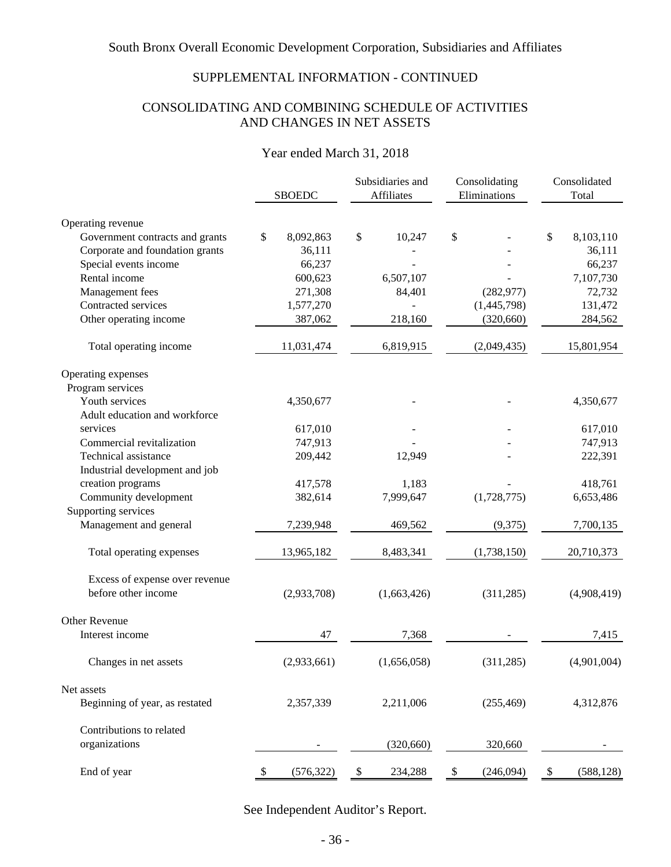# SUPPLEMENTAL INFORMATION - CONTINUED

## CONSOLIDATING AND COMBINING SCHEDULE OF ACTIVITIES AND CHANGES IN NET ASSETS

## Year ended March 31, 2018

|                                 |                 | Subsidiaries and<br>Affiliates       | Consolidating<br>Eliminations | Consolidated<br>Total |  |
|---------------------------------|-----------------|--------------------------------------|-------------------------------|-----------------------|--|
|                                 | <b>SBOEDC</b>   |                                      |                               |                       |  |
| Operating revenue               |                 |                                      |                               |                       |  |
| Government contracts and grants | \$<br>8,092,863 | \$<br>10,247                         | \$                            | \$<br>8,103,110       |  |
| Corporate and foundation grants | 36,111          |                                      |                               | 36,111                |  |
| Special events income           | 66,237          |                                      |                               | 66,237                |  |
| Rental income                   | 600,623         | 6,507,107                            |                               | 7,107,730             |  |
| Management fees                 | 271,308         | 84,401                               | (282, 977)                    | 72,732                |  |
| Contracted services             | 1,577,270       |                                      | (1,445,798)                   | 131,472               |  |
| Other operating income          | 387,062         | 218,160                              | (320, 660)                    | 284,562               |  |
| Total operating income          | 11,031,474      | 6,819,915                            | (2,049,435)                   | 15,801,954            |  |
| Operating expenses              |                 |                                      |                               |                       |  |
| Program services                |                 |                                      |                               |                       |  |
| Youth services                  | 4,350,677       |                                      |                               | 4,350,677             |  |
| Adult education and workforce   |                 |                                      |                               |                       |  |
| services                        | 617,010         |                                      |                               | 617,010               |  |
| Commercial revitalization       | 747,913         |                                      |                               | 747,913               |  |
| Technical assistance            | 209,442         | 12,949                               |                               | 222,391               |  |
| Industrial development and job  |                 |                                      |                               |                       |  |
| creation programs               | 417,578         | 1,183                                |                               | 418,761               |  |
| Community development           | 382,614         | 7,999,647                            | (1,728,775)                   | 6,653,486             |  |
| Supporting services             |                 |                                      |                               |                       |  |
| Management and general          | 7,239,948       | 469,562                              | (9,375)                       | 7,700,135             |  |
| Total operating expenses        | 13,965,182      | 8,483,341                            | (1,738,150)                   | 20,710,373            |  |
| Excess of expense over revenue  |                 |                                      |                               |                       |  |
| before other income             | (2,933,708)     | (1,663,426)                          | (311, 285)                    | (4,908,419)           |  |
| <b>Other Revenue</b>            |                 |                                      |                               |                       |  |
| Interest income                 | 47              | 7,368                                |                               | 7,415                 |  |
| Changes in net assets           | (2,933,661)     | (1,656,058)                          | (311, 285)                    | (4,901,004)           |  |
| Net assets                      |                 |                                      |                               |                       |  |
| Beginning of year, as restated  | 2,357,339       | 2,211,006                            | (255, 469)                    | 4,312,876             |  |
| Contributions to related        |                 |                                      |                               |                       |  |
| organizations                   |                 | (320, 660)                           | 320,660                       |                       |  |
| End of year                     | (576, 322)      | 234,288<br>$\boldsymbol{\mathsf{S}}$ | \$<br>(246,094)               | (588, 128)<br>\$      |  |

See Independent Auditor's Report.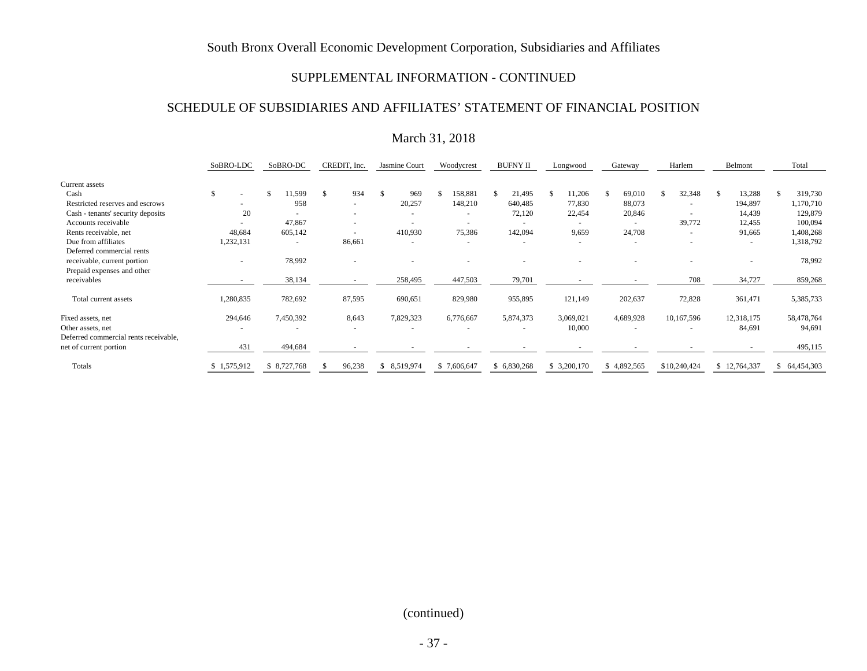#### SUPPLEMENTAL INFORMATION - CONTINUED

#### SCHEDULE OF SUBSIDIARIES AND AFFILIATES' STATEMENT OF FINANCIAL POSITION

## March 31, 2018

|                                       | SoBRO-LDC   | SoBRO-DC       | CREDIT, Inc. | Jasmine Court        | Woodycrest  | <b>BUFNY II</b> | Longwood     | Gateway        | Harlem         | Belmont      | Total         |
|---------------------------------------|-------------|----------------|--------------|----------------------|-------------|-----------------|--------------|----------------|----------------|--------------|---------------|
| Current assets                        |             |                |              |                      |             |                 |              |                |                |              |               |
| Cash                                  | \$          | \$.<br>1,599   | 934<br>£.    | $\mathcal{S}$<br>969 | 158,881     | 21,495          | 11,206<br>S. | 69,010<br>-S   | 32,348         | 13,288<br>-S | 319,730<br>S  |
| Restricted reserves and escrows       |             | 958            |              | 20,257               | 148,210     | 640,485         | 77,830       | 88,073         |                | 194,897      | 1,170,710     |
| Cash - tenants' security deposits     | 20          | $\overline{a}$ |              | ۰                    |             | 72,120          | 22,454       | 20,846         |                | 14,439       | 129,879       |
| Accounts receivable                   |             | 47,867         |              | ٠                    |             | $\sim$          |              | $\overline{a}$ | 39,772         | 12,455       | 100,094       |
| Rents receivable, net                 | 48,684      | 605,142        |              | 410,930              | 75,386      | 142,094         | 9,659        | 24,708         | $\overline{a}$ | 91,665       | 1,408,268     |
| Due from affiliates                   | 1,232,131   | $\overline{a}$ | 86,661       | ۰                    |             |                 |              | ٠              |                | ٠            | 1,318,792     |
| Deferred commercial rents             |             |                |              |                      |             |                 |              |                |                |              |               |
| receivable, current portion           | $\sim$      | 78,992         |              |                      |             |                 |              |                |                |              | 78,992        |
| Prepaid expenses and other            |             |                |              |                      |             |                 |              |                |                |              |               |
| receivables                           |             | 38,134         |              | 258,495              | 447,503     | 79,701          |              |                | 708            | 34,727       | 859,268       |
| Total current assets                  | 1,280,835   | 782,692        | 87,595       | 690,651              | 829,980     | 955,895         | 121,149      | 202,637        | 72,828         | 361,471      | 5,385,733     |
| Fixed assets, net                     | 294,646     | 7,450,392      | 8,643        | 7,829,323            | 6,776,667   | 5,874,373       | 3,069,021    | 4,689,928      | 10,167,596     | 12,318,175   | 58,478,764    |
| Other assets, net                     |             |                |              | ۰                    |             |                 | 10,000       | $\overline{a}$ |                | 84,691       | 94,691        |
| Deferred commercial rents receivable, |             |                |              |                      |             |                 |              |                |                |              |               |
| net of current portion                | 431         | 494,684        |              |                      |             |                 |              |                |                |              | 495,115       |
| Totals                                | \$1,575,912 | \$ 8,727,768   | 96,238       | 8,519,974<br>\$.     | \$7,606,647 | \$6,830,268     | \$ 3,200,170 | \$4,892,565    | \$10,240,424   | \$12,764,337 | \$ 64,454,303 |

### (continued)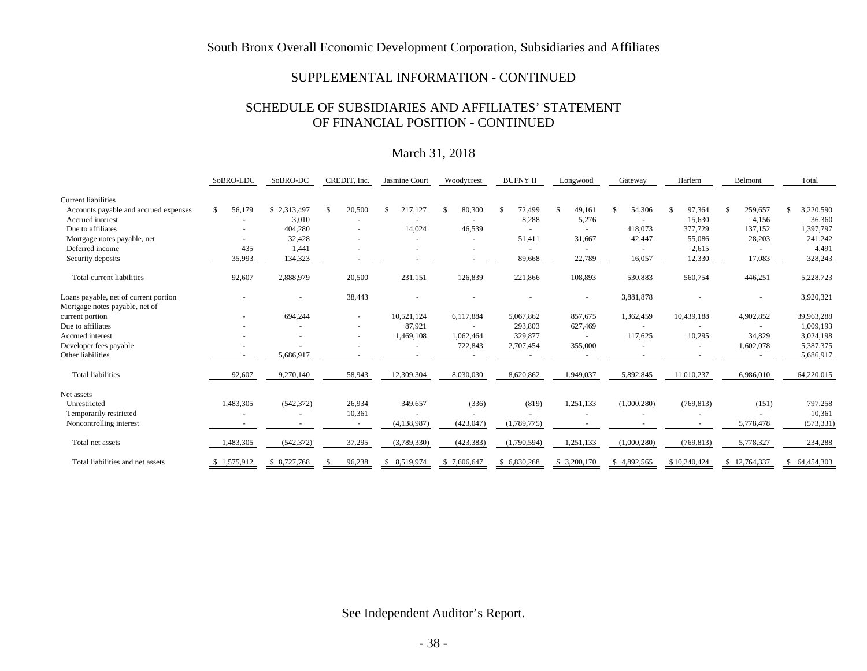#### SUPPLEMENTAL INFORMATION - CONTINUED

### SCHEDULE OF SUBSIDIARIES AND AFFILIATES' STATEMENT OF FINANCIAL POSITION - CONTINUED

## March 31, 2018

|                                                                         | SoBRO-LDC    | SoBRO-DC     | CREDIT, Inc.             | Jasmine Court | Woodycrest   | <b>BUFNY II</b> | Longwood     | Gateway       | Harlem       | Belmont                  | Total            |
|-------------------------------------------------------------------------|--------------|--------------|--------------------------|---------------|--------------|-----------------|--------------|---------------|--------------|--------------------------|------------------|
| <b>Current liabilities</b>                                              |              |              |                          |               |              |                 |              |               |              |                          |                  |
| Accounts payable and accrued expenses                                   | 56,179<br>S. | \$2,313,497  | 20,500                   | 217,127       | 80,300<br>-S | 72,499          | 49,161<br>£. | 54,306<br>\$. | 97,364<br>\$ | 259,657<br>$\mathcal{S}$ | 3,220,590<br>\$. |
| Accrued interest                                                        |              | 3,010        |                          |               |              | 8,288           | 5,276        |               | 15,630       | 4,156                    | 36,360           |
| Due to affiliates                                                       |              | 404,280      |                          | 14,024        | 46,539       |                 |              | 418,073       | 377,729      | 137,152                  | 1,397,797        |
| Mortgage notes payable, net                                             |              | 32,428       |                          |               |              | 51,411          | 31,667       | 42,447        | 55,086       | 28,203                   | 241,242          |
| Deferred income                                                         | 435          | 1,441        |                          |               |              |                 |              |               | 2,615        |                          | 4,491            |
| Security deposits                                                       | 35,993       | 134,323      |                          |               |              | 89,668          | 22,789       | 16,057        | 12,330       | 17,083                   | 328,243          |
| Total current liabilities                                               | 92,607       | 2,888,979    | 20,500                   | 231,151       | 126,839      | 221,866         | 108,893      | 530,883       | 560,754      | 446,251                  | 5,228,723        |
| Loans payable, net of current portion<br>Mortgage notes payable, net of |              |              | 38,443                   |               |              |                 |              | 3,881,878     |              |                          | 3,920,321        |
| current portion                                                         |              | 694,244      | $\overline{\phantom{a}}$ | 10,521,124    | 6,117,884    | 5,067,862       | 857,675      | 1,362,459     | 10,439,188   | 4,902,852                | 39,963,288       |
| Due to affiliates                                                       |              |              |                          | 87,921        |              | 293,803         | 627,469      |               |              |                          | 1,009,193        |
| Accrued interest                                                        |              |              |                          | 1,469,108     | 1,062,464    | 329,877         |              | 117,625       | 10,295       | 34,829                   | 3,024,198        |
| Developer fees payable                                                  |              |              |                          |               | 722,843      | 2,707,454       | 355,000      |               |              | 1,602,078                | 5,387,375        |
| Other liabilities                                                       |              | 5,686,917    |                          |               |              |                 |              |               |              |                          | 5,686,917        |
| <b>Total liabilities</b>                                                | 92,607       | 9,270,140    | 58,943                   | 12,309,304    | 8,030,030    | 8,620,862       | 1,949,037    | 5,892,845     | 11,010,237   | 6,986,010                | 64,220,015       |
| Net assets                                                              |              |              |                          |               |              |                 |              |               |              |                          |                  |
| Unrestricted                                                            | 1,483,305    | (542, 372)   | 26,934                   | 349,657       | (336)        | (819)           | 1,251,133    | (1,000,280)   | (769, 813)   | (151)                    | 797,258          |
| Temporarily restricted                                                  |              |              | 10,361                   |               |              |                 |              |               |              |                          | 10,361           |
| Noncontrolling interest                                                 |              |              |                          | (4, 138, 987) | (423, 047)   | (1,789,775)     |              |               |              | 5,778,478                | (573, 331)       |
| Total net assets                                                        | 1,483,305    | (542, 372)   | 37,295                   | (3,789,330)   | (423, 383)   | (1,790,594)     | 1,251,133    | (1,000,280)   | (769, 813)   | 5,778,327                | 234,288          |
| Total liabilities and net assets                                        | \$1,575,912  | \$ 8,727,768 | 96,238                   | \$ 8,519,974  | \$7,606,647  | \$ 6,830,268    | \$ 3,200,170 | \$4,892,565   | \$10,240,424 | \$12,764,337             | \$ 64,454,303    |

See Independent Auditor's Report.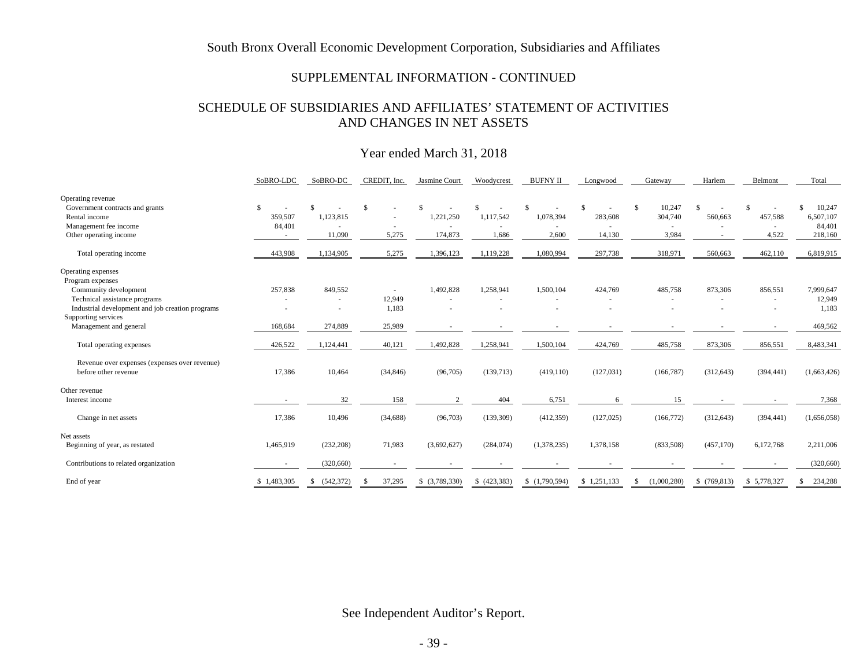#### SUPPLEMENTAL INFORMATION - CONTINUED

### SCHEDULE OF SUBSIDIARIES AND AFFILIATES' STATEMENT OF ACTIVITIES AND CHANGES IN NET ASSETS

## Year ended March 31, 2018

|                                                  | SoBRO-LDC    | SoBRO-DC                    | CREDIT, Inc.  | Jasmine Court  | Woodycrest | <b>BUFNY II</b> | Longwood    | Gateway                      | Harlem      | Belmont     | Total         |
|--------------------------------------------------|--------------|-----------------------------|---------------|----------------|------------|-----------------|-------------|------------------------------|-------------|-------------|---------------|
| Operating revenue                                |              |                             |               |                |            |                 |             |                              |             |             |               |
| Government contracts and grants                  | $\mathbf{s}$ | £.                          | $\mathcal{S}$ |                |            |                 | \$.         | $\mathbb{S}$<br>10,247       | -8          |             | 10,247<br>\$. |
| Rental income                                    | 359,507      | 1,123,815                   |               | 1,221,250      | 1,117,542  | 1,078,394       | 283,608     | 304,740                      | 560,663     | 457,588     | 6,507,107     |
| Management fee income                            | 84,401       |                             |               |                |            | $\sim$          |             |                              |             | $\sim$      | 84,401        |
| Other operating income                           | $\sim$       | 11,090                      | 5,275         | 174,873        | 1,686      | 2,600           | 14,130      | 3,984                        | $\sim$      | 4,522       | 218,160       |
| Total operating income                           | 443,908      | 1,134,905                   | 5,275         | 1,396,123      | 1,119,228  | 1,080,994       | 297,738     | 318,971                      | 560,663     | 462,110     | 6,819,915     |
| Operating expenses                               |              |                             |               |                |            |                 |             |                              |             |             |               |
| Program expenses                                 |              |                             |               |                |            |                 |             |                              |             |             |               |
| Community development                            | 257,838      | 849,552                     | $\sim$        | 1,492,828      | 1,258,941  | 1,500,104       | 424,769     | 485,758                      | 873,306     | 856,551     | 7,999,647     |
| Technical assistance programs                    |              |                             | 12,949        | $\sim$         |            |                 |             |                              |             | $\sim$      | 12,949        |
| Industrial development and job creation programs |              |                             | 1,183         |                |            | ×               |             |                              | ٠           | $\sim$      | 1,183         |
| Supporting services                              |              |                             |               |                |            |                 |             |                              |             |             |               |
| Management and general                           | 168,684      | 274,889                     | 25,989        |                |            |                 |             |                              |             |             | 469,562       |
| Total operating expenses                         | 426,522      | 1,124,441                   | 40,121        | 1,492,828      | 1,258,941  | 1,500,104       | 424,769     | 485,758                      | 873,306     | 856,551     | 8,483,341     |
| Revenue over expenses (expenses over revenue)    |              |                             |               |                |            |                 |             |                              |             |             |               |
| before other revenue                             | 17,386       | 10,464                      | (34, 846)     | (96,705)       | (139, 713) | (419, 110)      | (127, 031)  | (166, 787)                   | (312, 643)  | (394, 441)  | (1,663,426)   |
| Other revenue                                    |              |                             |               |                |            |                 |             |                              |             |             |               |
| Interest income                                  |              | 32                          | 158           | $\overline{2}$ | 404        | 6,751           | 6           | 15                           |             |             | 7,368         |
| Change in net assets                             | 17,386       | 10,496                      | (34, 688)     | (96,703)       | (139, 309) | (412, 359)      | (127, 025)  | (166, 772)                   | (312, 643)  | (394, 441)  | (1,656,058)   |
| Net assets                                       |              |                             |               |                |            |                 |             |                              |             |             |               |
| Beginning of year, as restated                   | 1,465,919    | (232, 208)                  | 71,983        | (3,692,627)    | (284, 074) | (1,378,235)     | 1,378,158   | (833,508)                    | (457,170)   | 6,172,768   | 2,211,006     |
| Contributions to related organization            |              | (320, 660)                  |               |                |            |                 |             |                              |             |             | (320,660)     |
| End of year                                      | \$1,483,305  | (542, 372)<br><sup>\$</sup> | 37,295        | \$ (3,789,330) | (423, 383) | (1,790,594)     | \$1,251,133 | (1,000,280)<br><sup>\$</sup> | \$(769,813) | \$5,778,327 | 234,288<br>S. |

See Independent Auditor's Report.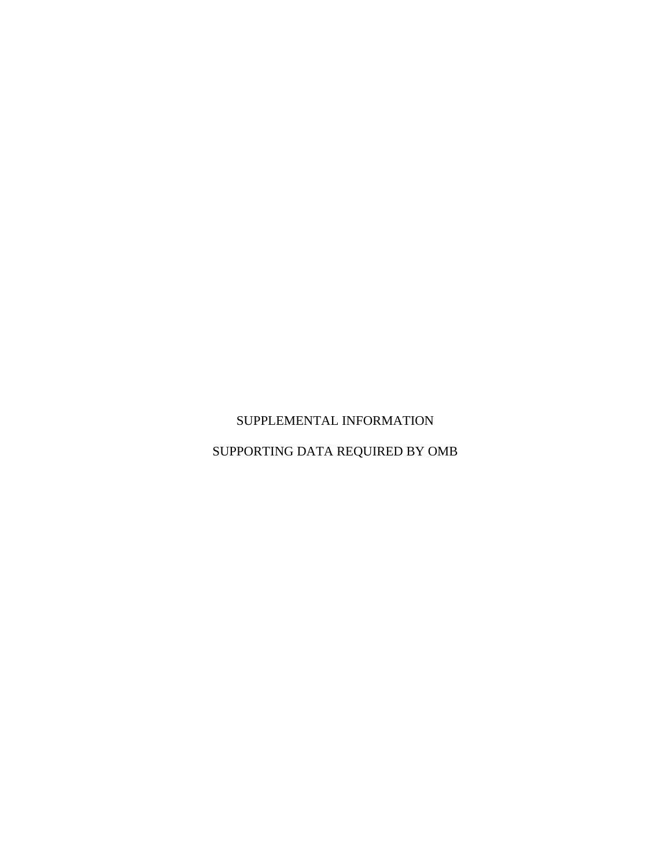# SUPPLEMENTAL INFORMATION

SUPPORTING DATA REQUIRED BY OMB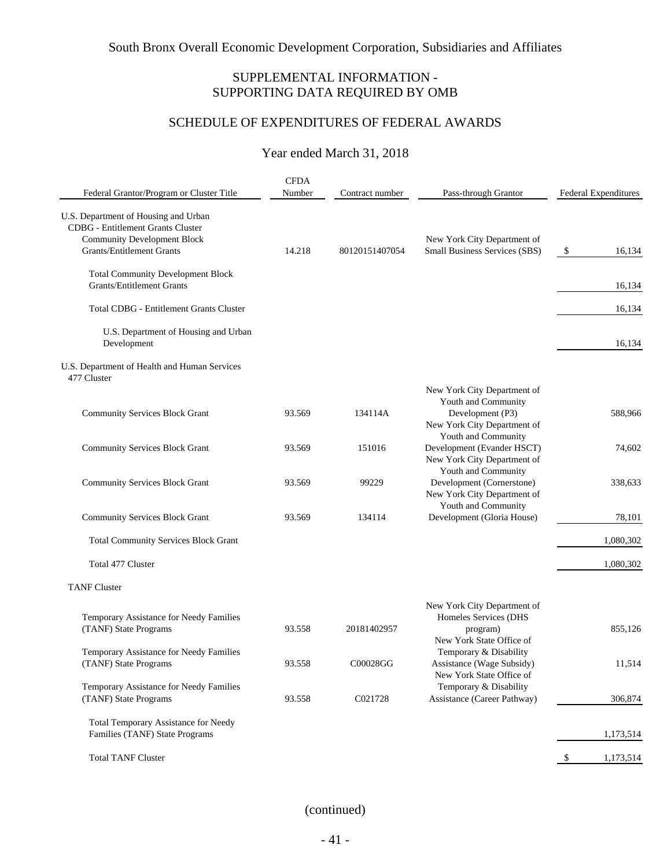## SUPPLEMENTAL INFORMATION - SUPPORTING DATA REQUIRED BY OMB

# SCHEDULE OF EXPENDITURES OF FEDERAL AWARDS

## Year ended March 31, 2018

|                                                                                                                                                     | <b>CFDA</b><br>Number |                 |                                                                                                         |                             |
|-----------------------------------------------------------------------------------------------------------------------------------------------------|-----------------------|-----------------|---------------------------------------------------------------------------------------------------------|-----------------------------|
| Federal Grantor/Program or Cluster Title                                                                                                            |                       | Contract number | Pass-through Grantor                                                                                    | <b>Federal Expenditures</b> |
| U.S. Department of Housing and Urban<br>CDBG - Entitlement Grants Cluster<br><b>Community Development Block</b><br><b>Grants/Entitlement Grants</b> | 14.218                | 80120151407054  | New York City Department of<br>Small Business Services (SBS)                                            | $\mathcal{S}$<br>16,134     |
| <b>Total Community Development Block</b><br><b>Grants/Entitlement Grants</b>                                                                        |                       |                 |                                                                                                         | 16,134                      |
| <b>Total CDBG - Entitlement Grants Cluster</b>                                                                                                      |                       |                 |                                                                                                         | 16,134                      |
| U.S. Department of Housing and Urban<br>Development                                                                                                 |                       |                 |                                                                                                         | 16,134                      |
| U.S. Department of Health and Human Services<br>477 Cluster                                                                                         |                       |                 |                                                                                                         |                             |
| <b>Community Services Block Grant</b>                                                                                                               | 93.569                | 134114A         | New York City Department of<br>Youth and Community<br>Development (P3)<br>New York City Department of   | 588,966                     |
| <b>Community Services Block Grant</b>                                                                                                               | 93.569                | 151016          | Youth and Community<br>Development (Evander HSCT)<br>New York City Department of<br>Youth and Community | 74,602                      |
| <b>Community Services Block Grant</b>                                                                                                               | 93.569                | 99229           | Development (Cornerstone)<br>New York City Department of<br>Youth and Community                         | 338,633                     |
| <b>Community Services Block Grant</b>                                                                                                               | 93.569                | 134114          | Development (Gloria House)                                                                              | 78,101                      |
| <b>Total Community Services Block Grant</b>                                                                                                         |                       |                 |                                                                                                         | 1,080,302                   |
| Total 477 Cluster                                                                                                                                   |                       |                 |                                                                                                         | 1,080,302                   |
| <b>TANF Cluster</b>                                                                                                                                 |                       |                 |                                                                                                         |                             |
| Temporary Assistance for Needy Families<br>(TANF) State Programs                                                                                    | 93.558                | 20181402957     | New York City Department of<br>Homeles Services (DHS<br>program)<br>New York State Office of            | 855,126                     |
| Temporary Assistance for Needy Families<br>(TANF) State Programs                                                                                    | 93.558                | C00028GG        | Temporary & Disability<br>Assistance (Wage Subsidy)<br>New York State Office of                         | 11,514                      |
| Temporary Assistance for Needy Families<br>(TANF) State Programs                                                                                    | 93.558                | C021728         | Temporary & Disability<br>Assistance (Career Pathway)                                                   | 306,874                     |
| Total Temporary Assistance for Needy<br>Families (TANF) State Programs                                                                              |                       |                 |                                                                                                         | 1,173,514                   |
| <b>Total TANF Cluster</b>                                                                                                                           |                       |                 |                                                                                                         | 1,173,514<br>$\mathcal{S}$  |

## (continued)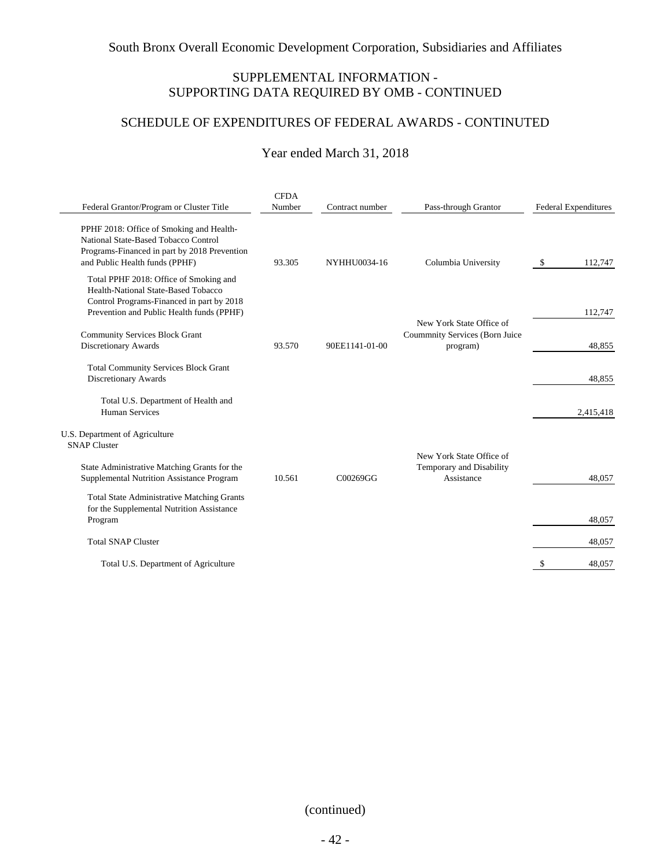## SUPPLEMENTAL INFORMATION - SUPPORTING DATA REQUIRED BY OMB - CONTINUED

# SCHEDULE OF EXPENDITURES OF FEDERAL AWARDS - CONTINUTED

## Year ended March 31, 2018

|                                                                                                                                                                         | <b>CFDA</b> |                 |                                                                        |                             |
|-------------------------------------------------------------------------------------------------------------------------------------------------------------------------|-------------|-----------------|------------------------------------------------------------------------|-----------------------------|
| Federal Grantor/Program or Cluster Title                                                                                                                                | Number      | Contract number | Pass-through Grantor                                                   | <b>Federal Expenditures</b> |
| PPHF 2018: Office of Smoking and Health-<br>National State-Based Tobacco Control<br>Programs-Financed in part by 2018 Prevention<br>and Public Health funds (PPHF)      | 93.305      | NYHHU0034-16    | Columbia University                                                    | 112,747<br>- \$             |
| Total PPHF 2018: Office of Smoking and<br>Health-National State-Based Tobacco<br>Control Programs-Financed in part by 2018<br>Prevention and Public Health funds (PPHF) |             |                 |                                                                        | 112,747                     |
| <b>Community Services Block Grant</b><br>Discretionary Awards                                                                                                           | 93.570      | 90EE1141-01-00  | New York State Office of<br>Coummnity Services (Born Juice<br>program) | 48.855                      |
| <b>Total Community Services Block Grant</b><br>Discretionary Awards                                                                                                     |             |                 |                                                                        | 48.855                      |
| Total U.S. Department of Health and<br><b>Human Services</b>                                                                                                            |             |                 |                                                                        | 2,415,418                   |
| U.S. Department of Agriculture<br><b>SNAP Cluster</b>                                                                                                                   |             |                 | New York State Office of                                               |                             |
| State Administrative Matching Grants for the<br>Supplemental Nutrition Assistance Program                                                                               | 10.561      | C00269GG        | Temporary and Disability<br>Assistance                                 | 48.057                      |
| <b>Total State Administrative Matching Grants</b><br>for the Supplemental Nutrition Assistance<br>Program                                                               |             |                 |                                                                        | 48,057                      |
| <b>Total SNAP Cluster</b>                                                                                                                                               |             |                 |                                                                        | 48,057                      |
| Total U.S. Department of Agriculture                                                                                                                                    |             |                 |                                                                        | 48.057<br>£.                |

(continued)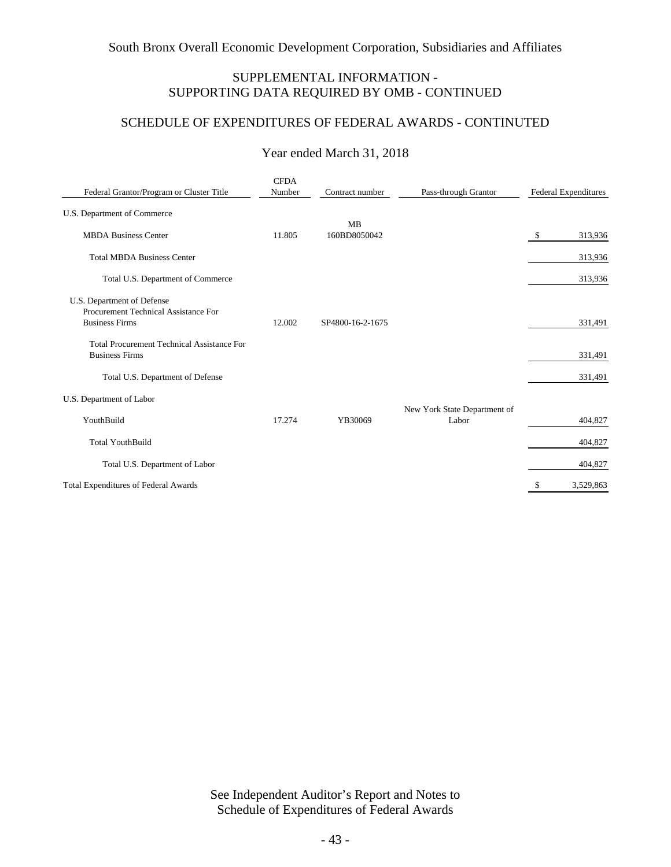## SUPPLEMENTAL INFORMATION - SUPPORTING DATA REQUIRED BY OMB - CONTINUED

## SCHEDULE OF EXPENDITURES OF FEDERAL AWARDS - CONTINUTED

| Federal Grantor/Program or Cluster Title                                                    | <b>CFDA</b><br>Number | Contract number  | Pass-through Grantor                  | Federal Expenditures |
|---------------------------------------------------------------------------------------------|-----------------------|------------------|---------------------------------------|----------------------|
| U.S. Department of Commerce                                                                 |                       | <b>MB</b>        |                                       |                      |
| <b>MBDA Business Center</b>                                                                 | 11.805                | 160BD8050042     |                                       | 313,936<br>\$        |
| <b>Total MBDA Business Center</b>                                                           |                       |                  |                                       | 313,936              |
| Total U.S. Department of Commerce                                                           |                       |                  |                                       | 313,936              |
| U.S. Department of Defense<br>Procurement Technical Assistance For<br><b>Business Firms</b> | 12.002                | SP4800-16-2-1675 |                                       | 331,491              |
| <b>Total Procurement Technical Assistance For</b><br><b>Business Firms</b>                  |                       |                  |                                       | 331,491              |
| Total U.S. Department of Defense                                                            |                       |                  |                                       | 331,491              |
| U.S. Department of Labor                                                                    |                       |                  |                                       |                      |
| YouthBuild                                                                                  | 17.274                | YB30069          | New York State Department of<br>Labor | 404,827              |
| <b>Total YouthBuild</b>                                                                     |                       |                  |                                       | 404,827              |
| Total U.S. Department of Labor                                                              |                       |                  |                                       | 404,827              |
| <b>Total Expenditures of Federal Awards</b>                                                 |                       |                  |                                       | 3,529,863<br>\$      |

## Year ended March 31, 2018

See Independent Auditor's Report and Notes to Schedule of Expenditures of Federal Awards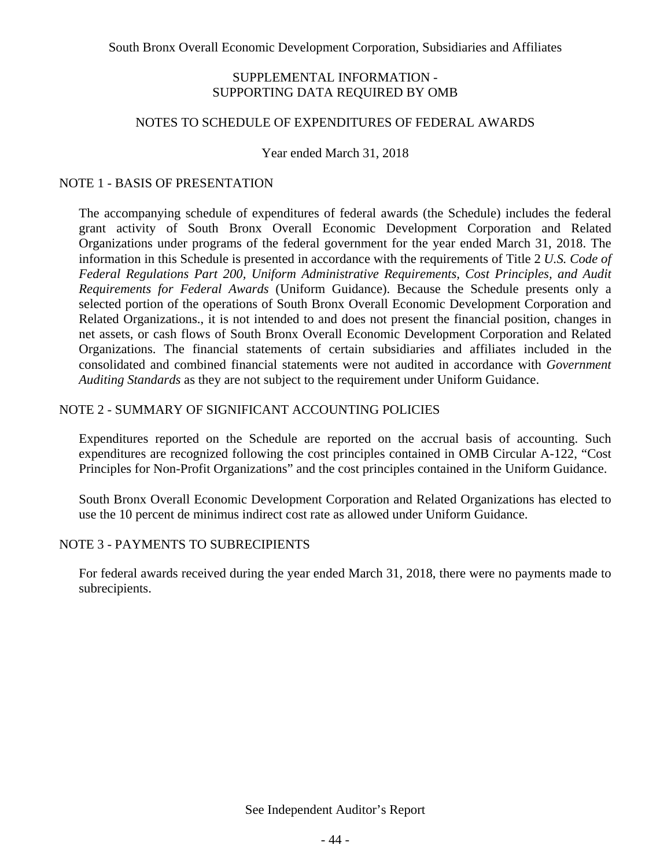### SUPPLEMENTAL INFORMATION - SUPPORTING DATA REQUIRED BY OMB

### NOTES TO SCHEDULE OF EXPENDITURES OF FEDERAL AWARDS

Year ended March 31, 2018

## NOTE 1 - BASIS OF PRESENTATION

The accompanying schedule of expenditures of federal awards (the Schedule) includes the federal grant activity of South Bronx Overall Economic Development Corporation and Related Organizations under programs of the federal government for the year ended March 31, 2018. The information in this Schedule is presented in accordance with the requirements of Title 2 *U.S. Code of Federal Regulations Part 200, Uniform Administrative Requirements, Cost Principles, and Audit Requirements for Federal Awards* (Uniform Guidance). Because the Schedule presents only a selected portion of the operations of South Bronx Overall Economic Development Corporation and Related Organizations., it is not intended to and does not present the financial position, changes in net assets, or cash flows of South Bronx Overall Economic Development Corporation and Related Organizations. The financial statements of certain subsidiaries and affiliates included in the consolidated and combined financial statements were not audited in accordance with *Government Auditing Standards* as they are not subject to the requirement under Uniform Guidance.

### NOTE 2 - SUMMARY OF SIGNIFICANT ACCOUNTING POLICIES

Expenditures reported on the Schedule are reported on the accrual basis of accounting. Such expenditures are recognized following the cost principles contained in OMB Circular A-122, "Cost Principles for Non-Profit Organizations" and the cost principles contained in the Uniform Guidance.

South Bronx Overall Economic Development Corporation and Related Organizations has elected to use the 10 percent de minimus indirect cost rate as allowed under Uniform Guidance.

### NOTE 3 - PAYMENTS TO SUBRECIPIENTS

For federal awards received during the year ended March 31, 2018, there were no payments made to subrecipients.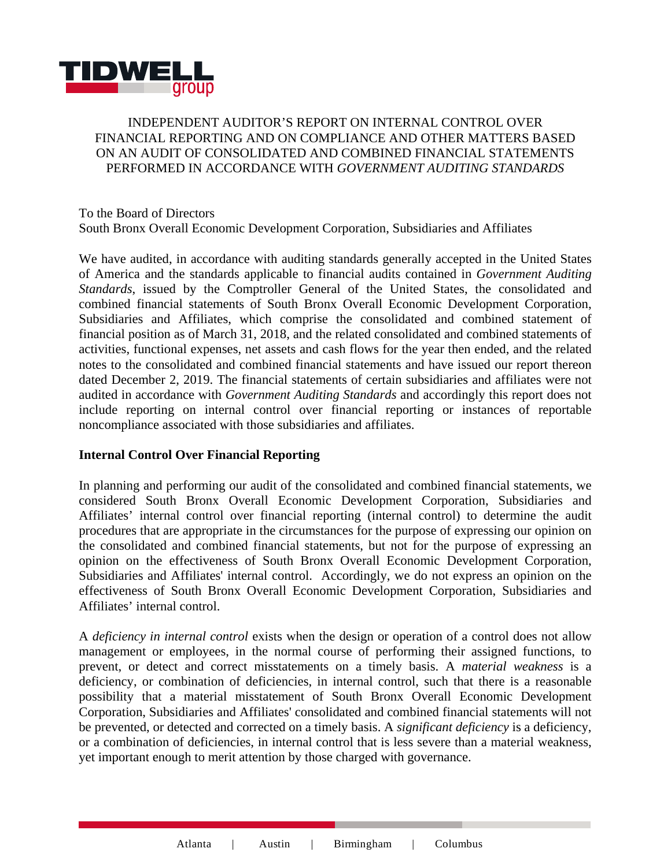

## INDEPENDENT AUDITOR'S REPORT ON INTERNAL CONTROL OVER FINANCIAL REPORTING AND ON COMPLIANCE AND OTHER MATTERS BASED ON AN AUDIT OF CONSOLIDATED AND COMBINED FINANCIAL STATEMENTS PERFORMED IN ACCORDANCE WITH *GOVERNMENT AUDITING STANDARDS*

## To the Board of Directors South Bronx Overall Economic Development Corporation, Subsidiaries and Affiliates

We have audited, in accordance with auditing standards generally accepted in the United States of America and the standards applicable to financial audits contained in *Government Auditing Standards*, issued by the Comptroller General of the United States, the consolidated and combined financial statements of South Bronx Overall Economic Development Corporation, Subsidiaries and Affiliates, which comprise the consolidated and combined statement of financial position as of March 31, 2018, and the related consolidated and combined statements of activities, functional expenses, net assets and cash flows for the year then ended, and the related notes to the consolidated and combined financial statements and have issued our report thereon dated December 2, 2019. The financial statements of certain subsidiaries and affiliates were not audited in accordance with *Government Auditing Standards* and accordingly this report does not include reporting on internal control over financial reporting or instances of reportable noncompliance associated with those subsidiaries and affiliates.

## **Internal Control Over Financial Reporting**

In planning and performing our audit of the consolidated and combined financial statements, we considered South Bronx Overall Economic Development Corporation, Subsidiaries and Affiliates' internal control over financial reporting (internal control) to determine the audit procedures that are appropriate in the circumstances for the purpose of expressing our opinion on the consolidated and combined financial statements, but not for the purpose of expressing an opinion on the effectiveness of South Bronx Overall Economic Development Corporation, Subsidiaries and Affiliates' internal control. Accordingly, we do not express an opinion on the effectiveness of South Bronx Overall Economic Development Corporation, Subsidiaries and Affiliates' internal control.

A *deficiency in internal control* exists when the design or operation of a control does not allow management or employees, in the normal course of performing their assigned functions, to prevent, or detect and correct misstatements on a timely basis. A *material weakness* is a deficiency, or combination of deficiencies, in internal control, such that there is a reasonable possibility that a material misstatement of South Bronx Overall Economic Development Corporation, Subsidiaries and Affiliates' consolidated and combined financial statements will not be prevented, or detected and corrected on a timely basis. A *significant deficiency* is a deficiency, or a combination of deficiencies, in internal control that is less severe than a material weakness, yet important enough to merit attention by those charged with governance.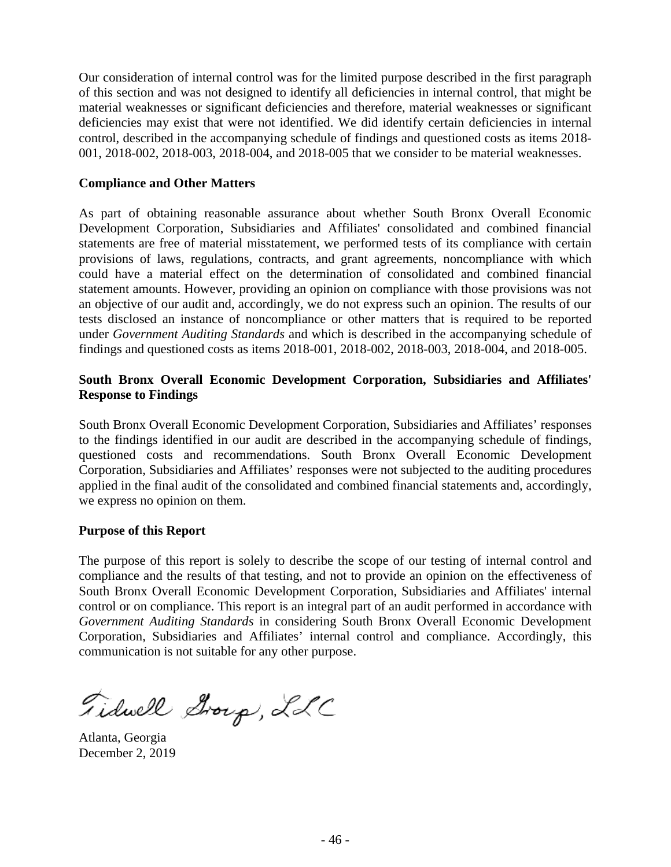Our consideration of internal control was for the limited purpose described in the first paragraph of this section and was not designed to identify all deficiencies in internal control, that might be material weaknesses or significant deficiencies and therefore, material weaknesses or significant deficiencies may exist that were not identified. We did identify certain deficiencies in internal control, described in the accompanying schedule of findings and questioned costs as items 2018- 001, 2018-002, 2018-003, 2018-004, and 2018-005 that we consider to be material weaknesses.

### **Compliance and Other Matters**

As part of obtaining reasonable assurance about whether South Bronx Overall Economic Development Corporation, Subsidiaries and Affiliates' consolidated and combined financial statements are free of material misstatement, we performed tests of its compliance with certain provisions of laws, regulations, contracts, and grant agreements, noncompliance with which could have a material effect on the determination of consolidated and combined financial statement amounts. However, providing an opinion on compliance with those provisions was not an objective of our audit and, accordingly, we do not express such an opinion. The results of our tests disclosed an instance of noncompliance or other matters that is required to be reported under *Government Auditing Standards* and which is described in the accompanying schedule of findings and questioned costs as items 2018-001, 2018-002, 2018-003, 2018-004, and 2018-005.

## **South Bronx Overall Economic Development Corporation, Subsidiaries and Affiliates' Response to Findings**

South Bronx Overall Economic Development Corporation, Subsidiaries and Affiliates' responses to the findings identified in our audit are described in the accompanying schedule of findings, questioned costs and recommendations. South Bronx Overall Economic Development Corporation, Subsidiaries and Affiliates' responses were not subjected to the auditing procedures applied in the final audit of the consolidated and combined financial statements and, accordingly, we express no opinion on them.

### **Purpose of this Report**

The purpose of this report is solely to describe the scope of our testing of internal control and compliance and the results of that testing, and not to provide an opinion on the effectiveness of South Bronx Overall Economic Development Corporation, Subsidiaries and Affiliates' internal control or on compliance. This report is an integral part of an audit performed in accordance with *Government Auditing Standards* in considering South Bronx Overall Economic Development Corporation, Subsidiaries and Affiliates' internal control and compliance. Accordingly, this communication is not suitable for any other purpose.

Fidwell Group, LLC

Atlanta, Georgia December 2, 2019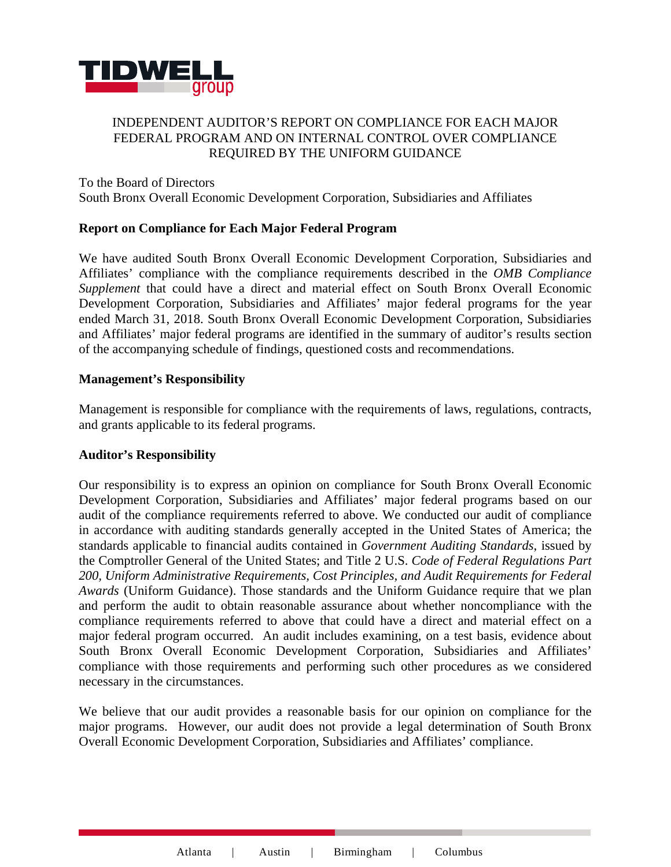

## INDEPENDENT AUDITOR'S REPORT ON COMPLIANCE FOR EACH MAJOR FEDERAL PROGRAM AND ON INTERNAL CONTROL OVER COMPLIANCE REQUIRED BY THE UNIFORM GUIDANCE

To the Board of Directors South Bronx Overall Economic Development Corporation, Subsidiaries and Affiliates

### **Report on Compliance for Each Major Federal Program**

We have audited South Bronx Overall Economic Development Corporation, Subsidiaries and Affiliates' compliance with the compliance requirements described in the *OMB Compliance Supplement* that could have a direct and material effect on South Bronx Overall Economic Development Corporation, Subsidiaries and Affiliates' major federal programs for the year ended March 31, 2018. South Bronx Overall Economic Development Corporation, Subsidiaries and Affiliates' major federal programs are identified in the summary of auditor's results section of the accompanying schedule of findings, questioned costs and recommendations.

### **Management's Responsibility**

Management is responsible for compliance with the requirements of laws, regulations, contracts, and grants applicable to its federal programs.

### **Auditor's Responsibility**

Our responsibility is to express an opinion on compliance for South Bronx Overall Economic Development Corporation, Subsidiaries and Affiliates' major federal programs based on our audit of the compliance requirements referred to above. We conducted our audit of compliance in accordance with auditing standards generally accepted in the United States of America; the standards applicable to financial audits contained in *Government Auditing Standards*, issued by the Comptroller General of the United States; and Title 2 U.S. *Code of Federal Regulations Part 200, Uniform Administrative Requirements, Cost Principles, and Audit Requirements for Federal Awards* (Uniform Guidance). Those standards and the Uniform Guidance require that we plan and perform the audit to obtain reasonable assurance about whether noncompliance with the compliance requirements referred to above that could have a direct and material effect on a major federal program occurred. An audit includes examining, on a test basis, evidence about South Bronx Overall Economic Development Corporation, Subsidiaries and Affiliates' compliance with those requirements and performing such other procedures as we considered necessary in the circumstances.

We believe that our audit provides a reasonable basis for our opinion on compliance for the major programs. However, our audit does not provide a legal determination of South Bronx Overall Economic Development Corporation, Subsidiaries and Affiliates' compliance.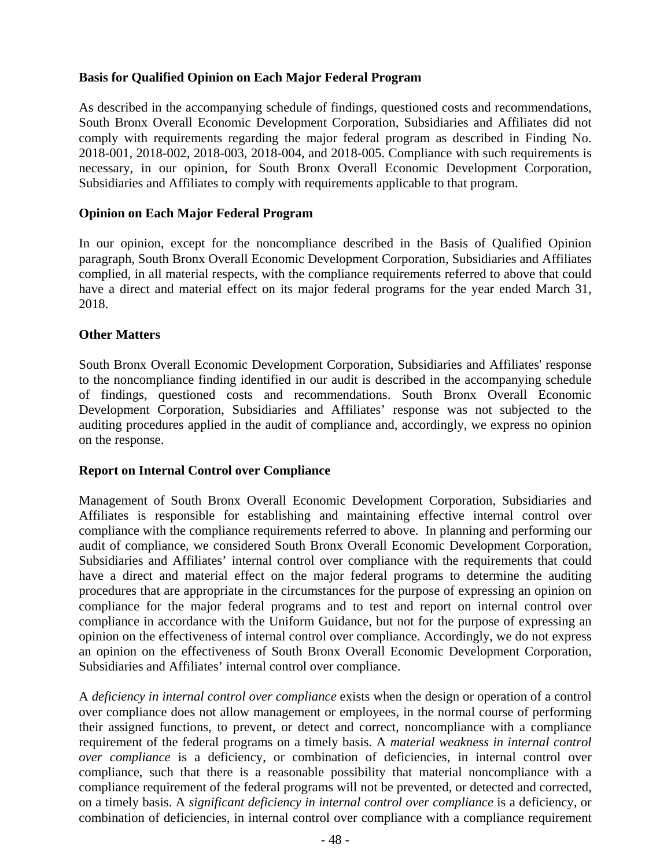## **Basis for Qualified Opinion on Each Major Federal Program**

As described in the accompanying schedule of findings, questioned costs and recommendations, South Bronx Overall Economic Development Corporation, Subsidiaries and Affiliates did not comply with requirements regarding the major federal program as described in Finding No. 2018-001, 2018-002, 2018-003, 2018-004, and 2018-005. Compliance with such requirements is necessary, in our opinion, for South Bronx Overall Economic Development Corporation, Subsidiaries and Affiliates to comply with requirements applicable to that program.

## **Opinion on Each Major Federal Program**

In our opinion, except for the noncompliance described in the Basis of Qualified Opinion paragraph, South Bronx Overall Economic Development Corporation, Subsidiaries and Affiliates complied, in all material respects, with the compliance requirements referred to above that could have a direct and material effect on its major federal programs for the year ended March 31, 2018.

### **Other Matters**

South Bronx Overall Economic Development Corporation, Subsidiaries and Affiliates' response to the noncompliance finding identified in our audit is described in the accompanying schedule of findings, questioned costs and recommendations. South Bronx Overall Economic Development Corporation, Subsidiaries and Affiliates' response was not subjected to the auditing procedures applied in the audit of compliance and, accordingly, we express no opinion on the response.

### **Report on Internal Control over Compliance**

Management of South Bronx Overall Economic Development Corporation, Subsidiaries and Affiliates is responsible for establishing and maintaining effective internal control over compliance with the compliance requirements referred to above. In planning and performing our audit of compliance, we considered South Bronx Overall Economic Development Corporation, Subsidiaries and Affiliates' internal control over compliance with the requirements that could have a direct and material effect on the major federal programs to determine the auditing procedures that are appropriate in the circumstances for the purpose of expressing an opinion on compliance for the major federal programs and to test and report on internal control over compliance in accordance with the Uniform Guidance, but not for the purpose of expressing an opinion on the effectiveness of internal control over compliance. Accordingly, we do not express an opinion on the effectiveness of South Bronx Overall Economic Development Corporation, Subsidiaries and Affiliates' internal control over compliance.

A *deficiency in internal control over compliance* exists when the design or operation of a control over compliance does not allow management or employees, in the normal course of performing their assigned functions, to prevent, or detect and correct, noncompliance with a compliance requirement of the federal programs on a timely basis. A *material weakness in internal control over compliance* is a deficiency, or combination of deficiencies, in internal control over compliance, such that there is a reasonable possibility that material noncompliance with a compliance requirement of the federal programs will not be prevented, or detected and corrected, on a timely basis. A *significant deficiency in internal control over compliance* is a deficiency, or combination of deficiencies, in internal control over compliance with a compliance requirement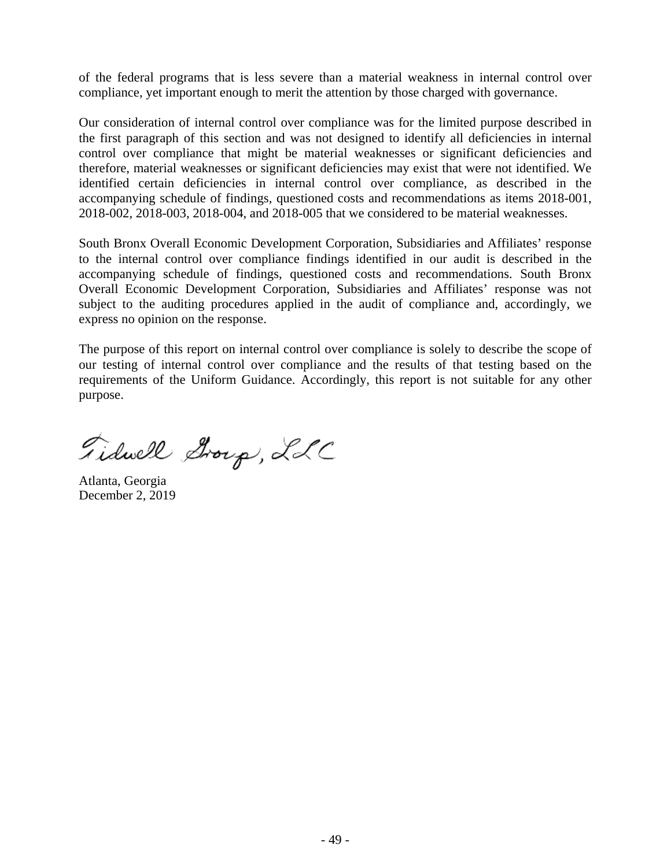of the federal programs that is less severe than a material weakness in internal control over compliance, yet important enough to merit the attention by those charged with governance.

Our consideration of internal control over compliance was for the limited purpose described in the first paragraph of this section and was not designed to identify all deficiencies in internal control over compliance that might be material weaknesses or significant deficiencies and therefore, material weaknesses or significant deficiencies may exist that were not identified. We identified certain deficiencies in internal control over compliance, as described in the accompanying schedule of findings, questioned costs and recommendations as items 2018-001, 2018-002, 2018-003, 2018-004, and 2018-005 that we considered to be material weaknesses.

South Bronx Overall Economic Development Corporation, Subsidiaries and Affiliates' response to the internal control over compliance findings identified in our audit is described in the accompanying schedule of findings, questioned costs and recommendations. South Bronx Overall Economic Development Corporation, Subsidiaries and Affiliates' response was not subject to the auditing procedures applied in the audit of compliance and, accordingly, we express no opinion on the response.

The purpose of this report on internal control over compliance is solely to describe the scope of our testing of internal control over compliance and the results of that testing based on the requirements of the Uniform Guidance. Accordingly, this report is not suitable for any other purpose.

Fiduell Group, LLC

Atlanta, Georgia December 2, 2019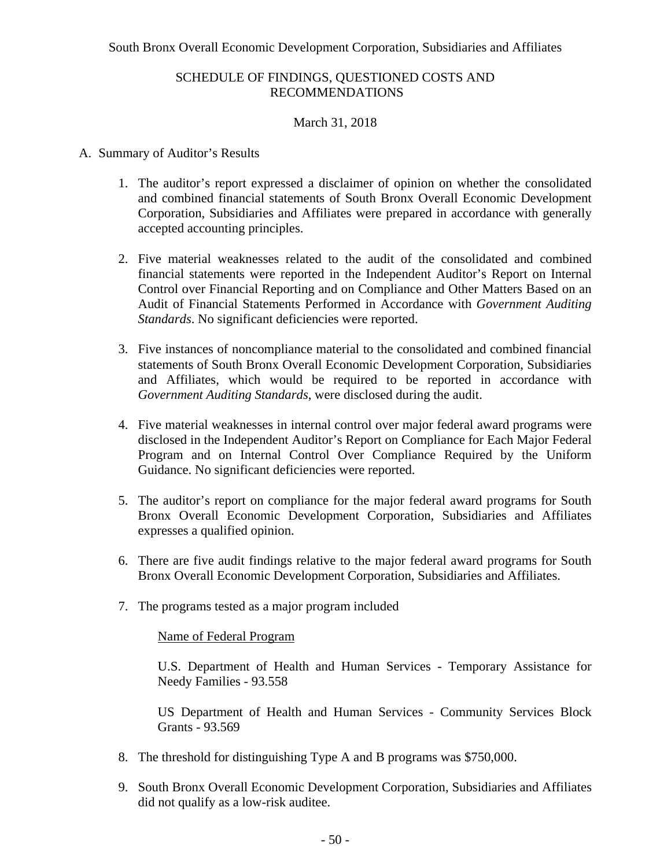## March 31, 2018

### A. Summary of Auditor's Results

- 1. The auditor's report expressed a disclaimer of opinion on whether the consolidated and combined financial statements of South Bronx Overall Economic Development Corporation, Subsidiaries and Affiliates were prepared in accordance with generally accepted accounting principles.
- 2. Five material weaknesses related to the audit of the consolidated and combined financial statements were reported in the Independent Auditor's Report on Internal Control over Financial Reporting and on Compliance and Other Matters Based on an Audit of Financial Statements Performed in Accordance with *Government Auditing Standards*. No significant deficiencies were reported.
- 3. Five instances of noncompliance material to the consolidated and combined financial statements of South Bronx Overall Economic Development Corporation, Subsidiaries and Affiliates, which would be required to be reported in accordance with *Government Auditing Standards*, were disclosed during the audit.
- 4. Five material weaknesses in internal control over major federal award programs were disclosed in the Independent Auditor's Report on Compliance for Each Major Federal Program and on Internal Control Over Compliance Required by the Uniform Guidance. No significant deficiencies were reported.
- 5. The auditor's report on compliance for the major federal award programs for South Bronx Overall Economic Development Corporation, Subsidiaries and Affiliates expresses a qualified opinion.
- 6. There are five audit findings relative to the major federal award programs for South Bronx Overall Economic Development Corporation, Subsidiaries and Affiliates.
- 7. The programs tested as a major program included

#### Name of Federal Program

U.S. Department of Health and Human Services - Temporary Assistance for Needy Families - 93.558

US Department of Health and Human Services - Community Services Block Grants - 93.569

- 8. The threshold for distinguishing Type A and B programs was \$750,000.
- 9. South Bronx Overall Economic Development Corporation, Subsidiaries and Affiliates did not qualify as a low-risk auditee.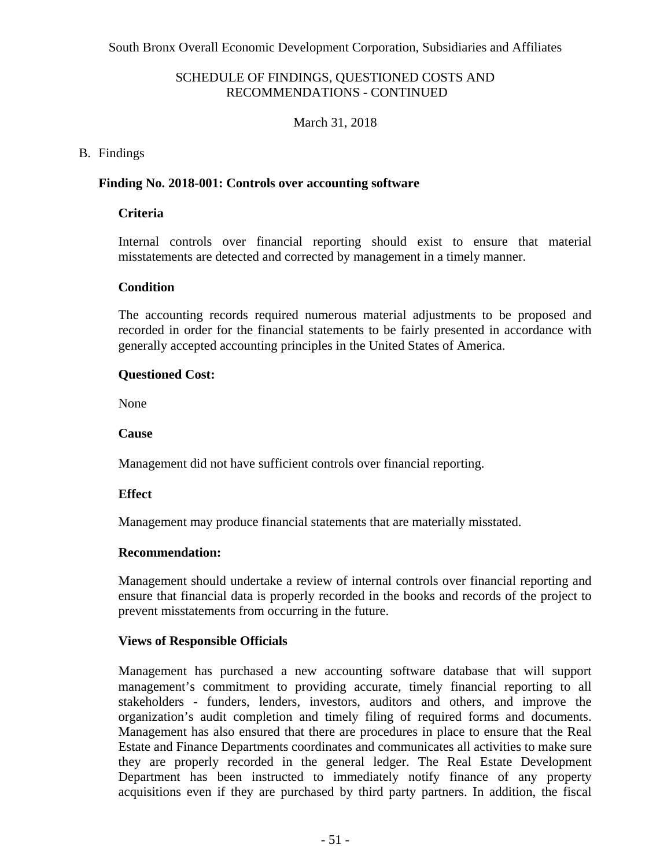## March 31, 2018

## B. Findings

### **Finding No. 2018-001: Controls over accounting software**

## **Criteria**

Internal controls over financial reporting should exist to ensure that material misstatements are detected and corrected by management in a timely manner.

## **Condition**

The accounting records required numerous material adjustments to be proposed and recorded in order for the financial statements to be fairly presented in accordance with generally accepted accounting principles in the United States of America.

## **Questioned Cost:**

None

## **Cause**

Management did not have sufficient controls over financial reporting.

## **Effect**

Management may produce financial statements that are materially misstated.

### **Recommendation:**

Management should undertake a review of internal controls over financial reporting and ensure that financial data is properly recorded in the books and records of the project to prevent misstatements from occurring in the future.

## **Views of Responsible Officials**

Management has purchased a new accounting software database that will support management's commitment to providing accurate, timely financial reporting to all stakeholders - funders, lenders, investors, auditors and others, and improve the organization's audit completion and timely filing of required forms and documents. Management has also ensured that there are procedures in place to ensure that the Real Estate and Finance Departments coordinates and communicates all activities to make sure they are properly recorded in the general ledger. The Real Estate Development Department has been instructed to immediately notify finance of any property acquisitions even if they are purchased by third party partners. In addition, the fiscal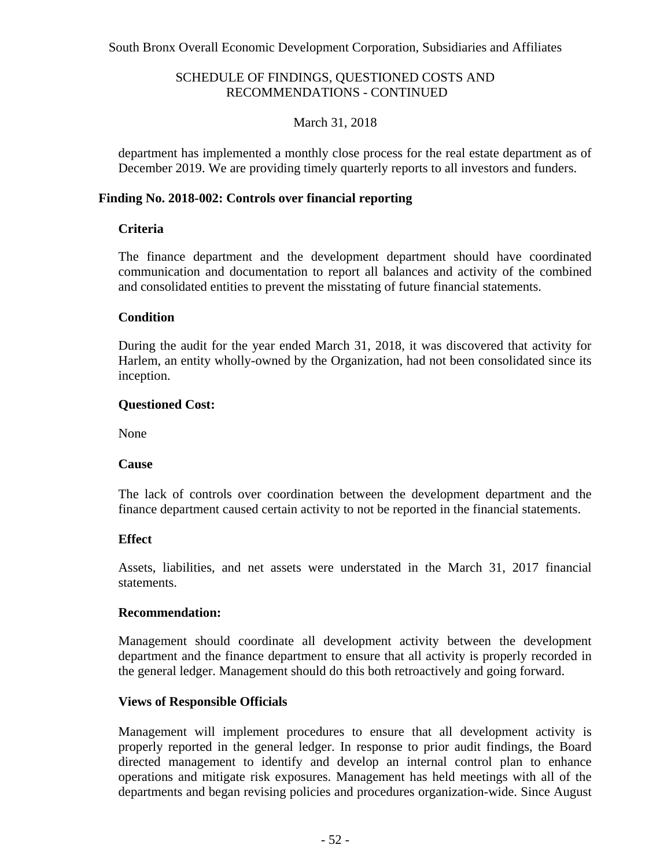## March 31, 2018

department has implemented a monthly close process for the real estate department as of December 2019. We are providing timely quarterly reports to all investors and funders.

### **Finding No. 2018-002: Controls over financial reporting**

### **Criteria**

The finance department and the development department should have coordinated communication and documentation to report all balances and activity of the combined and consolidated entities to prevent the misstating of future financial statements.

### **Condition**

During the audit for the year ended March 31, 2018, it was discovered that activity for Harlem, an entity wholly-owned by the Organization, had not been consolidated since its inception.

### **Questioned Cost:**

None

### **Cause**

The lack of controls over coordination between the development department and the finance department caused certain activity to not be reported in the financial statements.

### **Effect**

Assets, liabilities, and net assets were understated in the March 31, 2017 financial statements.

### **Recommendation:**

Management should coordinate all development activity between the development department and the finance department to ensure that all activity is properly recorded in the general ledger. Management should do this both retroactively and going forward.

### **Views of Responsible Officials**

Management will implement procedures to ensure that all development activity is properly reported in the general ledger. In response to prior audit findings, the Board directed management to identify and develop an internal control plan to enhance operations and mitigate risk exposures. Management has held meetings with all of the departments and began revising policies and procedures organization-wide. Since August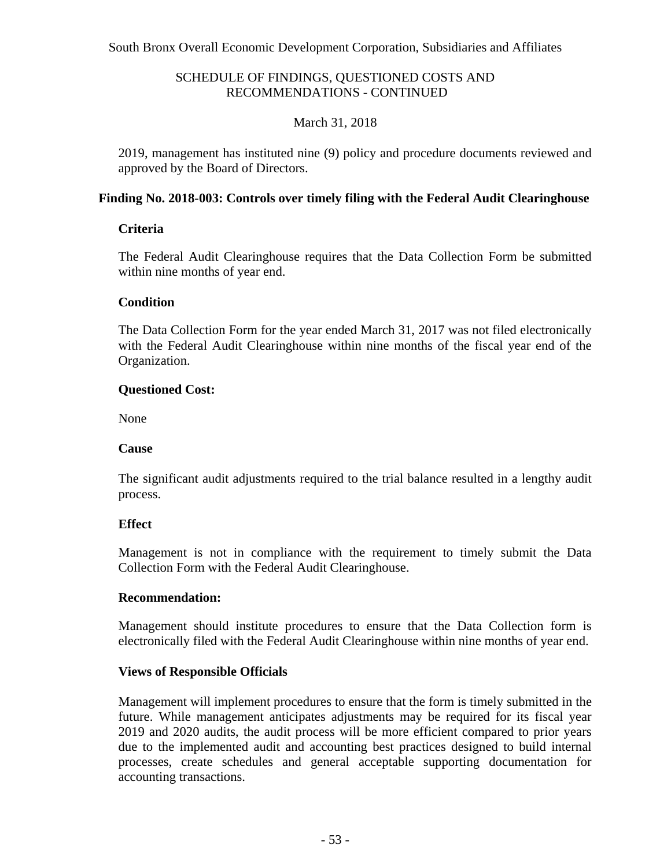## March 31, 2018

2019, management has instituted nine (9) policy and procedure documents reviewed and approved by the Board of Directors.

### **Finding No. 2018-003: Controls over timely filing with the Federal Audit Clearinghouse**

## **Criteria**

The Federal Audit Clearinghouse requires that the Data Collection Form be submitted within nine months of year end.

## **Condition**

The Data Collection Form for the year ended March 31, 2017 was not filed electronically with the Federal Audit Clearinghouse within nine months of the fiscal year end of the Organization.

### **Questioned Cost:**

None

### **Cause**

The significant audit adjustments required to the trial balance resulted in a lengthy audit process.

## **Effect**

Management is not in compliance with the requirement to timely submit the Data Collection Form with the Federal Audit Clearinghouse.

### **Recommendation:**

Management should institute procedures to ensure that the Data Collection form is electronically filed with the Federal Audit Clearinghouse within nine months of year end.

## **Views of Responsible Officials**

Management will implement procedures to ensure that the form is timely submitted in the future. While management anticipates adjustments may be required for its fiscal year 2019 and 2020 audits, the audit process will be more efficient compared to prior years due to the implemented audit and accounting best practices designed to build internal processes, create schedules and general acceptable supporting documentation for accounting transactions.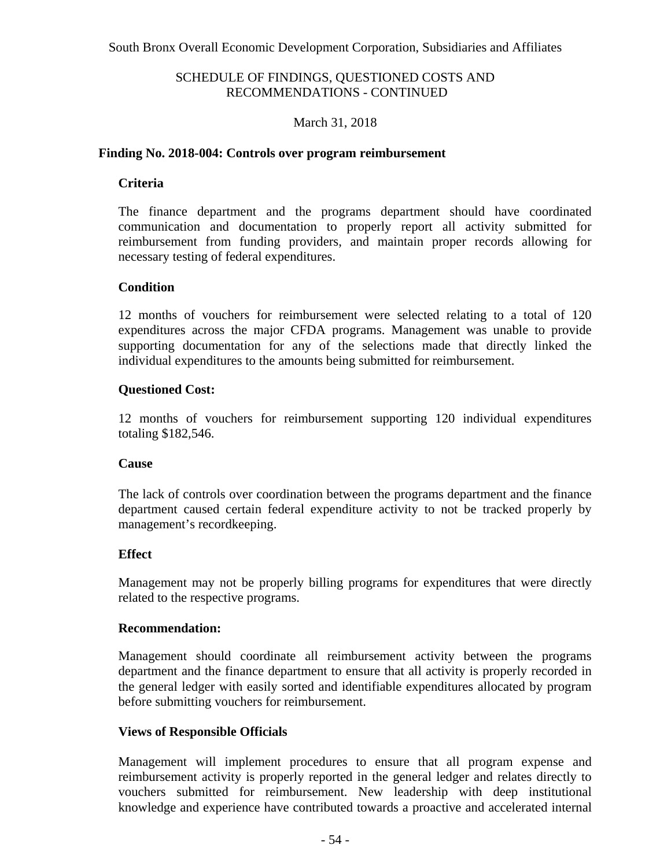## March 31, 2018

### **Finding No. 2018-004: Controls over program reimbursement**

### **Criteria**

The finance department and the programs department should have coordinated communication and documentation to properly report all activity submitted for reimbursement from funding providers, and maintain proper records allowing for necessary testing of federal expenditures.

### **Condition**

12 months of vouchers for reimbursement were selected relating to a total of 120 expenditures across the major CFDA programs. Management was unable to provide supporting documentation for any of the selections made that directly linked the individual expenditures to the amounts being submitted for reimbursement.

### **Questioned Cost:**

12 months of vouchers for reimbursement supporting 120 individual expenditures totaling \$182,546.

#### **Cause**

The lack of controls over coordination between the programs department and the finance department caused certain federal expenditure activity to not be tracked properly by management's recordkeeping.

#### **Effect**

Management may not be properly billing programs for expenditures that were directly related to the respective programs.

#### **Recommendation:**

Management should coordinate all reimbursement activity between the programs department and the finance department to ensure that all activity is properly recorded in the general ledger with easily sorted and identifiable expenditures allocated by program before submitting vouchers for reimbursement.

### **Views of Responsible Officials**

Management will implement procedures to ensure that all program expense and reimbursement activity is properly reported in the general ledger and relates directly to vouchers submitted for reimbursement. New leadership with deep institutional knowledge and experience have contributed towards a proactive and accelerated internal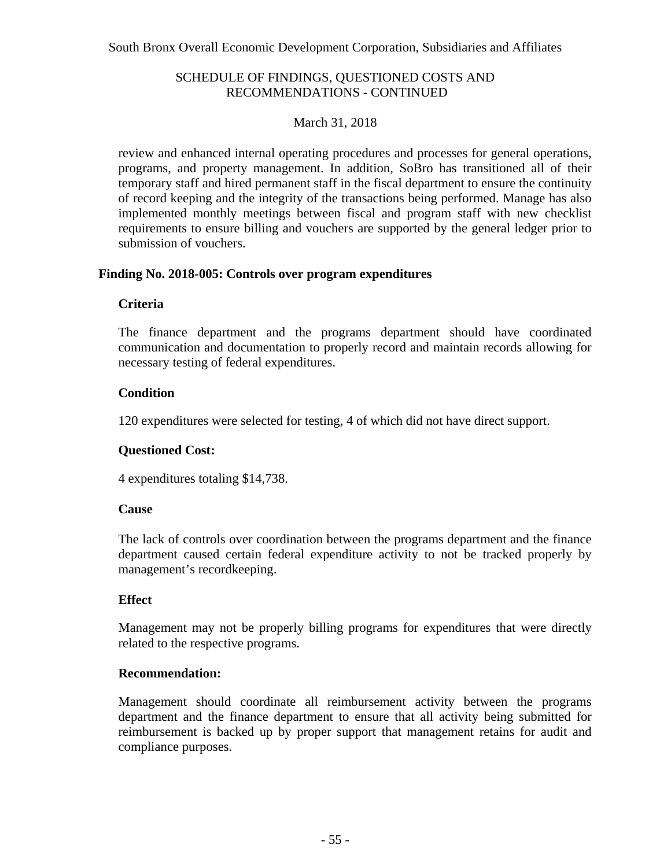## March 31, 2018

review and enhanced internal operating procedures and processes for general operations, programs, and property management. In addition, SoBro has transitioned all of their temporary staff and hired permanent staff in the fiscal department to ensure the continuity of record keeping and the integrity of the transactions being performed. Manage has also implemented monthly meetings between fiscal and program staff with new checklist requirements to ensure billing and vouchers are supported by the general ledger prior to submission of vouchers.

### **Finding No. 2018-005: Controls over program expenditures**

## **Criteria**

The finance department and the programs department should have coordinated communication and documentation to properly record and maintain records allowing for necessary testing of federal expenditures.

## **Condition**

120 expenditures were selected for testing, 4 of which did not have direct support.

## **Questioned Cost:**

4 expenditures totaling \$14,738.

### **Cause**

The lack of controls over coordination between the programs department and the finance department caused certain federal expenditure activity to not be tracked properly by management's recordkeeping.

### **Effect**

Management may not be properly billing programs for expenditures that were directly related to the respective programs.

### **Recommendation:**

Management should coordinate all reimbursement activity between the programs department and the finance department to ensure that all activity being submitted for reimbursement is backed up by proper support that management retains for audit and compliance purposes.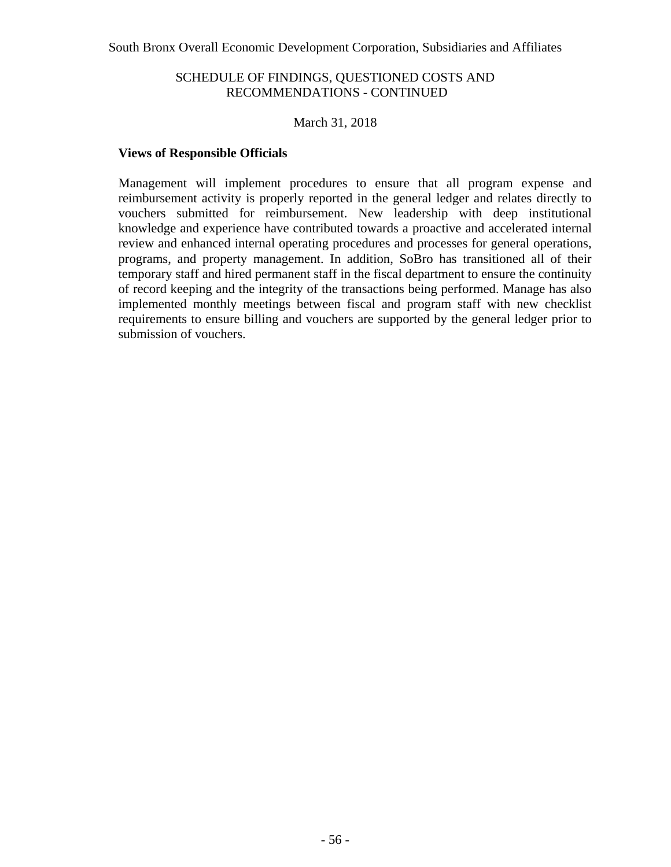### March 31, 2018

### **Views of Responsible Officials**

Management will implement procedures to ensure that all program expense and reimbursement activity is properly reported in the general ledger and relates directly to vouchers submitted for reimbursement. New leadership with deep institutional knowledge and experience have contributed towards a proactive and accelerated internal review and enhanced internal operating procedures and processes for general operations, programs, and property management. In addition, SoBro has transitioned all of their temporary staff and hired permanent staff in the fiscal department to ensure the continuity of record keeping and the integrity of the transactions being performed. Manage has also implemented monthly meetings between fiscal and program staff with new checklist requirements to ensure billing and vouchers are supported by the general ledger prior to submission of vouchers.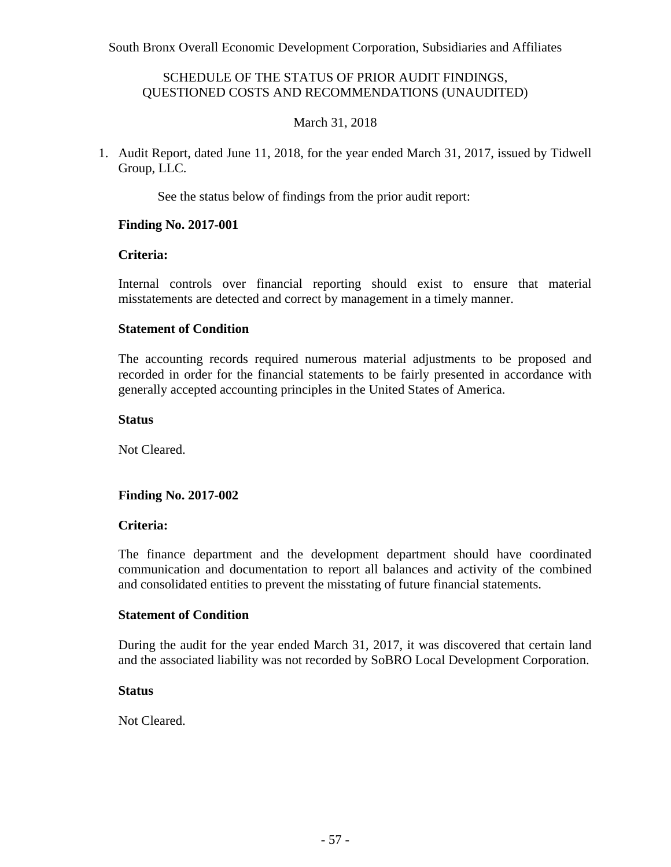### SCHEDULE OF THE STATUS OF PRIOR AUDIT FINDINGS, QUESTIONED COSTS AND RECOMMENDATIONS (UNAUDITED)

## March 31, 2018

1. Audit Report, dated June 11, 2018, for the year ended March 31, 2017, issued by Tidwell Group, LLC.

See the status below of findings from the prior audit report:

### **Finding No. 2017-001**

### **Criteria:**

Internal controls over financial reporting should exist to ensure that material misstatements are detected and correct by management in a timely manner.

### **Statement of Condition**

The accounting records required numerous material adjustments to be proposed and recorded in order for the financial statements to be fairly presented in accordance with generally accepted accounting principles in the United States of America.

#### **Status**

Not Cleared.

### **Finding No. 2017-002**

#### **Criteria:**

The finance department and the development department should have coordinated communication and documentation to report all balances and activity of the combined and consolidated entities to prevent the misstating of future financial statements.

### **Statement of Condition**

During the audit for the year ended March 31, 2017, it was discovered that certain land and the associated liability was not recorded by SoBRO Local Development Corporation.

#### **Status**

Not Cleared.